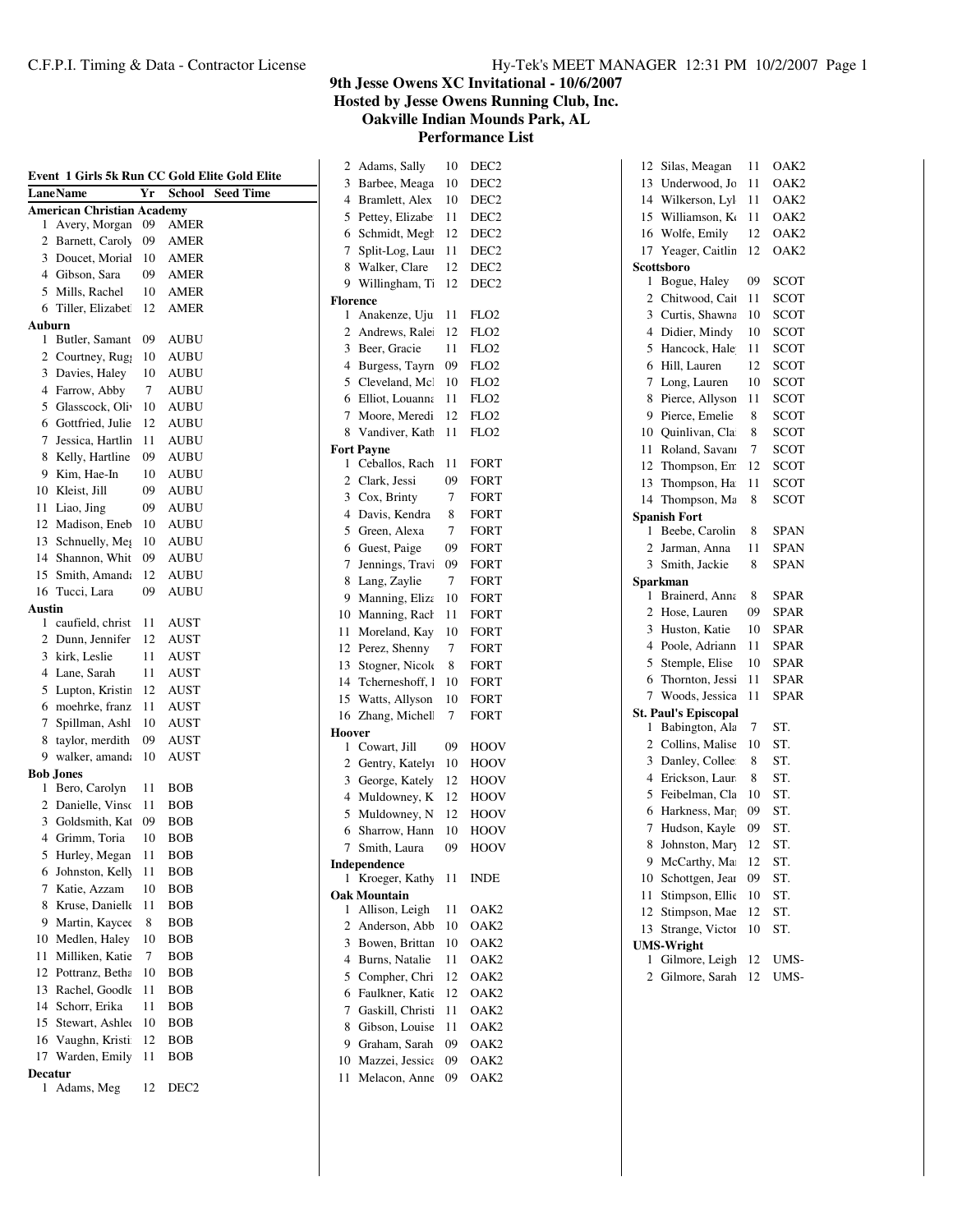|  |  | Hy-Tek's MEET MANAGER 12:31 PM 10/2/2007 Page 1 |  |  |  |  |
|--|--|-------------------------------------------------|--|--|--|--|
|--|--|-------------------------------------------------|--|--|--|--|

**Hosted by Jesse Owens Running Club, Inc.**

**Oakville Indian Mounds Park, AL**

| Event 1 Girls 5k Run CC Gold Elite Gold Elite |                             |    |               |                  |  |
|-----------------------------------------------|-----------------------------|----|---------------|------------------|--|
|                                               | <b>LaneName</b>             | Yr | <b>School</b> | <b>Seed Time</b> |  |
| <b>American Christian Academy</b>             |                             |    |               |                  |  |
| 1                                             | Avery, Morgan               | 09 | AMER          |                  |  |
| 2                                             | Barnett, Caroly             | 09 | AMER          |                  |  |
| 3                                             | Doucet, Morial              | 10 | <b>AMER</b>   |                  |  |
|                                               | 4 Gibson, Sara              | 09 | AMER          |                  |  |
| 5                                             | Mills, Rachel               | 10 | AMER          |                  |  |
| 6                                             | Tiller, Elizabet            | 12 | AMER          |                  |  |
| Auburn<br>1                                   | Butler, Samant              | 09 | <b>AUBU</b>   |                  |  |
| 2                                             | Courtney, Rug               | 10 | AUBU          |                  |  |
| 3                                             | Davies, Haley               | 10 | <b>AUBU</b>   |                  |  |
| 4                                             | Farrow, Abby                | 7  | AUBU          |                  |  |
| 5                                             | Glasscock, Oli <sup>-</sup> | 10 | AUBU          |                  |  |
| 6                                             | Gottfried, Julie            | 12 | AUBU          |                  |  |
| 7                                             | Jessica, Hartlin            | 11 | AUBU          |                  |  |
| 8                                             | Kelly, Hartline             | 09 | AUBU          |                  |  |
| 9                                             | Kim, Hae-In                 | 10 | AUBU          |                  |  |
| 10                                            | Kleist, Jill                | 09 | AUBU          |                  |  |
| 11                                            | Liao, Jing                  | 09 | AUBU          |                  |  |
| 12                                            | Madison, Eneb               | 10 | AUBU          |                  |  |
| 13                                            | Schnuelly, Meg              | 10 | AUBU          |                  |  |
| 14                                            | Shannon, Whit               | 09 | AUBU          |                  |  |
| 15                                            | Smith, Amanda               | 12 | AUBU          |                  |  |
| 16                                            | Tucci, Lara                 | 09 | AUBU          |                  |  |
| Austin                                        |                             |    |               |                  |  |
| 1                                             | caufield, christ            | 11 | AUST          |                  |  |
| $\overline{2}$                                | Dunn, Jennifer              | 12 | AUST          |                  |  |
| 3                                             | kirk, Leslie                | 11 | AUST          |                  |  |
| 4                                             | Lane, Sarah                 | 11 | <b>AUST</b>   |                  |  |
| 5                                             | Lupton, Kristir             | 12 | AUST          |                  |  |
| 6                                             | moehrke, franz              | 11 | AUST          |                  |  |
| 7                                             | Spillman, Ashl              | 10 | AUST          |                  |  |
| 8                                             | taylor, merdith             | 09 | AUST          |                  |  |
| 9                                             | walker, amanda              | 10 | <b>AUST</b>   |                  |  |
|                                               | <b>Bob Jones</b>            |    |               |                  |  |
| 1                                             | Bero, Carolyn               | 11 | <b>BOB</b>    |                  |  |
| 2                                             | Danielle, Vinso             | 11 | BOB           |                  |  |
| 3                                             | Goldsmith, Kat              | 09 | BOB           |                  |  |
| $\overline{4}$                                | Grimm, Toria                | 10 | BOB           |                  |  |
| 5                                             | Hurley, Megan               | 11 | <b>BOB</b>    |                  |  |
| 6                                             | Johnston, Kelly             | 11 | BOB           |                  |  |
| 7                                             | Katie, Azzam                | 10 | BOB           |                  |  |
| 8                                             | Kruse, Danielk              | 11 | BOB           |                  |  |
| 9                                             | Martin, Kaycee              | 8  | <b>BOB</b>    |                  |  |
| 10                                            | Medlen, Haley               | 10 | BOB           |                  |  |
| 11                                            | Milliken, Katie             | 7  | BOB           |                  |  |
| 12                                            | Pottranz, Betha             | 10 | BOB           |                  |  |
| 13                                            | Rachel, Goodk               | 11 | BOB           |                  |  |
| 14                                            | Schorr, Erika               | 11 | BOB           |                  |  |
| 15                                            | Stewart, Ashler             | 10 | BOB           |                  |  |
| 16                                            | Vaughn, Kristi              | 12 | BOB           |                  |  |
| 17                                            | Warden, Emily               | 11 | BOB           |                  |  |
| Decatur<br>1                                  | Adams, Meg                  | 12 | DEC2          |                  |  |
|                                               |                             |    |               |                  |  |

| 2               | Adams, Sally                   | 10 | DEC2             |
|-----------------|--------------------------------|----|------------------|
| 3               | Barbee, Meaga                  | 10 | DEC <sub>2</sub> |
| 4               | Bramlett, Alex                 | 10 | DEC <sub>2</sub> |
| 5               | Pettey, Elizabe                | 11 | DEC <sub>2</sub> |
| 6               | Schmidt, Megh                  | 12 | DEC <sub>2</sub> |
| 7               | Split-Log, Laur                | 11 | DEC <sub>2</sub> |
| 8               | Walker, Clare                  | 12 | DEC <sub>2</sub> |
| 9               | Willingham, Ti                 | 12 | DEC <sub>2</sub> |
| <b>Florence</b> |                                |    |                  |
| 1               | Anakenze, Uju                  | 11 | FLO <sub>2</sub> |
| 2               | Andrews, Ralei                 | 12 | FLO <sub>2</sub> |
| 3               | Beer, Gracie                   | 11 | FLO <sub>2</sub> |
| 4               | Burgess, Tayrn                 | 09 | FLO <sub>2</sub> |
| 5               | Cleveland, Mcl                 | 10 | FLO <sub>2</sub> |
| 6               | Elliot, Louanna                | 11 | FLO <sub>2</sub> |
| 7               | Moore, Meredi                  | 12 | FLO <sub>2</sub> |
| 8               | Vandiver, Kath                 | 11 | FLO <sub>2</sub> |
|                 | <b>Fort Payne</b>              |    |                  |
| 1               | Ceballos, Rach                 | 11 | <b>FORT</b>      |
| $\overline{c}$  | Clark, Jessi                   | 09 | FORT             |
| 3               | Cox, Brinty                    | 7  | FORT             |
| 4               | Davis, Kendra                  | 8  | FORT             |
| 5               | Green, Alexa                   | 7  | FORT             |
| 6               | Guest, Paige                   | 09 | FORT             |
| 7               | Jennings, Travi                | 09 | FORT             |
| 8               | Lang, Zaylie                   | 7  | <b>FORT</b>      |
| 9               | Manning, Eliza                 | 10 | <b>FORT</b>      |
| 10              | Manning, Rach                  | 11 | FORT             |
| 11              | Moreland, Kay                  | 10 | FORT             |
| 12              | Perez, Shenny                  | 7  | FORT             |
| 13              | Stogner, Nicole                | 8  | FORT             |
| 14              | Tcherneshoff, I                | 10 | FORT             |
| 15              | Watts, Allyson                 | 10 | FORT             |
| 16              | Zhang, Michell                 | 7  | <b>FORT</b>      |
| Hoover          |                                |    |                  |
| 1               | Cowart, Jill                   | 09 | HOOV             |
| 2               | Gentry, Katelyı                | 10 | HOOV             |
| 3               | George, Kately                 | 12 | HOOV             |
| 4               | Muldowney, K                   | 12 | <b>HOOV</b>      |
| 5               | Muldowney, N                   | 12 | <b>HOOV</b>      |
| 6               | Sharrow, Hann                  | 10 | HOOV             |
| 7               | Smith, Laura                   | 09 | HOOV             |
| 1               | Independence<br>Kroeger, Kathy | 11 |                  |
|                 | <b>Oak Mountain</b>            |    | INDE             |
| 1               | Allison, Leigh                 | 11 | OAK2             |
| 2               | Anderson, Abb                  | 10 | OAK <sub>2</sub> |
| 3               | Bowen, Brittan                 | 10 | OAK <sub>2</sub> |
| 4               | Burns, Natalie                 | 11 | OAK2             |
| 5               | Compher, Chri                  | 12 | OAK2             |
| 6               | Faulkner, Katie                | 12 | OAK <sub>2</sub> |
| 7               | Gaskill, Christi               | 11 | OAK <sub>2</sub> |
| 8               | Gibson, Louise                 | 11 | OAK2             |
| 9               | Graham, Sarah                  | 09 | OAK <sub>2</sub> |
| 10              | Mazzei, Jessica                | 09 | OAK2             |
| 11              | Melacon, Anne                  | 09 |                  |
|                 |                                |    | OAK2             |

| 12                       | Silas, Meagan                       | 11              | OAK2             |
|--------------------------|-------------------------------------|-----------------|------------------|
| 13                       | Underwood, Jo                       | $\overline{11}$ | OAK <sub>2</sub> |
| 14                       | Wilkerson, Lyl                      | 11              | OAK <sub>2</sub> |
| 15                       | Williamson, Ko                      | 11              | OAK <sub>2</sub> |
| 16                       | Wolfe, Emily                        | 12              | OAK <sub>2</sub> |
| 17                       | Yeager, Caitlin                     | 12              | OAK <sub>2</sub> |
|                          | Scottsboro                          |                 |                  |
| 1                        | Bogue, Haley                        | 09              | <b>SCOT</b>      |
| $\overline{2}$           | Chitwood, Cait                      | 11              | <b>SCOT</b>      |
| 3                        | Curtis, Shawna                      | 10              | SCOT             |
| $\overline{\mathcal{L}}$ | Didier, Mindy                       | 10              | <b>SCOT</b>      |
| 5                        | Hancock, Hale                       | 11              | <b>SCOT</b>      |
| 6                        | Hill, Lauren                        | 12              | <b>SCOT</b>      |
| 7                        | Long, Lauren                        | 10              | <b>SCOT</b>      |
| 8                        | Pierce, Allyson                     | 11              | <b>SCOT</b>      |
| 9                        | Pierce, Emelie                      | 8               | <b>SCOT</b>      |
| 10                       | Quinlivan, Cla                      | 8               | <b>SCOT</b>      |
| 11                       | Roland, Savani                      | 7               | <b>SCOT</b>      |
| 12                       | Thompson, En:                       | 12              | <b>SCOT</b>      |
| 13                       | Thompson, Ha                        | 11              | <b>SCOT</b>      |
| 14                       | Thompson, Ma                        | 8               | <b>SCOT</b>      |
|                          | <b>Spanish Fort</b>                 |                 |                  |
| 1                        | Beebe, Carolin                      | 8               | SPAN             |
| $\overline{c}$           | Jarman, Anna                        | 11              | <b>SPAN</b>      |
| 3                        | Smith, Jackie                       | 8               | <b>SPAN</b>      |
|                          |                                     |                 |                  |
|                          | Sparkman                            |                 |                  |
| 1                        | Brainerd, Anna                      | 8               | SPAR             |
| 2                        | Hose, Lauren                        | 09              | <b>SPAR</b>      |
| 3                        | Huston, Katie                       | 10              | <b>SPAR</b>      |
| $\overline{\mathcal{L}}$ | Poole, Adriann                      | 11              | <b>SPAR</b>      |
| 5                        | Stemple, Elise                      | 10              | <b>SPAR</b>      |
| 6                        | Thornton, Jessi                     | 11              | <b>SPAR</b>      |
| 7                        | Woods, Jessica                      | 11              | <b>SPAR</b>      |
|                          | <b>St. Paul's Episcopal</b>         |                 |                  |
| 1                        | Babington, Ala                      | 7               | ST.              |
| $\overline{2}$           | Collins, Malise                     | 10              | ST.              |
| 3                        | Danley, Collee                      | 8               | ST.              |
| 4                        | Erickson, Laur                      | 8               | ST.              |
| 5                        | Feibelman, Cla                      | 10              | ST.              |
| 6                        | Harkness, Mar                       | 09              | ST.              |
| 7                        | Hudson, Kayle                       | 09              | ST.              |
| 8                        | Johnston, Mary                      | 12              | ST.              |
| 9                        | McCarthy, Ma                        | 12              | ST.              |
| 10                       | Schottgen, Jear                     | 09              | ST.              |
| 11                       | Stimpson, Ellic                     | 10              | ST.              |
| 12                       | Stimpson, Mae                       | 12              | ST.              |
| 13                       | Strange, Victor                     | 10              | ST.              |
| 1                        | <b>UMS-Wright</b><br>Gilmore, Leigh | 12              | UMS-             |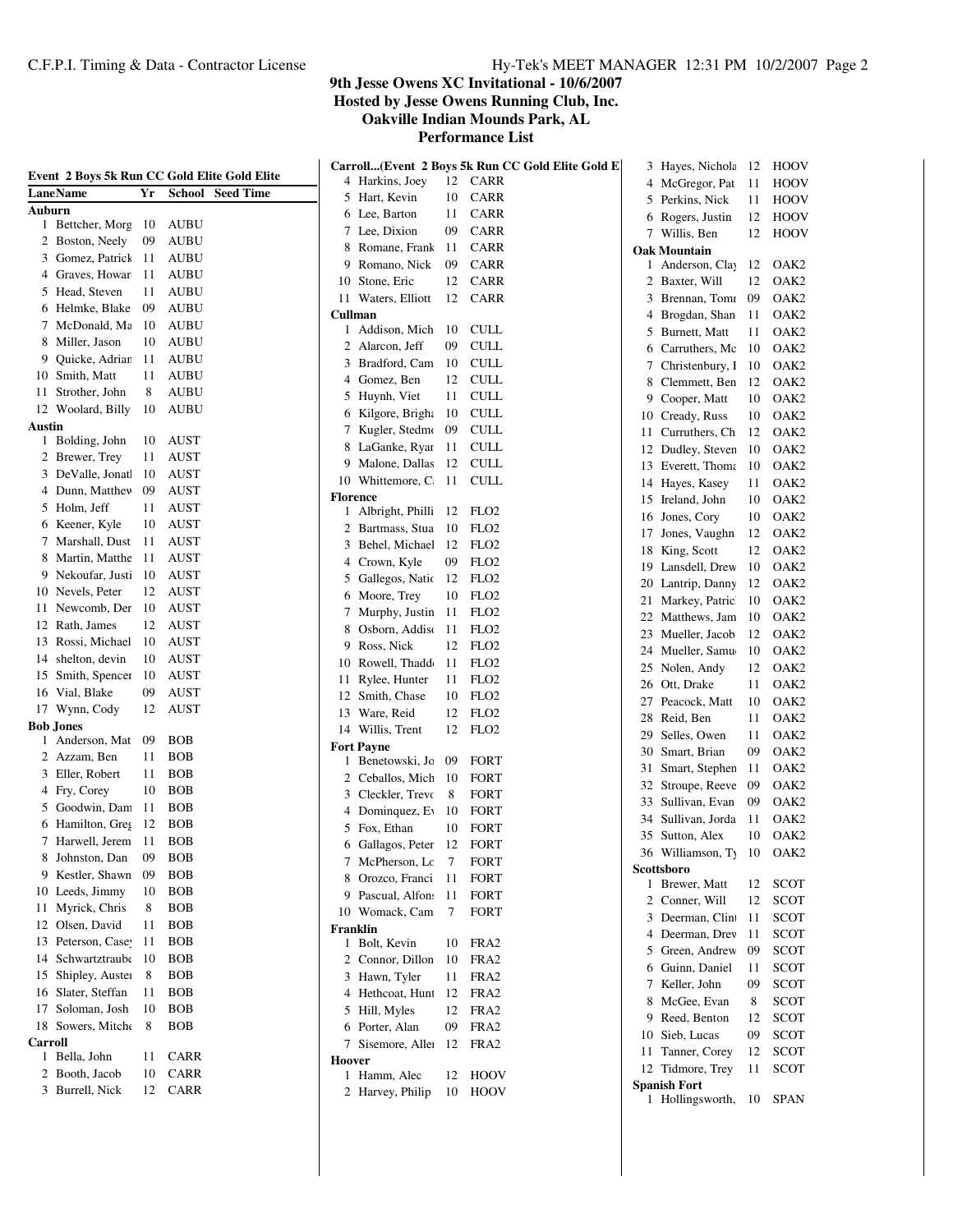|              |                                    |     | Event 2 Boys 5k Run CC Gold Elite Gold Elite |        |                      |     | Carroll(Event 2 Boys 5k Run CC Gold Elite Gold E |    | 3 Hayes, Nichola    | 12 | HOOV             |
|--------------|------------------------------------|-----|----------------------------------------------|--------|----------------------|-----|--------------------------------------------------|----|---------------------|----|------------------|
|              | LaneName                           | Yr  | <b>School</b> Seed Time                      |        | 4 Harkins, Joey      | 12  | <b>CARR</b>                                      |    | 4 McGregor, Pat     | 11 | HOOV             |
| Auburn       |                                    |     |                                              |        | 5 Hart, Kevin        | 10  | <b>CARR</b>                                      |    | 5 Perkins, Nick     | 11 | HOOV             |
|              | 1 Bettcher, Morg                   | -10 | AUBU                                         |        | 6 Lee, Barton        | 11  | <b>CARR</b>                                      | 6  | Rogers, Justin      | 12 | HOOV             |
|              | 2 Boston, Neely                    | 09  | <b>AUBU</b>                                  |        | 7 Lee, Dixion        | 09  | <b>CARR</b>                                      |    | 7 Willis, Ben       | 12 | HOOV             |
|              | 3 Gomez, Patrick                   | 11  | AUBU                                         |        | 8 Romane, Frank      | 11  | <b>CARR</b>                                      |    | <b>Oak Mountain</b> |    |                  |
| 4            | Graves, Howar                      | 11  | AUBU                                         | 9      | Romano, Nick         | 09  | <b>CARR</b>                                      |    | 1 Anderson, Clay    | 12 | OAK2             |
| 5            | Head, Steven                       | 11  | AUBU                                         | 10     | Stone, Eric          | 12  | CARR                                             |    | 2 Baxter, Will      | 12 | OAK <sub>2</sub> |
|              | 6 Helmke, Blake                    | 09  | <b>AUBU</b>                                  |        | 11 Waters, Elliott   | 12  | <b>CARR</b>                                      |    | 3 Brennan, Tomi     | 09 | OAK <sub>2</sub> |
|              | 7 McDonald, Ma                     | 10  | <b>AUBU</b>                                  |        | Cullman              |     |                                                  | 4  | Brogdan, Shan       | 11 | OAK <sub>2</sub> |
| 8            | Miller, Jason                      | 10  | <b>AUBU</b>                                  |        | 1 Addison, Mich      | -10 | <b>CULL</b>                                      | 5  | Burnett, Matt       | 11 | OAK <sub>2</sub> |
| 9            | Quicke, Adriar                     | 11  | AUBU                                         |        | 2 Alarcon, Jeff      | 09  | <b>CULL</b>                                      | 6  | Carruthers, Mc      | 10 | OAK <sub>2</sub> |
|              | 10 Smith, Matt                     | 11  | AUBU                                         |        | 3 Bradford, Cam      | -10 | <b>CULL</b>                                      | 7  | Christenbury, I     | 10 | OAK <sub>2</sub> |
|              |                                    | 8   |                                              |        | 4 Gomez, Ben         | 12  | <b>CULL</b>                                      | 8  | Clemmett, Ben       | 12 | OAK <sub>2</sub> |
| 11           | Strother, John                     |     | <b>AUBU</b>                                  |        | 5 Huynh, Viet        | 11  | <b>CULL</b>                                      | 9  | Cooper, Matt        | 10 | OAK <sub>2</sub> |
|              | 12 Woolard, Billy                  | 10  | <b>AUBU</b>                                  |        | 6 Kilgore, Bright 10 |     | <b>CULL</b>                                      | 10 | Cready, Russ        | 10 | OAK <sub>2</sub> |
| Austin<br>1  | Bolding, John                      | 10  | AUST                                         |        | 7 Kugler, Stedmo     | 09  | <b>CULL</b>                                      | 11 | Curruthers, Ch      | 12 | OAK <sub>2</sub> |
|              | 2 Brewer, Trey                     | 11  | <b>AUST</b>                                  |        | 8 LaGanke, Ryar      | -11 | <b>CULL</b>                                      | 12 | Dudley, Steven      | 10 | OAK <sub>2</sub> |
|              | 3 DeValle, Jonat                   | 10  | <b>AUST</b>                                  |        | 9 Malone, Dallas     | 12  | <b>CULL</b>                                      |    | 13 Everett, Thoma   | 10 | OAK <sub>2</sub> |
|              | 4 Dunn, Matthev                    | 09  | <b>AUST</b>                                  |        | 10 Whittemore, C.    | -11 | <b>CULL</b>                                      |    | 14 Hayes, Kasey     | 11 | OAK <sub>2</sub> |
|              | 5 Holm, Jeff                       | 11  | <b>AUST</b>                                  |        | <b>Florence</b>      |     |                                                  | 15 | Ireland, John       | 10 | OAK <sub>2</sub> |
|              |                                    | 10  |                                              |        | 1 Albright, Philli   | -12 | FLO2                                             | 16 | Jones, Cory         | 10 | OAK <sub>2</sub> |
|              | 6 Keener, Kyle<br>7 Marshall, Dust |     | AUST                                         |        | 2 Bartmass, Stua     | 10  | FLO <sub>2</sub>                                 | 17 | Jones, Vaughn       | 12 | OAK <sub>2</sub> |
|              |                                    | 11  | <b>AUST</b>                                  |        | 3 Behel, Michael 12  |     | FLO <sub>2</sub>                                 |    | 18 King, Scott      | 12 | OAK <sub>2</sub> |
|              | 8 Martin, Matthe                   | 11  | <b>AUST</b>                                  |        | 4 Crown, Kyle        | 09  | FLO <sub>2</sub>                                 | 19 | Lansdell, Drew      | 10 | OAK <sub>2</sub> |
|              | 9 Nekoufar, Justi                  | 10  | <b>AUST</b>                                  |        | 5 Gallegos, Natic 12 |     | FLO <sub>2</sub>                                 | 20 | Lantrip, Danny      | 12 | OAK <sub>2</sub> |
|              | 10 Nevels, Peter                   | 12  | <b>AUST</b>                                  |        | 6 Moore, Trey        | 10  | FLO <sub>2</sub>                                 | 21 | Markey, Patric      | 10 | OAK <sub>2</sub> |
| 11.          | Newcomb, Der                       | 10  | AUST                                         |        | 7 Murphy, Justin 11  |     | FLO <sub>2</sub>                                 | 22 | Matthews, Jam       | 10 | OAK <sub>2</sub> |
|              | 12 Rath, James                     | 12  | <b>AUST</b>                                  |        | 8 Osborn, Addisc     | -11 | FLO <sub>2</sub>                                 |    | 23 Mueller, Jacob   | 12 | OAK <sub>2</sub> |
|              | 13 Rossi, Michael                  | 10  | <b>AUST</b>                                  | 9      | Ross, Nick           | 12  | FLO <sub>2</sub>                                 | 24 | Mueller, Samu       | 10 | OAK <sub>2</sub> |
| 14           | shelton, devin                     | 10  | <b>AUST</b>                                  |        | 10 Rowell, Thadd     | 11  | FLO <sub>2</sub>                                 | 25 | Nolen, Andy         | 12 | OAK <sub>2</sub> |
|              | 15 Smith, Spencer                  | 10  | AUST                                         |        | 11 Rylee, Hunter     | 11  | FLO <sub>2</sub>                                 | 26 | Ott, Drake          | 11 | OAK <sub>2</sub> |
|              | 16 Vial, Blake                     | 09  | AUST                                         | 12     | Smith, Chase         | 10  | FLO <sub>2</sub>                                 | 27 | Peacock, Matt       | 10 | OAK <sub>2</sub> |
|              | 17 Wynn, Cody                      | 12  | <b>AUST</b>                                  | 13     | Ware, Reid           | 12  | FLO <sub>2</sub>                                 | 28 | Reid, Ben           | 11 | OAK <sub>2</sub> |
|              | Bob Jones                          |     |                                              |        | 14 Willis, Trent     | 12  | FLO <sub>2</sub>                                 | 29 | Selles, Owen        | 11 | OAK <sub>2</sub> |
| $\mathbf{I}$ | Anderson, Mat                      | 09  | <b>BOB</b>                                   |        | <b>Fort Payne</b>    |     |                                                  | 30 | Smart, Brian        | 09 | OAK <sub>2</sub> |
|              | 2 Azzam, Ben                       | 11  | <b>BOB</b>                                   |        | 1 Benetowski, Jo     | 09  | <b>FORT</b>                                      | 31 | Smart, Stephen      | 11 | OAK <sub>2</sub> |
|              | 3 Eller, Robert                    | 11  | <b>BOB</b>                                   |        | 2 Ceballos, Mich     | -10 | <b>FORT</b>                                      | 32 | Stroupe, Reeve      | 09 | OAK <sub>2</sub> |
|              | 4 Fry, Corey                       | 10  | <b>BOB</b>                                   |        | 3 Cleckler, Trevo    | 8   | <b>FORT</b>                                      | 33 | Sullivan, Evan      | 09 | OAK <sub>2</sub> |
| 5            | Goodwin, Dam                       | 11  | <b>BOB</b>                                   |        | 4 Dominquez, Ev      | 10  | <b>FORT</b>                                      | 34 | Sullivan, Jorda     | 11 | OAK <sub>2</sub> |
|              | 6 Hamilton, Greg                   | 12  | <b>BOB</b>                                   |        | 5 Fox, Ethan         | 10  | <b>FORT</b>                                      |    | 35 Sutton, Alex     | 10 | OAK <sub>2</sub> |
|              | 7 Harwell, Jerem                   | 11  | <b>BOB</b>                                   |        | 6 Gallagos, Peter    | 12  | <b>FORT</b>                                      |    | 36 Williamson, Ty   | 10 | OAK <sub>2</sub> |
|              | 8 Johnston, Dan                    | 09  | <b>BOB</b>                                   |        | 7 McPherson, Lc      | 7   | <b>FORT</b>                                      |    | Scottsboro          |    |                  |
|              | 9 Kestler, Shawn                   | 09  | <b>BOB</b>                                   |        | 8 Orozco, Franci     | 11  | <b>FORT</b>                                      |    | 1 Brewer, Matt      | 12 | SCOT             |
|              | 10 Leeds, Jimmy                    | 10  | <b>BOB</b>                                   |        | 9 Pascual, Alfon:    | 11  | <b>FORT</b>                                      |    | 2 Conner, Will      | 12 | <b>SCOT</b>      |
|              | 11 Myrick, Chris                   | 8   | <b>BOB</b>                                   |        | 10 Womack, Cam       | 7   | <b>FORT</b>                                      |    | 3 Deerman, Clin     | 11 | <b>SCOT</b>      |
|              | 12 Olsen, David                    | 11  | <b>BOB</b>                                   |        | Franklin             |     |                                                  | 4  | Deerman, Drev       | 11 | <b>SCOT</b>      |
|              | 13 Peterson, Case                  | 11  | <b>BOB</b>                                   |        | 1 Bolt, Kevin        | 10  | FRA2                                             |    | 5 Green, Andrew     | 09 | <b>SCOT</b>      |
|              | 14 Schwartztraube                  | 10  | <b>BOB</b>                                   |        | 2 Connor, Dillon     | 10  | FRA <sub>2</sub>                                 | 6  | Guinn, Daniel       | 11 | <b>SCOT</b>      |
|              | 15 Shipley, Auster                 | 8   | <b>BOB</b>                                   |        | 3 Hawn, Tyler        | 11  | FRA <sub>2</sub>                                 |    | 7 Keller, John      | 09 | <b>SCOT</b>      |
|              | 16 Slater, Steffan                 | 11  | <b>BOB</b>                                   |        | 4 Hethcoat, Hunt     | 12  | FRA <sub>2</sub>                                 | 8  | McGee, Evan         | 8  | <b>SCOT</b>      |
|              | 17 Soloman, Josh                   | 10  | <b>BOB</b>                                   |        | 5 Hill, Myles        | 12  | FRA <sub>2</sub>                                 |    | 9 Reed, Benton      | 12 | <b>SCOT</b>      |
|              | 18 Sowers, Mitche                  | 8   | <b>BOB</b>                                   |        | 6 Porter, Alan       | 09  | FRA <sub>2</sub>                                 |    | 10 Sieb, Lucas      | 09 | <b>SCOT</b>      |
| Carroll      |                                    |     |                                              |        | 7 Sisemore, Alleı 12 |     | FRA <sub>2</sub>                                 |    | 11 Tanner, Corey    |    | <b>SCOT</b>      |
|              | 1 Bella, John                      | 11  | CARR                                         | Hoover |                      |     |                                                  |    | 12 Tidmore, Trey    | 12 |                  |
|              | 2 Booth, Jacob                     | 10  | CARR                                         |        | 1 Hamm, Alec         | 12  | HOOV                                             |    | <b>Spanish Fort</b> | 11 | <b>SCOT</b>      |
|              | 3 Burrell, Nick                    | 12  | CARR                                         |        | 2 Harvey, Philip     | 10  | HOOV                                             |    | 1 Hollingsworth,    | 10 | SPAN             |
|              |                                    |     |                                              |        |                      |     |                                                  |    |                     |    |                  |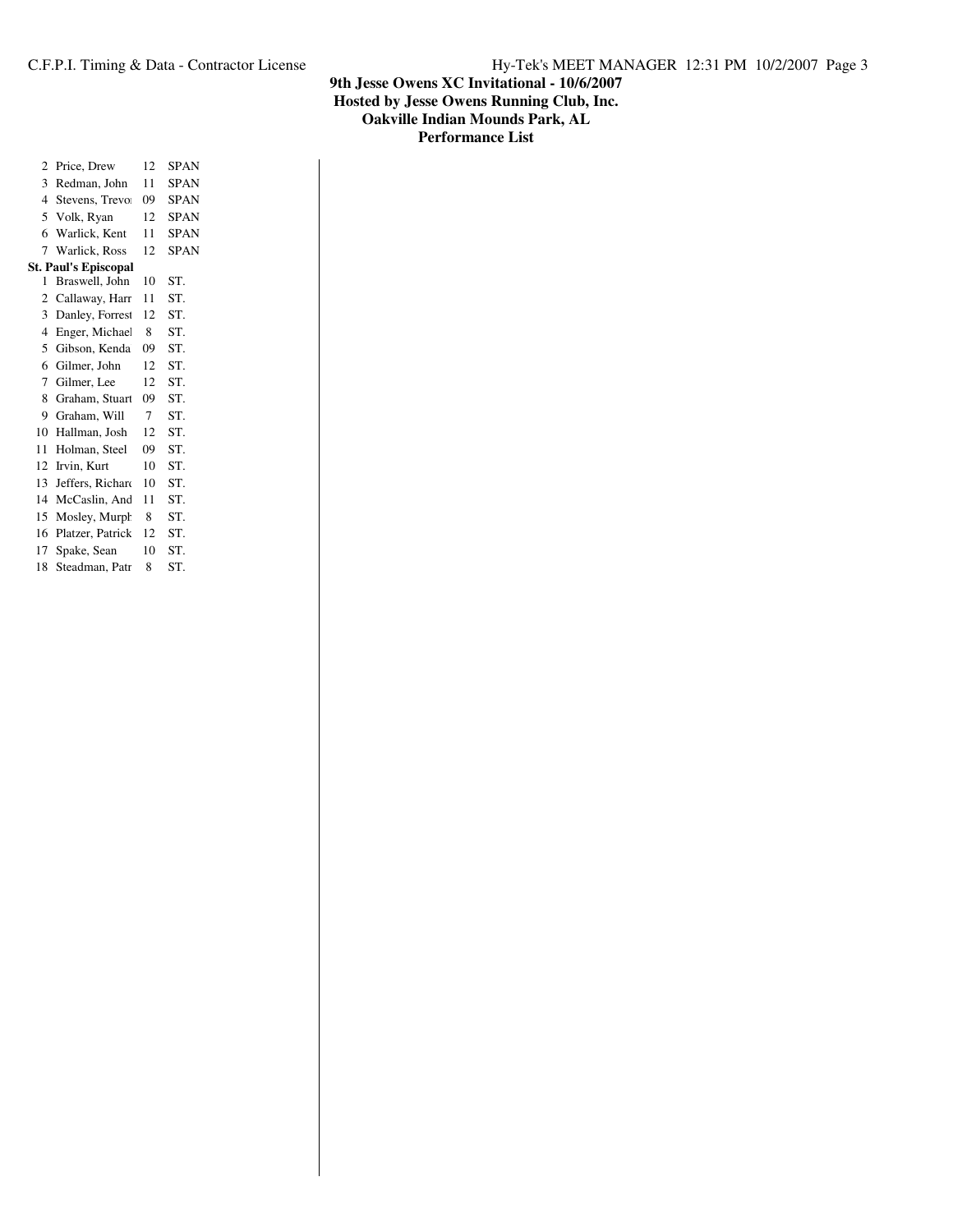| 2              | Price, Drew                 | 12 | <b>SPAN</b> |
|----------------|-----------------------------|----|-------------|
| 3              | Redman, John                | 11 | <b>SPAN</b> |
| $\overline{4}$ | Stevens, Trevo              | 09 | <b>SPAN</b> |
| 5              | Volk, Ryan                  | 12 | <b>SPAN</b> |
| 6              | Warlick, Kent               | 11 | <b>SPAN</b> |
| 7              | Warlick, Ross               | 12 | <b>SPAN</b> |
|                | <b>St. Paul's Episcopal</b> |    |             |
| 1              | Braswell, John              | 10 | ST.         |
| $\overline{c}$ | Callaway, Harr              | 11 | ST.         |
| 3              | Danley, Forrest             | 12 | ST.         |
| $\overline{4}$ | Enger, Michae               | 8  | ST.         |
| 5              | Gibson, Kenda               | 09 | ST.         |
| 6              | Gilmer, John                | 12 | ST.         |
| 7              | Gilmer, Lee                 | 12 | ST.         |
| 8              | Graham, Stuart              | 09 | ST.         |
| 9              | Graham, Will                | 7  | ST.         |
| 10             | Hallman, Josh               | 12 | ST.         |
| 11             | Holman, Steel               | 09 | ST.         |
| 12             | Irvin, Kurt                 | 10 | ST.         |
| 13             | Jeffers, Richard            | 10 | ST.         |
| 14             | McCaslin, And               | 11 | ST.         |
| 15             | Mosley, Murph               | 8  | ST.         |
| 16             | Platzer, Patrick            | 12 | ST.         |
| 17             | Spake, Sean                 | 10 | ST.         |
| 18             | Steadman, Patr              | 8  | ST.         |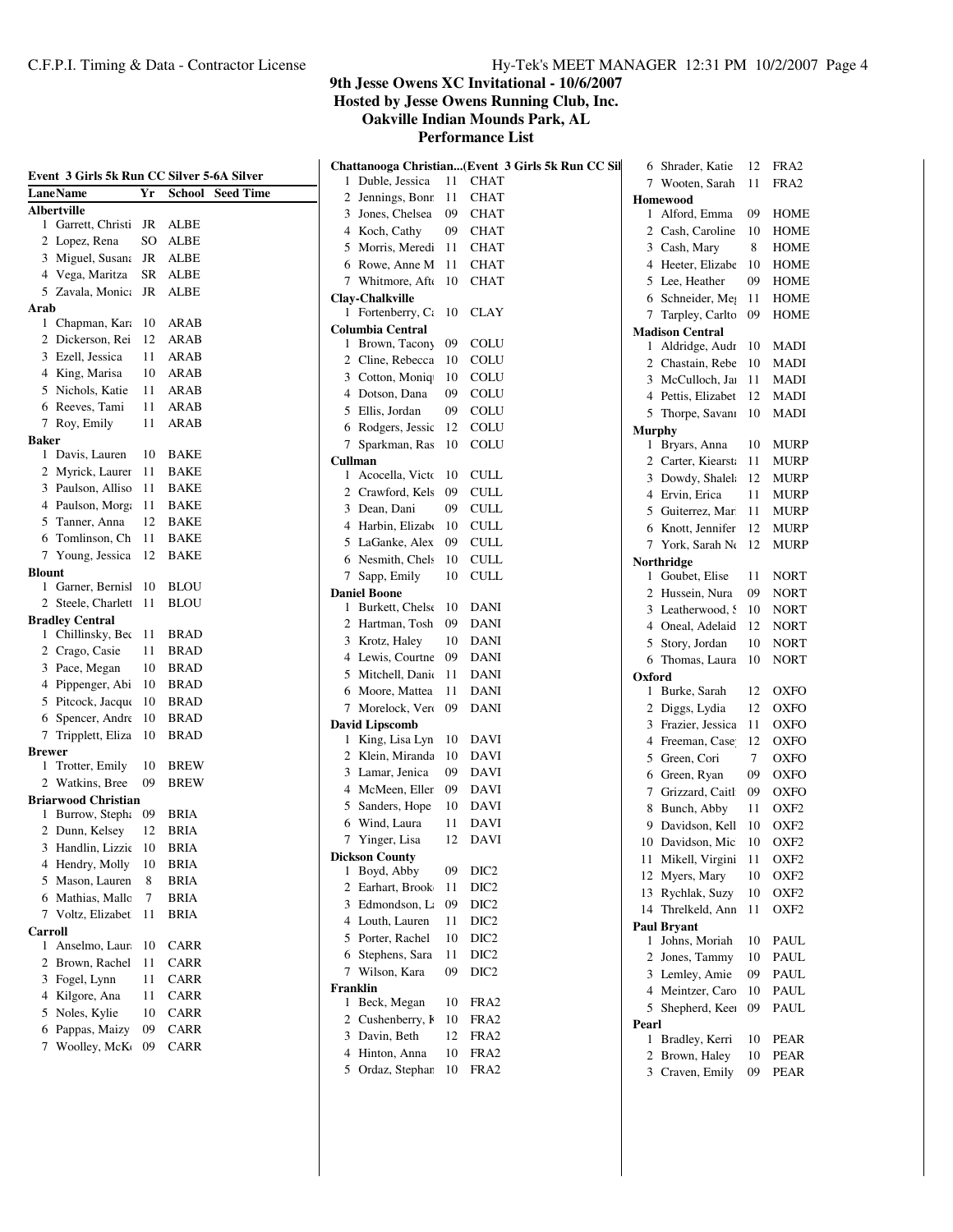**Hosted by Jesse Owens Running Club, Inc.**

**Oakville Indian Mounds Park, AL**

| Event 3 Girls 5k Run CC Silver 5-6A Silver  |     |                            | Chattanooga Christian(Event 3 Girls 5k Run CC Sil<br>1 Duble, Jessica<br>11<br><b>CHAT</b> | 6 Shrader, Katie<br>7 Wooten, Sarah | 12<br>11 | FRA2<br>FRA <sub>2</sub> |
|---------------------------------------------|-----|----------------------------|--------------------------------------------------------------------------------------------|-------------------------------------|----------|--------------------------|
| <b>LaneName</b>                             | Yr  | <b>School</b> Seed Time    | 2 Jennings, Bonr<br>-11<br><b>CHAT</b>                                                     | <b>Homewood</b>                     |          |                          |
| <b>Albertville</b>                          |     |                            | 3 Jones, Chelsea<br>09<br><b>CHAT</b>                                                      | 1 Alford, Emma                      | 09       | HOME                     |
| 1 Garrett, Christi JR                       |     | ALBE                       | 4 Koch, Cathy<br>09<br><b>CHAT</b>                                                         | Cash, Caroline<br>2                 | 10       | HOME                     |
| 2 Lopez, Rena                               | SO  | ALBE                       | 5 Morris, Meredi 11<br><b>CHAT</b>                                                         | 3 Cash, Mary                        | 8        | <b>HOME</b>              |
| 3 Miguel, Susana                            | JR  | ALBE                       | 6 Rowe, Anne M 11<br><b>CHAT</b>                                                           | Heeter, Elizabe<br>4                | -10      | HOME                     |
| 4 Vega, Maritza                             |     | SR ALBE                    | 7 Whitmore, Aft 10<br><b>CHAT</b>                                                          | Lee, Heather<br>5                   | 09       | HOME                     |
| 5 Zavala, Monic: JR ALBE                    |     |                            | Clay-Chalkville                                                                            | Schneider, Me<br>6                  | -11      | HOME                     |
| Arab                                        |     |                            | 1 Fortenberry, $C_i$ 10<br>CLAY                                                            | 7 Tarpley, Carlto 09                |          | HOME                     |
| 1 Chapman, Kara                             | 10  | ARAB                       | <b>Columbia Central</b>                                                                    | <b>Madison Central</b>              |          |                          |
| 2 Dickerson, Rei                            | 12  | <b>ARAB</b>                | <b>COLU</b><br>1 Brown, Tacony<br>09                                                       | 1 Aldridge, Audr                    | - 10     | <b>MADI</b>              |
| 3 Ezell, Jessica                            | 11  | ARAB                       | <b>COLU</b><br>2 Cline, Rebecca<br>- 10                                                    | Chastain, Rebe<br>2                 | 10       | MADI                     |
| 4 King, Marisa                              | 10  | ARAB                       | 3 Cotton, Moniq<br><b>COLU</b><br>10                                                       | McCulloch, Jai<br>3                 | 11       | <b>MADI</b>              |
| 5 Nichols, Katie                            | 11  | ARAB                       | 4 Dotson, Dana<br><b>COLU</b><br>09                                                        | Pettis, Elizabet<br>4               | 12       | <b>MADI</b>              |
| 6 Reeves, Tami                              | 11  | ARAB                       | 5 Ellis, Jordan<br>09<br><b>COLU</b>                                                       | 5 Thorpe, Savani                    | 10       | <b>MADI</b>              |
| 7 Roy, Emily                                | 11  | ARAB                       | 6 Rodgers, Jessic 12<br><b>COLU</b>                                                        | <b>Murphy</b>                       |          |                          |
| <b>Baker</b>                                |     |                            | 7 Sparkman, Ras 10<br><b>COLU</b>                                                          | 1 Bryars, Anna                      | 10       | <b>MURP</b>              |
| 1 Davis, Lauren                             | 10  | <b>BAKE</b>                | Cullman                                                                                    | 2 Carter, Kiearsta                  | 11       | <b>MURP</b>              |
| 2 Myrick, Laurer                            | 11  | <b>BAKE</b>                | 1 Acocella, Victo 10<br><b>CULL</b>                                                        | 3 Dowdy, Shalel                     | 12       | <b>MURP</b>              |
| 3 Paulson, Allisc                           | 11  | <b>BAKE</b>                | 2 Crawford, Kels<br>09<br><b>CULL</b>                                                      | Ervin, Erica<br>4                   | 11       | <b>MURP</b>              |
| 4 Paulson, Morg.                            | 11  | BAKE                       | <b>CULL</b><br>3 Dean, Dani<br>09                                                          | Guiterrez, Mar<br>5                 | 11       | <b>MURP</b>              |
| 5 Tanner, Anna                              | 12  | <b>BAKE</b>                | <b>CULL</b><br>4 Harbin, Elizabe 10                                                        | Knott, Jennifer<br>6                | 12       | <b>MURP</b>              |
| 6 Tomlinson, Ch                             | 11  | <b>BAKE</b>                | 5 LaGanke, Alex<br><b>CULL</b><br>09                                                       | 7 York, Sarah Ne                    | 12       | MURP                     |
| 7 Young, Jessica                            | 12  | <b>BAKE</b>                | 6 Nesmith, Chels<br>10<br><b>CULL</b>                                                      | Northridge                          |          |                          |
| <b>Blount</b>                               |     |                            | 7 Sapp, Emily<br><b>CULL</b><br>10                                                         | 1 Goubet, Elise                     | 11       | <b>NORT</b>              |
| 1 Garner, Bernisl                           | 10  | <b>BLOU</b>                | <b>Daniel Boone</b>                                                                        | 2 Hussein, Nura                     | 09       | <b>NORT</b>              |
| 2 Steele, Charlet 11                        |     | <b>BLOU</b>                | 1 Burkett, Chelse 10<br>DANI                                                               | 3 Leatherwood, S                    | 10       | <b>NORT</b>              |
| <b>Bradley Central</b><br>1 Chillinsky, Bec |     |                            | 2 Hartman, Tosh<br><b>DANI</b><br>-09                                                      | Oneal, Adelaid<br>4                 | 12       | <b>NORT</b>              |
|                                             | 11  | <b>BRAD</b>                | 3 Krotz, Haley<br>10<br><b>DANI</b>                                                        | Story, Jordan<br>5                  | 10       | <b>NORT</b>              |
| 2 Crago, Casie                              | 11  | <b>BRAD</b>                | 4 Lewis, Courtne 09<br><b>DANI</b>                                                         | 6 Thomas, Laura                     | 10       | <b>NORT</b>              |
| 3 Pace, Megan                               | 10  | <b>BRAD</b>                | 5 Mitchell, Dania 11<br><b>DANI</b>                                                        | Oxford                              |          |                          |
| 4 Pippenger, Abi                            | 10  | <b>BRAD</b>                | <b>DANI</b><br>6 Moore, Mattea<br>11                                                       | 1 Burke, Sarah                      | 12       | OXFO                     |
| 5 Pitcock, Jacque                           | 10  | <b>BRAD</b>                | 7 Morelock, Verc 09<br>DANI                                                                | 2 Diggs, Lydia                      | 12       | <b>OXFO</b>              |
| 6 Spencer, Andre                            | 10  | <b>BRAD</b>                | <b>David Lipscomb</b>                                                                      | 3<br>Frazier, Jessica               | 11       | <b>OXFO</b>              |
| 7 Tripplett, Eliza 10                       |     | <b>BRAD</b>                | 1 King, Lisa Lyn 10<br>DAVI                                                                | Freeman, Case<br>4                  | 12       | <b>OXFO</b>              |
| <b>Brewer</b>                               | 10  |                            | 2 Klein, Miranda<br>-10<br><b>DAVI</b>                                                     | Green, Cori<br>5                    | 7        | <b>OXFO</b>              |
| 1 Trotter, Emily<br>2 Watkins, Bree         | 09  | <b>BREW</b><br><b>BREW</b> | 3 Lamar, Jenica<br><b>DAVI</b><br>09                                                       | Green, Ryan<br>6                    | 09       | <b>OXFO</b>              |
| <b>Briarwood Christian</b>                  |     |                            | <b>DAVI</b><br>4 McMeen, Eller<br>09                                                       | Grizzard, Caitl<br>7                | 09       | <b>OXFO</b>              |
| 1 Burrow, Steph: 09                         |     | BRIA                       | 5 Sanders, Hope<br>DAVI<br>10                                                              | 8<br>Bunch, Abby                    | 11       | OXF <sub>2</sub>         |
| 2 Dunn, Kelsey                              | 12  | BRIA                       | 6 Wind, Laura<br><b>DAVI</b><br>11                                                         | 9 Davidson, Kell                    | 10       | OXF <sub>2</sub>         |
| 3 Handlin, Lizzie 10 BRIA                   |     |                            | 12<br><b>DAVI</b><br>7 Yinger, Lisa                                                        | 10 Davidson, Mic                    | 10       | OXF <sub>2</sub>         |
| 4 Hendry, Molly                             | 10  | <b>BRIA</b>                | <b>Dickson County</b>                                                                      | 11 Mikell, Virgini                  | 11       | OXF <sub>2</sub>         |
| 5 Mason, Lauren                             | 8   | <b>BRIA</b>                | 1 Boyd, Abby<br>DIC <sub>2</sub><br>09                                                     | 12 Myers, Mary                      | 10       | OXF <sub>2</sub>         |
| 6 Mathias, Mallc                            | 7   | <b>BRIA</b>                | DIC <sub>2</sub><br>2 Earhart, Brook<br>-11                                                | 13 Rychlak, Suzy                    | 10       | OXF <sub>2</sub>         |
| 7 Voltz, Elizabet                           | -11 | <b>BRIA</b>                | DIC <sub>2</sub><br>3 Edmondson, L.<br>09                                                  | 14 Threlkeld, Ann                   | 11       | OXF <sub>2</sub>         |
| <b>Carroll</b>                              |     |                            | 4 Louth, Lauren<br>DIC <sub>2</sub><br>11                                                  | <b>Paul Bryant</b>                  |          |                          |
| 1 Anselmo, Laur                             | 10  | CARR                       | 5 Porter, Rachel<br>DIC <sub>2</sub><br>10                                                 | 1 Johns, Moriah                     | 10       | PAUL                     |
| 2 Brown, Rachel                             | 11  | <b>CARR</b>                | 6 Stephens, Sara<br>DIC <sub>2</sub><br>11                                                 | 2 Jones, Tammy                      | 10       | PAUL                     |
| 3 Fogel, Lynn                               | 11  | CARR                       | DIC <sub>2</sub><br>7 Wilson, Kara<br>09                                                   | 3 Lemley, Amie                      | 09       | PAUL                     |
| 4 Kilgore, Ana                              | 11  | <b>CARR</b>                | Franklin                                                                                   | 4 Meintzer, Caro                    | 10       | PAUL                     |
| 5 Noles, Kylie                              | 10  | <b>CARR</b>                | 1 Beck, Megan<br>FRA <sub>2</sub><br>10                                                    | 5 Shepherd, Keen                    | 09       | PAUL                     |
| 6 Pappas, Maizy                             | 09  | <b>CARR</b>                | 2 Cushenberry, F<br>FRA <sub>2</sub><br>10                                                 | Pearl                               |          |                          |
|                                             |     |                            | 3 Davin, Beth<br>FRA <sub>2</sub><br>12                                                    | 1 Bradley, Kerri                    | 10       | PEAR                     |
| 7 Woolley, McK                              | 09  | <b>CARR</b>                | 4 Hinton, Anna<br>FRA <sub>2</sub><br>10                                                   | 2 Brown, Haley                      | 10       | PEAR                     |
|                                             |     |                            | 5 Ordaz, Stephan<br>FRA <sub>2</sub><br>10                                                 | 3 Craven, Emily                     | 09       | PEAR                     |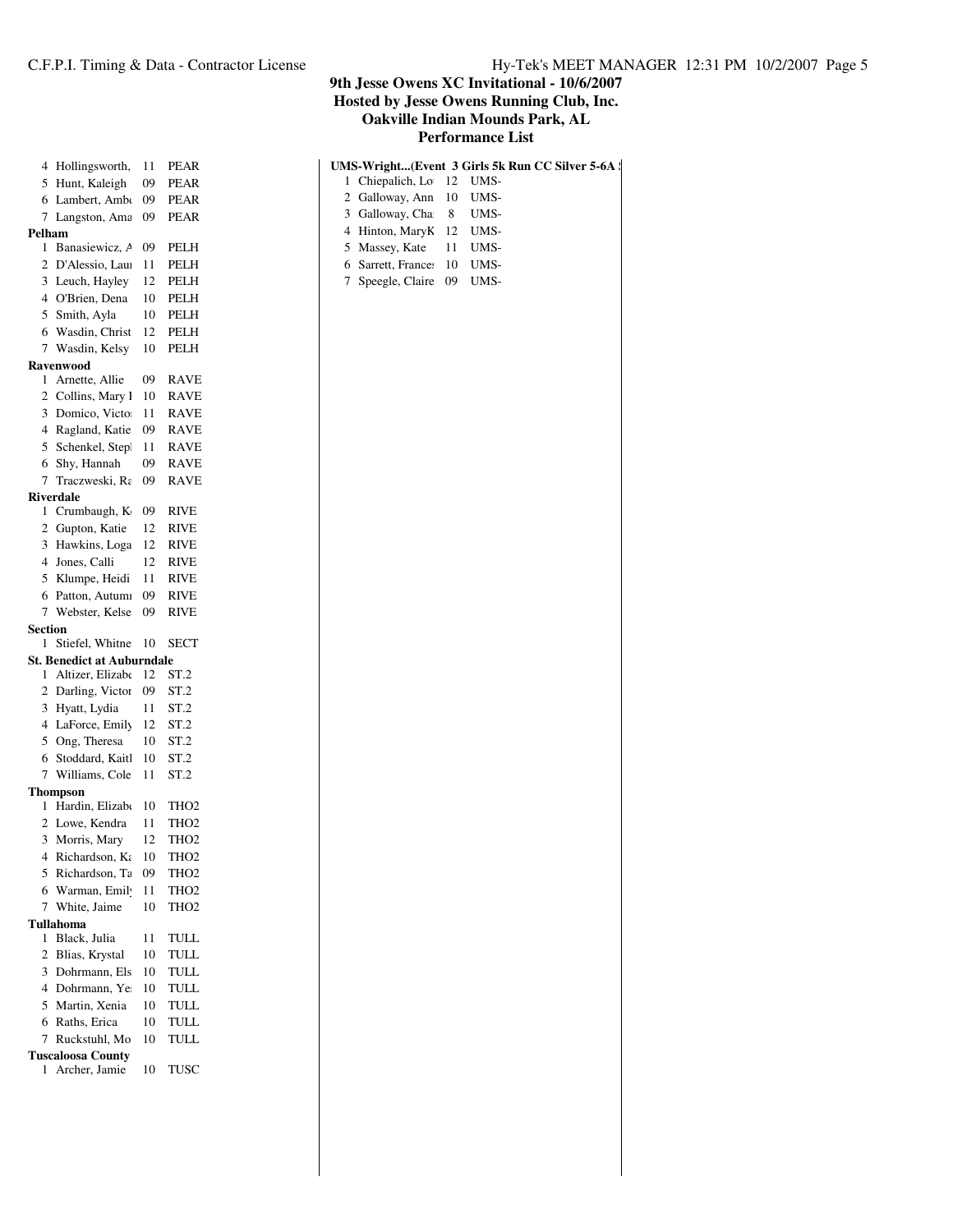| 4              | Hollingsworth,                                        | 11 | <b>PEAR</b>      |
|----------------|-------------------------------------------------------|----|------------------|
| 5              | Hunt, Kaleigh                                         | 09 | <b>PEAR</b>      |
| 6              | Lambert, Amb                                          | 09 | <b>PEAR</b>      |
| 7              | Langston, Ama                                         | 09 | <b>PEAR</b>      |
| Pelham         |                                                       |    |                  |
| 1              | Banasiewicz, A                                        | 09 | <b>PELH</b>      |
| $\overline{2}$ | D'Alessio, Lau                                        | 11 | <b>PELH</b>      |
| 3              | Leuch, Hayley                                         | 12 | <b>PELH</b>      |
| $\overline{4}$ | O'Brien, Dena                                         | 10 | PELH             |
| 5              | Smith, Ayla                                           | 10 | <b>PELH</b>      |
| 6              | Wasdin, Christ                                        | 12 | <b>PELH</b>      |
| 7              | Wasdin, Kelsy                                         | 10 | PELH             |
|                | <b>Ravenwood</b>                                      |    |                  |
| 1              | Arnette, Allie                                        | 09 | <b>RAVE</b>      |
| 2              | Collins, Mary l                                       | 10 | <b>RAVE</b>      |
| 3              | Domico, Victo                                         | 11 | <b>RAVE</b>      |
| $\overline{4}$ | Ragland, Katie                                        | 09 | <b>RAVE</b>      |
| 5              | Schenkel, Step                                        | 11 | <b>RAVE</b>      |
| 6              | Shy, Hannah                                           | 09 | <b>RAVE</b>      |
| $\overline{7}$ | Traczweski, Ra                                        | 09 | <b>RAVE</b>      |
|                | <b>Riverdale</b>                                      |    |                  |
| 1              | Crumbaugh, K                                          | 09 | <b>RIVE</b>      |
| 2              | Gupton, Katie                                         | 12 | <b>RIVE</b>      |
| 3              | Hawkins, Loga                                         | 12 | <b>RIVE</b>      |
| 4              | Jones, Calli                                          | 12 | <b>RIVE</b>      |
| 5              | Klumpe, Heidi                                         | 11 | <b>RIVE</b>      |
| 6              | Patton, Autumi<br>Webster, Kelse                      | 09 | <b>RIVE</b>      |
| 7              |                                                       | 09 | <b>RIVE</b>      |
|                |                                                       |    |                  |
| Section<br>1   |                                                       |    |                  |
|                | Stiefel, Whitne                                       | 10 | <b>SECT</b>      |
| 1              | <b>St. Benedict at Auburndale</b><br>Altizer, Elizabe | 12 | ST.2             |
| 2              | Darling, Victor                                       | 09 |                  |
| 3              |                                                       | 11 | ST.2             |
| 4              | Hyatt, Lydia                                          | 12 | ST.2             |
| 5              | LaForce, Emily                                        | 10 | ST.2             |
| 6              | Ong, Theresa                                          | 10 | ST.2             |
| 7              | Stoddard, Kaitl<br>Williams, Cole                     | 11 | ST.2             |
|                | Thompson                                              |    | ST.2             |
| 1              | Hardin, Elizab                                        | 10 | TH <sub>O2</sub> |
| 2              | Lowe, Kendra                                          | 11 | THO <sub>2</sub> |
| 3              | Morris, Mary                                          | 12 | THO <sub>2</sub> |
| 4              |                                                       | 10 | THO <sub>2</sub> |
| 5              | Richardson, Ka                                        | 09 | THO2             |
| 6              | Richardson, Ta                                        | 11 | THO <sub>2</sub> |
| 7              | Warman, Emil<br>White, Jaime                          | 10 | THO2             |
|                | Tullahoma                                             |    |                  |
| 1              | Black, Julia                                          | 11 | TULL             |
| $\overline{2}$ | Blias, Krystal                                        | 10 | TULL             |
| 3              | Dohrmann, Els                                         | 10 | TULL             |
| 4              | Dohrmann, Ye                                          | 10 | TULL             |
| 5              | Martin, Xenia                                         | 10 | TULL             |
| 6              | Raths, Erica                                          | 10 | <b>TULL</b>      |
| 7              | Ruckstuhl, Mo                                         | 10 | <b>TULL</b>      |
|                | <b>Tuscaloosa County</b><br>Archer, Jamie             |    | TUSC             |

|                            | UMS-Wright(Event 3 Girls 5k Run CC Silver 5-6A : |
|----------------------------|--------------------------------------------------|
| 1 Chiepalich, Lo 12 UMS-   |                                                  |
| 2 Galloway, Ann 10 UMS-    |                                                  |
| 3 Galloway, Cha 8 UMS-     |                                                  |
| 4 Hinton, MaryK 12 UMS-    |                                                  |
| 5 Massey, Kate 11 UMS-     |                                                  |
| 6 Sarrett, France: 10 UMS- |                                                  |
| 7 Speegle, Claire 09 UMS-  |                                                  |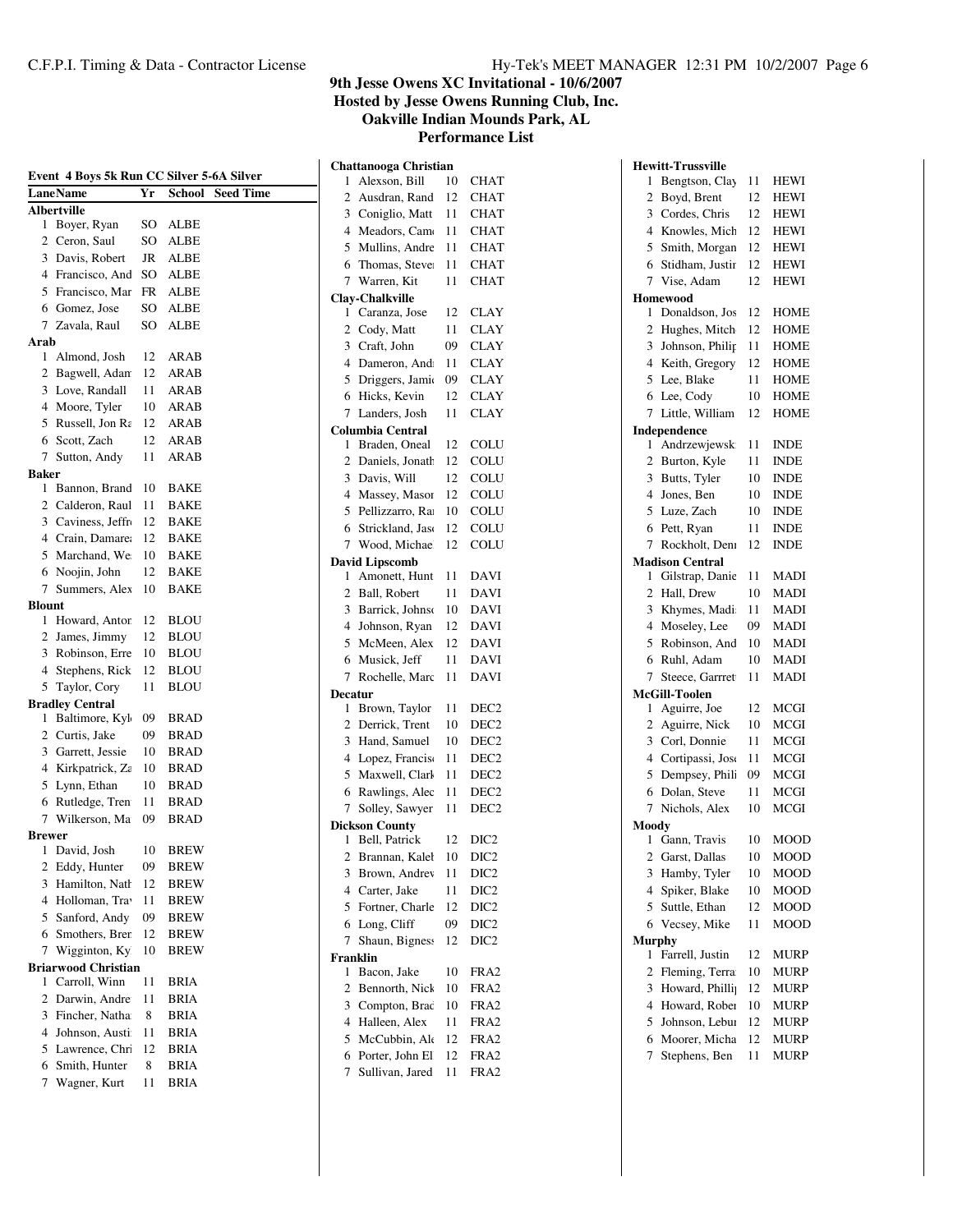**Hosted by Jesse Owens Running Club, Inc.**

**Oakville Indian Mounds Park, AL**

| Event 4 Boys 5k Run CC Silver 5-6A Silver |                            |     |                     |                  |
|-------------------------------------------|----------------------------|-----|---------------------|------------------|
|                                           | LaneName                   | Yr  | School              | <b>Seed Time</b> |
|                                           | <b>Albertville</b>         |     |                     |                  |
| 1                                         | Boyer, Ryan                |     | SO ALBE             |                  |
|                                           | 2 Ceron, Saul              | SO. | <b>ALBE</b>         |                  |
|                                           | 3 Davis, Robert            | JR  | <b>ALBE</b>         |                  |
|                                           | 4 Francisco, And           | SO. | <b>ALBE</b>         |                  |
|                                           | 5 Francisco, Mar           | FR  | ALBE                |                  |
|                                           | 6 Gomez, Jose              | SO  | ALBE                |                  |
| 7                                         | Zavala, Raul               | SO. | <b>ALBE</b>         |                  |
| Arab<br>1                                 | Almond, Josh               | 12  |                     |                  |
| $\overline{2}$                            | Bagwell, Adan              | 12  | ARAB<br><b>ARAB</b> |                  |
|                                           | 3 Love, Randall            | 11  | <b>ARAB</b>         |                  |
|                                           | 4 Moore, Tyler             | 10  |                     |                  |
|                                           | 5 Russell, Jon Ra          | 12  | <b>ARAB</b>         |                  |
| 6                                         | Scott, Zach                | 12  | <b>ARAB</b>         |                  |
| 7                                         |                            |     | ARAB                |                  |
| <b>Baker</b>                              | Sutton, Andy               | 11  | ARAB                |                  |
| 1                                         | Bannon, Brand              | 10  | <b>BAKE</b>         |                  |
|                                           | 2 Calderon, Raul           | 11  | <b>BAKE</b>         |                  |
|                                           | 3 Caviness, Jeffr          | 12  | <b>BAKE</b>         |                  |
|                                           | 4 Crain, Damare            | 12  | <b>BAKE</b>         |                  |
|                                           | 5 Marchand, We             | 10  | BAKE                |                  |
| 6                                         | Noojin, John               | 12  | <b>BAKE</b>         |                  |
| $\tau$                                    | Summers, Alex              | 10  | BAKE                |                  |
| <b>Blount</b>                             |                            |     |                     |                  |
| 1                                         | Howard, Antor              | 12  | <b>BLOU</b>         |                  |
| 2                                         | James, Jimmy               | 12  | <b>BLOU</b>         |                  |
|                                           | 3 Robinson, Erre           | 10  | <b>BLOU</b>         |                  |
| 4                                         | Stephens, Rick             | 12  | BLOU                |                  |
| 5                                         | Taylor, Cory               | 11  | <b>BLOU</b>         |                  |
|                                           | <b>Bradley Central</b>     |     |                     |                  |
| 1                                         | Baltimore, Kyl             | 09  | BRAD                |                  |
| 2                                         | Curtis, Jake               | 09  | BRAD                |                  |
| 3                                         | Garrett, Jessie            | 10  | <b>BRAD</b>         |                  |
| $\overline{4}$                            | Kirkpatrick, Za            | 10  | <b>BRAD</b>         |                  |
| 5                                         | Lynn, Ethan                | 10  | <b>BRAD</b>         |                  |
| 6                                         | Rutledge, Tren             | 11  | <b>BRAD</b>         |                  |
| 7                                         | Wilkerson, Ma              | 09  | <b>BRAD</b>         |                  |
| <b>Brewer</b>                             |                            |     |                     |                  |
| 1                                         | David, Josh                | 10  | <b>BREW</b>         |                  |
| 2                                         | Eddy, Hunter               | 09  | <b>BREW</b>         |                  |
| 3                                         | Hamilton, Natl             | 12  | BREW                |                  |
| 4                                         | Holloman, Tra              | 11  | BREW                |                  |
| 5                                         | Sanford, Andy              | 09  | <b>BREW</b>         |                  |
| 6                                         | Smothers, Brer             | 12  | <b>BREW</b>         |                  |
| 7                                         | Wigginton, Ky              | 10  | BREW                |                  |
|                                           | <b>Briarwood Christian</b> |     |                     |                  |
| 1                                         | Carroll, Winn              | 11  | <b>BRIA</b>         |                  |
| $\overline{2}$                            | Darwin, Andre              | 11  | <b>BRIA</b>         |                  |
| 3                                         | Fincher, Natha             | 8   | <b>BRIA</b>         |                  |
| 4                                         | Johnson, Austi             | 11  | <b>BRIA</b>         |                  |
| 5                                         | Lawrence, Chr.             | 12  | BRIA                |                  |
| 6                                         | Smith, Hunter              | 8   | BRIA                |                  |
| 7                                         | Wagner, Kurt               | 11  | BRIA                |                  |

|                     | Chattanooga Christian                  |    |                  |
|---------------------|----------------------------------------|----|------------------|
| 1                   | Alexson, Bill                          | 10 | CHAT             |
| $\overline{c}$      | Ausdran, Rand                          | 12 | <b>CHAT</b>      |
| 3                   | Coniglio, Matt                         | 11 | <b>CHAT</b>      |
| 4                   | Meadors, Camo                          | 11 | CHAT             |
| 5                   | Mullins, Andre                         | 11 | CHAT             |
| 6                   | Thomas, Stever                         | 11 | <b>CHAT</b>      |
| 7                   | Warren, Kit                            | 11 | <b>CHAT</b>      |
|                     | Clay-Chalkville                        |    |                  |
| 1                   | Caranza, Jose                          | 12 | <b>CLAY</b>      |
| 2                   | Cody, Matt                             | 11 | <b>CLAY</b>      |
| 3                   | Craft, John                            | 09 | <b>CLAY</b>      |
| 4                   | Dameron, And:                          | 11 | <b>CLAY</b>      |
| 5                   | Driggers, Jamio                        | 09 | <b>CLAY</b>      |
| 6                   | Hicks, Kevin                           | 12 | <b>CLAY</b>      |
| 7                   | Landers, Josh                          | 11 | <b>CLAY</b>      |
|                     | <b>Columbia Central</b>                |    |                  |
| 1                   | Braden, Oneal                          | 12 | COLU             |
| 2                   | Daniels, Jonath                        | 12 | COLU             |
| 3                   | Davis, Will                            | 12 | COLU             |
| 4                   | Massey, Masor                          | 12 | COLU             |
| 5                   | Pellizzarro, Ra                        | 10 | COLU             |
| 6                   | Strickland, Jaso                       | 12 |                  |
| 7                   | Wood, Michae                           | 12 | COLU<br>COLU     |
|                     |                                        |    |                  |
| 1                   | <b>David Lipscomb</b><br>Amonett, Hunt | 11 | DAVI             |
| 2                   | Ball, Robert                           | 11 | <b>DAVI</b>      |
| 3                   | Barrick, Johnso                        | 10 | DAVI             |
| 4                   | Johnson, Ryan                          | 12 | DAVI             |
| 5                   | McMeen, Alex                           |    |                  |
|                     |                                        | 12 | DAVI             |
| 6                   | Musick, Jeff                           | 11 | DAVI             |
| 7                   | Rochelle, Marc                         | 11 | <b>DAVI</b>      |
| <b>Decatur</b><br>1 | Brown, Taylor                          | 11 | DEC <sub>2</sub> |
| 2                   | Derrick, Trent                         | 10 | DEC <sub>2</sub> |
| 3                   | Hand, Samuel                           | 10 | DEC <sub>2</sub> |
| 4                   |                                        | 11 | DEC <sub>2</sub> |
|                     | Lopez, Francis                         |    |                  |
| 5                   | Maxwell, Clark                         | 11 | DEC <sub>2</sub> |
| 6                   | Rawlings, Alec                         | 11 | DEC <sub>2</sub> |
| 7                   | Solley, Sawyer                         | 11 | DEC <sub>2</sub> |
| 1                   | <b>Dickson County</b><br>Bell, Patrick | 12 | DIC <sub>2</sub> |
| $\mathfrak{D}$      | Brannan, Kaleł                         | 10 | DIC <sub>2</sub> |
|                     |                                        |    |                  |
| 3                   | Brown, Andrev                          | 11 | DIC <sub>2</sub> |
| 4                   | Carter, Jake                           | 11 | DIC <sub>2</sub> |
| 5                   | Fortner, Charle                        | 12 | DIC <sub>2</sub> |
| 6                   | Long, Cliff                            | 09 | DIC <sub>2</sub> |
| 7                   | Shaun, Bigness                         | 12 | DIC <sub>2</sub> |
| Franklin<br>1       | Bacon, Jake                            | 10 | FRA2             |
| 2                   | Bennorth, Nick                         |    |                  |
| 3                   |                                        | 10 | FRA2             |
|                     | Compton, Brac<br>Halleen, Alex         | 10 | FRA2             |
| 4                   |                                        | 11 | FRA2             |
| 5                   | McCubbin, Ale                          | 12 | FRA2             |
| 6                   | Porter, John El                        | 12 | FRA2             |
| 7                   | Sullivan, Jared                        | 11 | FRA2             |

|                | <b>Hewitt-Trussville</b>    |    |             |
|----------------|-----------------------------|----|-------------|
| 1              | Bengtson, Clay              | 11 | HEWI        |
| $\overline{2}$ | Boyd, Brent                 | 12 | HEWI        |
| 3              | Cordes, Chris               | 12 | <b>HEWI</b> |
| 4              | Knowles, Mich               | 12 | <b>HEWI</b> |
| 5              | Smith, Morgan               | 12 | <b>HEWI</b> |
| 6              | Stidham, Justir             | 12 | <b>HEWI</b> |
| 7              | Vise, Adam                  | 12 | <b>HEWI</b> |
|                | <b>Homewood</b>             |    |             |
| 1              | Donaldson, Jos              | 12 | <b>HOME</b> |
| $\overline{c}$ | Hughes, Mitch               | 12 | <b>HOME</b> |
| 3              | Johnson, Philip             | 11 | <b>HOME</b> |
| 4              | Keith, Gregory              | 12 | <b>HOME</b> |
| 5              | Lee, Blake                  | 11 | <b>HOME</b> |
| 6              | Lee, Cody                   | 10 | <b>HOME</b> |
| 7              | Little, William             | 12 | <b>HOME</b> |
|                | Independence                |    |             |
| 1              | Andrzewjewsk                | 11 | <b>INDE</b> |
| $\overline{2}$ | Burton, Kyle                | 11 | <b>INDE</b> |
| 3              | Butts, Tyler                | 10 | INDE        |
| 4              | Jones, Ben                  | 10 | INDE        |
| 5              | Luze, Zach                  | 10 | <b>INDE</b> |
| 6              | Pett, Ryan                  | 11 | <b>INDE</b> |
| 7              | Rockholt, Deni              | 12 | <b>INDE</b> |
|                | <b>Madison Central</b>      |    |             |
| 1              | Gilstrap, Danie             | 11 | MADI        |
| 2              | Hall, Drew                  | 10 | <b>MADI</b> |
| 3              | Khymes, Madi                | 11 | MADI        |
| 4              | Moseley, Lee                | 09 | MADI        |
| 5              | Robinson, And               | 10 | <b>MADI</b> |
| 6              | Ruhl, Adam                  | 10 | <b>MADI</b> |
| 7              | Steece, Garrret             | 11 | <b>MADI</b> |
|                | McGill-Toolen               |    |             |
| 1              | Aguirre, Joe                | 12 | MCGI        |
| 2              | Aguirre, Nick               | 10 | <b>MCGI</b> |
| 3              | Corl, Donnie                | 11 | <b>MCGI</b> |
| 4              | Cortipassi, Jose            | 11 | <b>MCGI</b> |
| 5              | Dempsey, Phili              | 09 | <b>MCGI</b> |
| 6              | Dolan, Steve                | 11 | <b>MCGI</b> |
| 7              | Nichols, Alex               | 10 | <b>MCGI</b> |
| Moodv          |                             |    |             |
| 1              | Gann, Travis                | 10 | <b>MOOD</b> |
| 2              | Garst, Dallas               | 10 | MOOD        |
| 3              | Hamby, Tyler                | 10 | MOOD        |
| 4              | Spiker, Blake               | 10 | MOOD        |
| 5              | Suttle, Ethan               | 12 | MOOD        |
| 6              | Vecsey, Mike                | 11 | MOOD        |
| <b>Murphy</b>  |                             |    |             |
| 1              | Farrell, Justin             | 12 | MURP        |
| 2              | Fleming, Terra              | 10 | MURP        |
| 3              | Howard, Philli <sub>l</sub> | 12 | MURP        |
| 4              | Howard, Rober               | 10 | MURP        |
| 5              | Johnson, Lebui              | 12 | MURP        |
| 6              | Moorer, Micha               | 12 | MURP        |
| 7              | Stephens, Ben               | 11 | MURP        |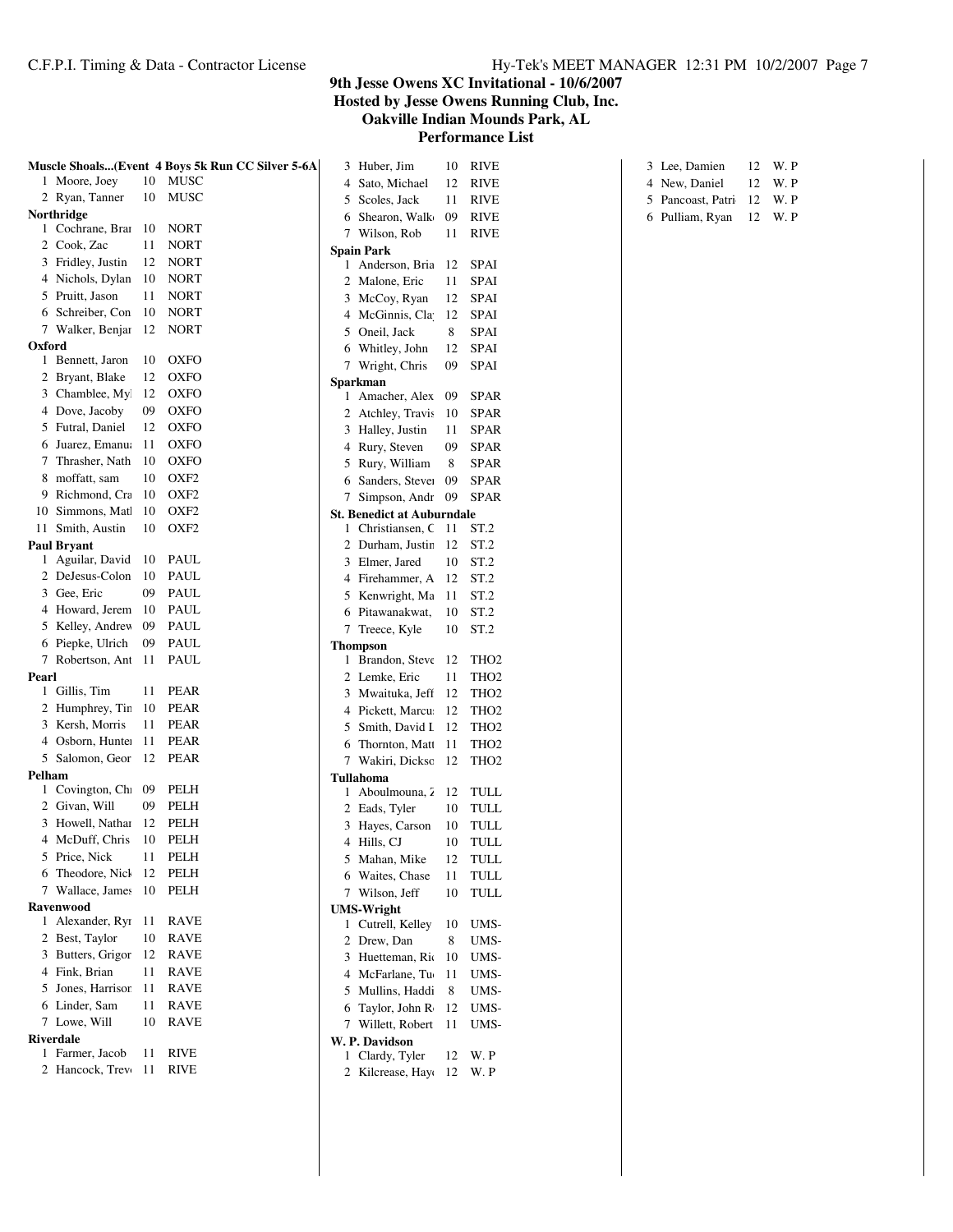|                               |        | Muscle Shoals(Event 4 Boys 5k Run CC Silver 5-6A |              | 3 Huber, Jim                      | 10 | <b>RIVE</b>      |
|-------------------------------|--------|--------------------------------------------------|--------------|-----------------------------------|----|------------------|
| 1 Moore, Joey                 | 10     | MUSC                                             | 4            | Sato, Michael                     | 12 | <b>RIVE</b>      |
| 2 Ryan, Tanner                | 10     | MUSC                                             | 5            | Scoles, Jack                      | 11 | <b>RIVE</b>      |
| Northridge                    |        |                                                  | 6            | Shearon, Walk                     | 09 | <b>RIVE</b>      |
| 1 Cochrane, Brai              | 10     | <b>NORT</b>                                      |              | 7 Wilson, Rob                     | 11 | <b>RIVE</b>      |
| 2 Cook, Zac                   | 11     | <b>NORT</b>                                      |              | <b>Spain Park</b>                 |    |                  |
| 3 Fridley, Justin             | 12     | <b>NORT</b>                                      |              | 1 Anderson, Bria                  | 12 | SPAI             |
| 4 Nichols, Dylan              | 10     | <b>NORT</b>                                      |              | 2 Malone, Eric                    | 11 | <b>SPAI</b>      |
| 5 Pruitt, Jason               | 11     | <b>NORT</b>                                      |              | 3 McCoy, Ryan                     | 12 | SPAI             |
| 6 Schreiber, Con              | 10     | <b>NORT</b>                                      |              | 4 McGinnis, Cla                   | 12 | SPAI             |
| 7 Walker, Benjar              | 12     | <b>NORT</b>                                      |              | 5 Oneil, Jack                     | 8  | <b>SPAI</b>      |
| Oxford                        |        |                                                  |              | 6 Whitley, John                   | 12 | SPAI             |
| 1 Bennett, Jaron              | 10     | <b>OXFO</b>                                      |              | 7 Wright, Chris                   | 09 | SPAI             |
| 2 Bryant, Blake               | 12     | <b>OXFO</b>                                      |              | <b>Sparkman</b>                   |    |                  |
| 3 Chamblee, My                | 12     | <b>OXFO</b>                                      |              | 1 Amacher, Alex                   | 09 | <b>SPAR</b>      |
| 4 Dove, Jacoby                | 09     | <b>OXFO</b>                                      |              | 2 Atchley, Travis                 | 10 | SPAR             |
| 5 Futral, Daniel              | 12     | <b>OXFO</b>                                      |              | 3 Halley, Justin                  | 11 | <b>SPAR</b>      |
| 6 Juarez, Emanu               | 11     | <b>OXFO</b>                                      | 4            | Rury, Steven                      | 09 | <b>SPAR</b>      |
| Thrasher, Nath<br>7           | 10     | <b>OXFO</b>                                      | 5            | Rury, William                     | 8  | <b>SPAR</b>      |
| moffatt, sam<br>8             | 10     | OXF <sub>2</sub>                                 |              | 6 Sanders, Stever                 | 09 | <b>SPAR</b>      |
| 9 Richmond, Cra               | 10     | OXF <sub>2</sub>                                 |              | 7 Simpson, Andr                   | 09 | <b>SPAR</b>      |
| 10 Simmons, Mat               | 10     | OXF <sub>2</sub>                                 |              | <b>St. Benedict at Auburndale</b> |    |                  |
| 11 Smith, Austin              | 10     | OXF <sub>2</sub>                                 | $\mathbf{1}$ | Christiansen, C                   | 11 | ST <sub>2</sub>  |
| <b>Paul Bryant</b>            |        |                                                  |              | 2 Durham, Justin                  | 12 | ST <sub>.2</sub> |
| 1 Aguilar, David              | 10     | PAUL                                             |              | 3 Elmer, Jared                    | 10 | ST.2             |
| 2 DeJesus-Colon               | 10     | PAUL                                             |              | 4 Firehammer, A                   | 12 | ST <sub>.2</sub> |
| 3 Gee, Eric                   | 09     | PAUL                                             |              | 5 Kenwright, Ma                   | 11 | ST <sub>.2</sub> |
| 4 Howard, Jerem               | 10     | PAUL                                             |              | 6 Pitawanakwat,                   | 10 | ST <sub>.2</sub> |
| 5 Kelley, Andrev              | 09     | PAUL                                             |              | 7 Treece, Kyle                    | 10 | ST <sub>.2</sub> |
| 6 Piepke, Ulrich              | 09     | PAUL                                             |              | <b>Thompson</b>                   |    |                  |
| 7 Robertson, Ant              | 11     | PAUL                                             |              | 1 Brandon, Steve                  | 12 | THO <sub>2</sub> |
| Pearl                         |        |                                                  |              | 2 Lemke, Eric                     | 11 | TH <sub>O2</sub> |
| 1 Gillis, Tim                 | 11     | <b>PEAR</b>                                      |              | 3 Mwaituka, Jeff                  | 12 | TH <sub>O2</sub> |
| 2 Humphrey, Tir.              | 10     | <b>PEAR</b>                                      |              | 4 Pickett, Marcu                  | 12 | THO <sub>2</sub> |
| 3 Kersh, Morris               | 11     | <b>PEAR</b>                                      | 5            | Smith, David I                    | 12 | THO <sub>2</sub> |
| 4 Osborn, Hunte:              | 11     | <b>PEAR</b>                                      | 6            | Thornton, Matt                    | 11 | TH <sub>O2</sub> |
| 5 Salomon, Geor               | 12     | <b>PEAR</b>                                      |              | 7 Wakiri, Dicksc                  | 12 | TH <sub>O2</sub> |
| Pelham                        |        |                                                  |              | <b>Tullahoma</b>                  |    |                  |
| Covington, Ch<br>$\mathbf{1}$ | 09     | PELH                                             | 1            | Aboulmouna, 2                     | 12 | TULL             |
| 2 Givan, Will                 | 09     | PELH                                             |              | 2 Eads, Tyler                     | 10 | TULL             |
| 3 Howell, Nathai              | 12     | PELH                                             |              | 3 Hayes, Carson                   | 10 | TULL             |
| 4 McDuff, Chris               | 10     | PELH                                             |              | 4 Hills, CJ                       | 10 | TULL             |
| 5 Price, Nick                 | $11\,$ | PELH                                             |              | 5 Mahan, Mike                     | 12 | <b>TULL</b>      |
| 6 Theodore, Nicl              | 12     | PELH                                             |              | 6 Waites, Chase                   | 11 | <b>TULL</b>      |
| 7 Wallace, James              | 10     | PELH                                             |              | 7 Wilson, Jeff                    | 10 | TULL             |
| <b>Ravenwood</b>              |        |                                                  |              | <b>UMS-Wright</b>                 |    |                  |
| 1 Alexander, Ryı              | 11     | RAVE                                             |              | 1 Cutrell, Kelley                 | 10 | UMS-             |
| 2 Best, Taylor                | 10     | RAVE                                             |              | 2 Drew, Dan                       | 8  | UMS-             |
| 3 Butters, Grigor             | 12     | RAVE                                             |              | 3 Huetteman, Rio                  | 10 | UMS-             |
| 4 Fink, Brian                 | 11     | RAVE                                             |              | 4 McFarlane, Tu                   | 11 | UMS-             |
| 5 Jones, Harrisor             | 11     | RAVE                                             |              | 5 Mullins, Haddi                  | 8  | UMS-             |
| 6 Linder, Sam                 | 11     | RAVE                                             |              | 6 Taylor, John R                  | 12 | UMS-             |
| 7 Lowe, Will                  | 10     | RAVE                                             |              | 7 Willett, Robert                 | 11 | UMS-             |
| <b>Riverdale</b>              |        |                                                  |              | W. P. Davidson                    |    |                  |
| 1 Farmer, Jacob               | 11     | <b>RIVE</b>                                      |              | 1 Clardy, Tyler                   | 12 | W. P             |
| 2 Hancock, Trev               | 11     | RIVE                                             |              | 2 Kilcrease, Hayo                 | 12 | W. P             |
|                               |        |                                                  |              |                                   |    |                  |

| 3 Lee, Damien             | 12 W.P               |
|---------------------------|----------------------|
| 4 New, Daniel             | $12 \quad W \quad P$ |
| 5 Pancoast, Patri 12 W. P |                      |
| 6 Pulliam, Ryan 12 W. P   |                      |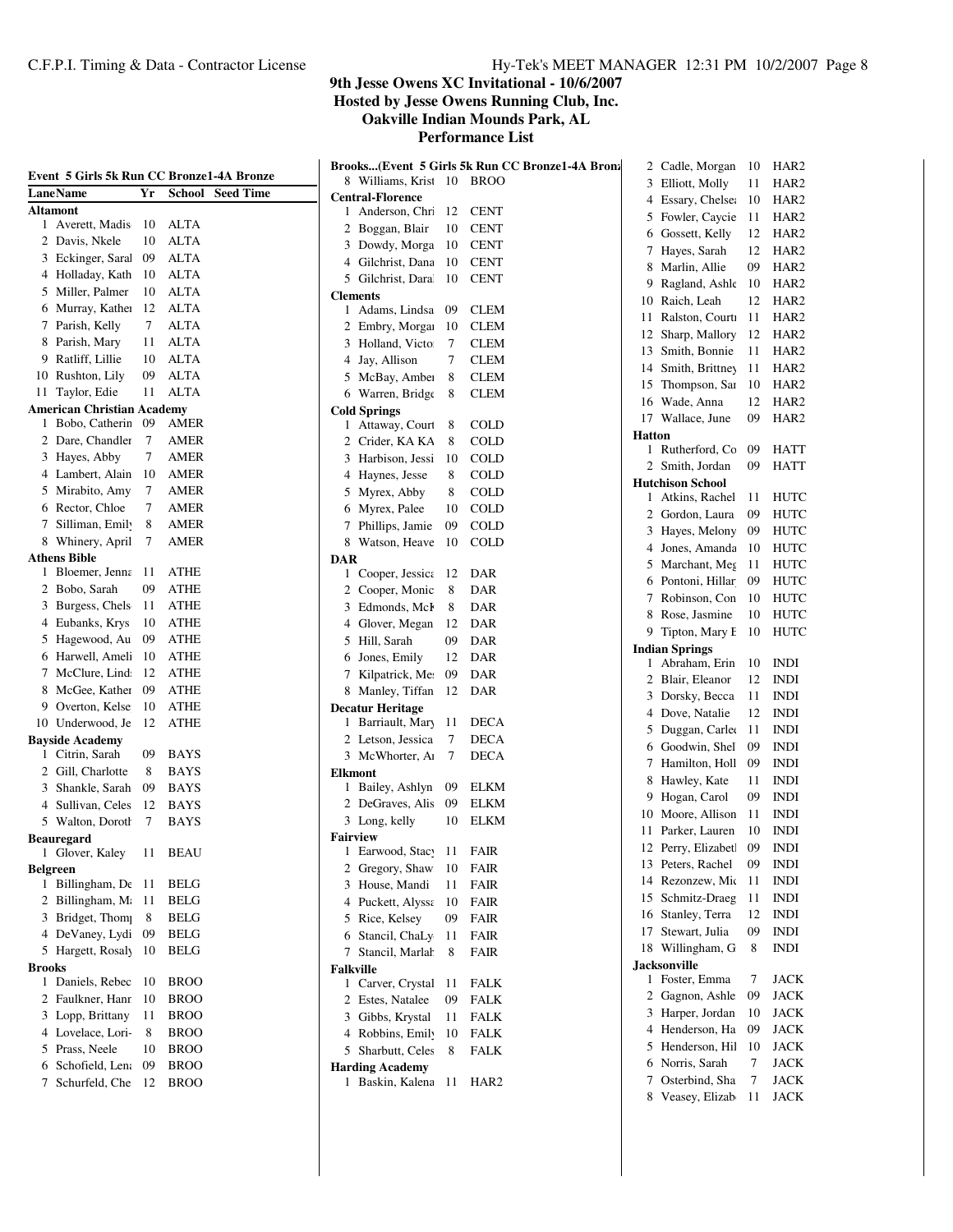| Event 5 Girls 5k Run CC Bronze1-4A Bronze |         |                     |                  |                                                   |          | Brooks(Event 5 Girls 5k Run CC Bronze1-4A Bronz |               | 2 Cadle, Morgan                        | 10       | HAR <sub>2</sub>                     |
|-------------------------------------------|---------|---------------------|------------------|---------------------------------------------------|----------|-------------------------------------------------|---------------|----------------------------------------|----------|--------------------------------------|
| <b>LaneName</b>                           | Yr      | <b>School</b>       | <b>Seed Time</b> | 8 Williams, Krist 10                              |          | <b>BROO</b>                                     |               | 3 Elliott, Molly                       | 11       | HAR <sub>2</sub>                     |
| <b>Altamont</b>                           |         |                     |                  | <b>Central-Florence</b><br>1 Anderson, Chri       | 12       | <b>CENT</b>                                     |               | 4 Essary, Chelse:                      | 10       | HAR <sub>2</sub>                     |
| 1 Averett, Madis                          | 10      | <b>ALTA</b>         |                  | 2 Boggan, Blair                                   | 10       | <b>CENT</b>                                     |               | 5 Fowler, Caycie                       | 11       | HAR <sub>2</sub>                     |
| 2 Davis, Nkele                            | 10      | <b>ALTA</b>         |                  | 3 Dowdy, Morga                                    | 10       | <b>CENT</b>                                     | 6             | Gossett, Kelly                         | 12       | HAR <sub>2</sub>                     |
| 3 Eckinger, Sara                          | 09      | <b>ALTA</b>         |                  | 4 Gilchrist, Dana                                 | 10       | <b>CENT</b>                                     | 7             | Hayes, Sarah                           | 12       | HAR <sub>2</sub>                     |
| 4 Holladay, Kath                          | 10      | ALTA                |                  | 5 Gilchrist, Dara                                 | 10       | <b>CENT</b>                                     | 8             | Marlin, Allie                          | 09       | HAR <sub>2</sub>                     |
| 5 Miller, Palmer                          | 10      | <b>ALTA</b>         |                  | <b>Clements</b>                                   |          |                                                 | 9             | Ragland, Ashle                         | 10<br>12 | HAR <sub>2</sub><br>HAR <sub>2</sub> |
| 6 Murray, Kathel                          | 12      | <b>ALTA</b>         |                  | 1 Adams, Lindsa                                   | -09      | <b>CLEM</b>                                     | 10<br>11      | Raich, Leah<br>Ralston, Courti         | 11       | HAR <sub>2</sub>                     |
| 7 Parish, Kelly                           | 7       | <b>ALTA</b>         |                  | Embry, Morgan<br>2                                | 10       | <b>CLEM</b>                                     | 12            | Sharp, Mallory                         | 12       | HAR <sub>2</sub>                     |
| 8 Parish, Mary                            | 11      | <b>ALTA</b>         |                  | 3 Holland, Victo:                                 | $\tau$   | <b>CLEM</b>                                     |               | 13 Smith, Bonnie                       | 11       | HAR <sub>2</sub>                     |
| 9 Ratliff, Lillie                         | 10      | <b>ALTA</b>         |                  | 4 Jay, Allison                                    | 7        | <b>CLEM</b>                                     | 14            | Smith, Brittney                        | 11       | HAR <sub>2</sub>                     |
| 10 Rushton, Lily                          | 09      | <b>ALTA</b>         |                  | 5 McBay, Amber                                    | 8        | <b>CLEM</b>                                     | 15            | Thompson, Sar                          | 10       | HAR <sub>2</sub>                     |
| 11 Taylor, Edie                           | 11      | <b>ALTA</b>         |                  | 6 Warren, Bridge                                  | 8        | <b>CLEM</b>                                     | 16            | Wade, Anna                             | 12       | HAR <sub>2</sub>                     |
| <b>American Christian Academy</b>         |         |                     |                  | <b>Cold Springs</b>                               |          |                                                 | 17            | Wallace, June                          | 09       | HAR <sub>2</sub>                     |
| 1 Bobo, Catherin                          | -09     | <b>AMER</b>         |                  | 1 Attaway, Court                                  | 8        | <b>COLD</b>                                     | <b>Hatton</b> |                                        |          |                                      |
| 2 Dare, Chandler                          | $\tau$  | AMER                |                  | Crider, KA KA<br>2                                | 8        | <b>COLD</b>                                     |               | 1 Rutherford, Co                       | 09       | HATT                                 |
| 3 Hayes, Abby                             | 7       | AMER<br><b>AMER</b> |                  | Harbison, Jessi<br>3                              | 10       | <b>COLD</b>                                     |               | 2 Smith, Jordan                        | 09       | HATT                                 |
| 4 Lambert, Alain                          | 10<br>7 | AMER                |                  | Haynes, Jesse<br>4                                | 8        | <b>COLD</b>                                     |               | <b>Hutchison School</b>                |          |                                      |
| 5 Mirabito, Amy<br>6 Rector, Chloe        | 7       | <b>AMER</b>         |                  | 5 Myrex, Abby                                     | 8        | <b>COLD</b>                                     |               | Atkins, Rachel                         | 11       | <b>HUTC</b>                          |
| 7 Silliman, Emil                          | 8       | <b>AMER</b>         |                  | 6 Myrex, Palee<br>7 Phillips, Jamie               | 10<br>09 | <b>COLD</b><br><b>COLD</b>                      | 2             | Gordon, Laura                          | 09       | HUTC                                 |
| 8 Whinery, April                          | 7       | AMER                |                  | 8 Watson, Heave 10                                |          | <b>COLD</b>                                     | 3             | Hayes, Melony                          | 09       | HUTC                                 |
| <b>Athens Bible</b>                       |         |                     |                  | <b>DAR</b>                                        |          |                                                 | 4             | Jones, Amanda                          | 10       | HUTC                                 |
| 1 Bloemer, Jenna 11                       |         | <b>ATHE</b>         |                  | 1 Cooper, Jessica 12                              |          | DAR                                             |               | 5 Marchant, Meg                        | 11       | HUTC                                 |
| 2 Bobo, Sarah                             | 09      | <b>ATHE</b>         |                  | Cooper, Monic<br>2                                | 8        | <b>DAR</b>                                      | 6             | Pontoni, Hillar                        | 09       | HUTC                                 |
| 3 Burgess, Chels                          | 11      | <b>ATHE</b>         |                  | Edmonds, McF<br>3                                 | 8        | <b>DAR</b>                                      | 7             | Robinson, Con                          | 10       | HUTC                                 |
| 4 Eubanks, Krys                           | 10      | <b>ATHE</b>         |                  | 4 Glover, Megan                                   | 12       | DAR                                             | 8             | Rose, Jasmine                          | 10       | HUTC                                 |
| 5 Hagewood, Au                            | 09      | <b>ATHE</b>         |                  | 5 Hill, Sarah                                     | 09       | <b>DAR</b>                                      | 9             | Tipton, Mary E                         | 10       | HUTC                                 |
| 6 Harwell, Ameli                          | 10      | <b>ATHE</b>         |                  | Jones, Emily<br>6                                 | 12       | <b>DAR</b>                                      |               | <b>Indian Springs</b><br>Abraham, Erin | 10       | <b>INDI</b>                          |
| 7 McClure, Lind                           | 12      | <b>ATHE</b>         |                  | 7 Kilpatrick, Me:                                 | 09       | <b>DAR</b>                                      | 2             | Blair, Eleanor                         | 12       | <b>INDI</b>                          |
| 8 McGee, Kather                           | 09      | <b>ATHE</b>         |                  | 8 Manley, Tiffan 12                               |          | <b>DAR</b>                                      | 3             | Dorsky, Becca                          | 11       | <b>INDI</b>                          |
| 9 Overton, Kelse                          | 10      | <b>ATHE</b>         |                  | <b>Decatur Heritage</b>                           |          |                                                 | 4             | Dove, Natalie                          | 12       | <b>INDI</b>                          |
| 10 Underwood, Je                          | 12      | <b>ATHE</b>         |                  | 1 Barriault, Mary                                 | -11      | DECA                                            | 5             | Duggan, Carlee                         | 11       | <b>INDI</b>                          |
| <b>Bayside Academy</b>                    |         |                     |                  | 2 Letson, Jessica                                 | 7        | <b>DECA</b>                                     | 6             | Goodwin, Shel                          | 09       | <b>INDI</b>                          |
| Citrin, Sarah<br>1                        | 09      | <b>BAYS</b>         |                  | 3 McWhorter, Ar                                   | 7        | <b>DECA</b>                                     |               | 7 Hamilton, Holl                       | 09       | <b>INDI</b>                          |
| 2 Gill, Charlotte                         | 8       | <b>BAYS</b>         |                  | <b>Elkmont</b>                                    |          |                                                 | 8             | Hawley, Kate                           | 11       | <b>INDI</b>                          |
| 3 Shankle, Sarah                          | 09      | <b>BAYS</b>         |                  | 1 Bailey, Ashlyn                                  | 09       | <b>ELKM</b>                                     | 9             | Hogan, Carol                           | 09       | <b>INDI</b>                          |
| 4 Sullivan, Celes                         | 12      | <b>BAYS</b>         |                  | 2 DeGraves, Alis                                  | 09       | ELKM                                            | 10            | Moore, Allison                         | 11       | <b>INDI</b>                          |
| 5 Walton, Doroth                          | 7       | <b>BAYS</b>         |                  | 3 Long, kelly                                     | 10       | <b>ELKM</b>                                     | 11            | Parker, Lauren                         | 10       | <b>INDI</b>                          |
| <b>Beauregard</b><br>1 Glover, Kaley      | 11      | BEAU                |                  | <b>Fairview</b><br>Earwood, Stacy<br>$\mathbf{I}$ | 11       | <b>FAIR</b>                                     |               | 12 Perry, Elizabet                     | 09       | <b>INDI</b>                          |
| <b>Belgreen</b>                           |         |                     |                  | 2 Gregory, Shaw                                   | 10       | <b>FAIR</b>                                     |               | 13 Peters, Rachel                      | 09       | INDI                                 |
| 1 Billingham, De 11                       |         | <b>BELG</b>         |                  | 3 House, Mandi                                    | 11       | <b>FAIR</b>                                     |               | 14 Rezonzew, Mic                       | 11       | <b>INDI</b>                          |
| 2 Billingham, M 11                        |         | <b>BELG</b>         |                  | 4 Puckett, Alyssa                                 | - 10     | FAIR                                            |               | 15 Schmitz-Draeg                       | 11       | <b>INDI</b>                          |
| 3 Bridget, Thom                           | 8       | <b>BELG</b>         |                  | 5 Rice, Kelsey                                    | 09       | <b>FAIR</b>                                     | 16            | Stanley, Terra                         | 12       | <b>INDI</b>                          |
| 4 DeVaney, Lydi 09                        |         | <b>BELG</b>         |                  | Stancil, ChaLy 11<br>6                            |          | <b>FAIR</b>                                     |               | 17 Stewart, Julia                      | 09       | <b>INDI</b>                          |
| 5 Hargett, Rosaly 10                      |         | <b>BELG</b>         |                  | 7 Stancil, Marlah                                 | 8        | <b>FAIR</b>                                     |               | 18 Willingham, G                       | 8        | <b>INDI</b>                          |
| <b>Brooks</b>                             |         |                     |                  | <b>Falkville</b>                                  |          |                                                 |               | <b>Jacksonville</b>                    |          |                                      |
| 1 Daniels, Rebec                          | -10     | <b>BROO</b>         |                  | 1 Carver, Crystal                                 | - 11     | <b>FALK</b>                                     |               | 1 Foster, Emma                         | 7        | JACK                                 |
| 2 Faulkner, Hanr                          | -10     | <b>BROO</b>         |                  | 2 Estes, Natalee                                  | 09       | <b>FALK</b>                                     |               | 2 Gagnon, Ashle                        | 09       | <b>JACK</b>                          |
| 3 Lopp, Brittany                          | 11      | <b>BROO</b>         |                  | 3 Gibbs, Krystal                                  | 11       | <b>FALK</b>                                     |               | 3 Harper, Jordan                       | 10       | <b>JACK</b>                          |
| 4 Lovelace, Lori-                         | 8       | <b>BROO</b>         |                  | 4 Robbins, Emily                                  | 10       | ${\rm FALK}$                                    |               | 4 Henderson, Ha                        | 09       | <b>JACK</b>                          |
| 5 Prass, Neele                            | 10      | <b>BROO</b>         |                  | 5 Sharbutt, Celes                                 | 8        | <b>FALK</b>                                     | 5             | Henderson, Hil                         | 10       | <b>JACK</b>                          |
| 6 Schofield, Len                          | 09      | <b>BROO</b>         |                  | <b>Harding Academy</b>                            |          |                                                 | 6             | Norris, Sarah                          | 7        | <b>JACK</b>                          |
| 7 Schurfeld, Che 12                       |         | <b>BROO</b>         |                  | 1 Baskin, Kalena 11                               |          | HAR2                                            | 7             | Osterbind, Sha                         | 7        | <b>JACK</b>                          |
|                                           |         |                     |                  |                                                   |          |                                                 |               | 8 Veasey, Elizab                       | 11       | JACK                                 |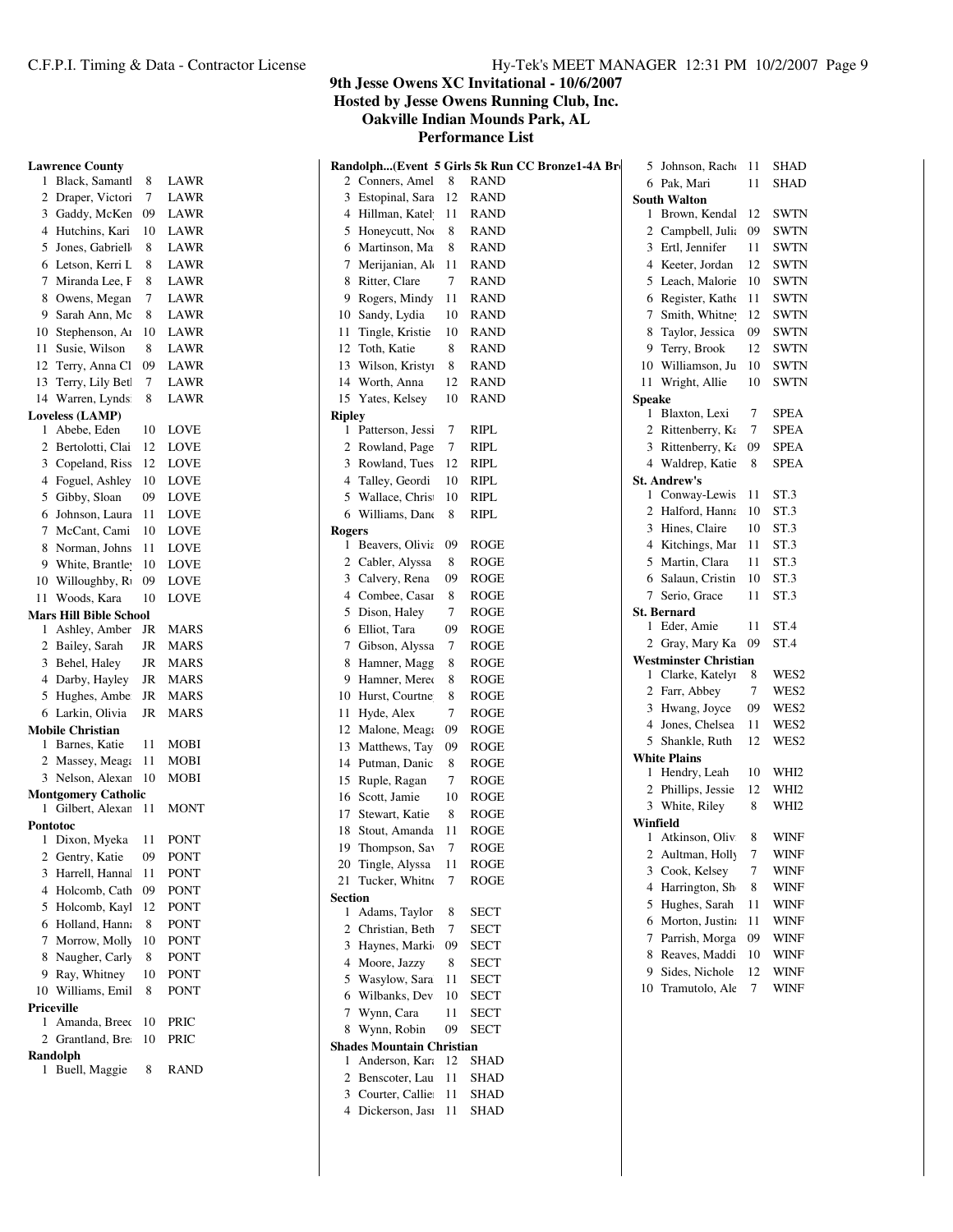**9th Jesse Owens XC Invitational - 10/6/2007**

**Hosted by Jesse Owens Running Club, Inc.**

**Oakville Indian Mounds Park, AL**

**Performance List**

| <b>Lawrence County</b>              |          |                     | Randolph(Event 5 Girls 5k Run CC Bronze1-4A Bro<br>5 Johnson, Racho         | -11                 | <b>SHAD</b>      |
|-------------------------------------|----------|---------------------|-----------------------------------------------------------------------------|---------------------|------------------|
| 1 Black, Samant                     | 8        | LAWR                | 2 Conners, Amel<br>8<br><b>RAND</b><br>6 Pak, Mari                          | 11                  | <b>SHAD</b>      |
| 2 Draper, Victori                   | 7        | LAWR                | 12<br>3 Estopinal, Sara<br><b>RAND</b><br><b>South Walton</b>               |                     |                  |
| 3 Gaddy, McKen                      | 09       | LAWR                | <b>RAND</b><br>1 Brown, Kendal<br>4 Hillman, Katel<br>11                    | -12                 | <b>SWTN</b>      |
| 4 Hutchins, Kari                    | 10       | LAWR                | 5 Honeycutt, Nor<br>8<br><b>RAND</b><br>Campbell, Julia<br>2                | 09                  | <b>SWTN</b>      |
| Jones, Gabriell<br>5                | 8        | LAWR                | 8<br>Martinson, Ma<br><b>RAND</b><br>3<br>Ertl, Jennifer<br>6               | 11                  | <b>SWTN</b>      |
| 6 Letson, Kerri L                   | 8        | LAWR                | Merijanian, Ale<br>11<br><b>RAND</b><br>Keeter, Jordan<br>7<br>4            | 12                  | <b>SWTN</b>      |
| 7 Miranda Lee, F                    | 8        | LAWR                | Ritter, Clare<br>7<br><b>RAND</b><br>5<br>Leach, Malorie<br>8               | 10                  | <b>SWTN</b>      |
| 8 Owens, Megan                      | 7        | LAWR                | Rogers, Mindy<br><b>RAND</b><br>Register, Kathe<br>9<br>11<br>6             | 11                  | <b>SWTN</b>      |
| Sarah Ann, Mc<br>9.                 | 8        | LAWR                | Sandy, Lydia<br><b>RAND</b><br>Smith, Whitney<br>10<br>10                   | 12                  | <b>SWTN</b>      |
| Stephenson, Ar<br>10                | 10       | LAWR                | Tingle, Kristie<br>10<br><b>RAND</b><br>8<br>Taylor, Jessica<br>11          | 09                  | <b>SWTN</b>      |
| Susie, Wilson<br>11                 | 8        | LAWR                | 8<br>Toth, Katie<br><b>RAND</b><br>Terry, Brook<br>12<br>9                  | 12                  | <b>SWTN</b>      |
| Terry, Anna Cl<br>12                | 09       | LAWR                | 8<br>13<br>Wilson, Kristyi<br><b>RAND</b><br>Williamson, Ju<br>10           | 10                  | <b>SWTN</b>      |
| Terry, Lily Bet<br>13               | 7        | LAWR                | 14 Worth, Anna<br><b>RAND</b><br>11 Wright, Allie<br>12                     | 10                  | <b>SWTN</b>      |
| 14 Warren, Lynds                    | 8        | LAWR                | 15 Yates, Kelsey<br><b>RAND</b><br>10<br>Speake                             |                     | <b>SPEA</b>      |
| <b>Loveless (LAMP)</b>              |          |                     | 1 Blaxton, Lexi<br><b>Ripley</b><br><b>RIPL</b>                             | 7<br>$\overline{7}$ | <b>SPEA</b>      |
| Abebe, Eden<br>1                    | 10<br>12 | <b>LOVE</b>         | 1 Patterson, Jessi<br>7<br>2<br>Rittenberry, Ka<br>$\tau$<br><b>RIPL</b>    |                     | <b>SPEA</b>      |
| 2 Bertolotti, Clai                  | 12       | LOVE                | 2 Rowland, Page<br>3 Rittenberry, $K_{\xi}$<br><b>RIPL</b><br>12            | 09<br>8             | <b>SPEA</b>      |
| Copeland, Riss<br>3                 |          | LOVE                | 3 Rowland, Tues<br>4 Waldrep, Katie<br><b>RIPL</b><br><b>St. Andrew's</b>   |                     |                  |
| 4 Foguel, Ashley                    | 10<br>09 | LOVE<br><b>LOVE</b> | Talley, Geordi<br>10<br>4<br>1 Conway-Lewis<br><b>RIPL</b><br>10            | 11                  | ST <sub>3</sub>  |
| 5 Gibby, Sloan                      | 11       | <b>LOVE</b>         | Wallace, Chris<br>5<br>2 Halford, Hanna<br>8<br><b>RIPL</b>                 | 10                  | ST <sub>3</sub>  |
| 6 Johnson, Laura<br>7 McCant, Cami  | 10       | <b>LOVE</b>         | 6 Williams, Dane<br>3<br>Hines, Claire                                      | 10                  | ST <sub>3</sub>  |
| 8 Norman, Johns                     | 11       | <b>LOVE</b>         | <b>Rogers</b><br>1 Beavers, Olivia 09<br><b>ROGE</b><br>Kitchings, Mar<br>4 | 11                  | ST <sub>3</sub>  |
| 9 White, Brantle                    | 10       | <b>LOVE</b>         | 8<br><b>ROGE</b><br>Cabler, Alyssa<br>5<br>Martin, Clara<br>2               | 11                  | ST <sub>.3</sub> |
| 10                                  | 09       | <b>LOVE</b>         | <b>ROGE</b><br>Calvery, Rena<br>09<br>Salaun, Cristin<br>3<br>6             | 10                  | ST <sub>.3</sub> |
| Willoughby, R<br>Woods, Kara        | 10       | <b>LOVE</b>         | Combee, Casar<br>8<br><b>ROGE</b><br>7 Serio, Grace<br>4                    | 11                  | ST <sub>.3</sub> |
| 11<br><b>Mars Hill Bible School</b> |          |                     | 7<br>5 Dison, Haley<br><b>ROGE</b><br><b>St. Bernard</b>                    |                     |                  |
| Ashley, Amber                       | JR       | MARS                | 1 Eder, Amie<br>Elliot, Tara<br>09<br><b>ROGE</b><br>6                      | 11                  | ST <sub>.4</sub> |
| 2 Bailey, Sarah                     | JR       | MARS                | 2 Gray, Mary Ka<br>Gibson, Alyssa<br>7<br><b>ROGE</b><br>7                  | 09                  | ST <sub>.4</sub> |
| 3 Behel, Haley                      | JR       | <b>MARS</b>         | <b>Westminster Christian</b><br>8<br>Hamner, Magg<br><b>ROGE</b><br>8       |                     |                  |
| 4 Darby, Hayley                     | JR       | MARS                | Clarke, Katelyr<br>8<br>Hamner, Mereo<br>ROGE<br>9                          | 8                   | WES2             |
| 5 Hughes, Ambe                      | JR       | <b>MARS</b>         | 2 Farr, Abbey<br>8<br>10 Hurst, Courtne<br><b>ROGE</b>                      | 7                   | WES2             |
| 6 Larkin, Olivia                    | JR       | <b>MARS</b>         | 3 Hwang, Joyce<br>7<br>11 Hyde, Alex<br><b>ROGE</b>                         | 09                  | WES2             |
| <b>Mobile Christian</b>             |          |                     | Jones, Chelsea<br>4<br><b>ROGE</b><br>Malone, Meaga<br>09<br>12             | 11                  | WES2             |
| 1 Barnes, Katie                     | 11       | MOBI                | 5 Shankle, Ruth<br><b>ROGE</b><br>13 Matthews, Tay<br>09                    | 12                  | WES2             |
| 2 Massey, Meaga                     | 11       | MOBI                | <b>White Plains</b><br>8<br><b>ROGE</b><br>Putman, Danic<br>14              |                     |                  |
| 3 Nelson, Alexar                    | 10       | MOBI                | 1 Hendry, Leah<br>15<br>Ruple, Ragan<br>7<br><b>ROGE</b>                    | 10                  | WHI <sub>2</sub> |
| <b>Montgomery Catholic</b>          |          |                     | 2 Phillips, Jessie<br>Scott, Jamie<br>10<br><b>ROGE</b><br>16               | 12                  | WHI <sub>2</sub> |
| 1 Gilbert, Alexar 11                |          | <b>MONT</b>         | 3 White, Riley<br>8<br><b>ROGE</b><br>17<br>Stewart, Katie                  | 8                   | WHI <sub>2</sub> |
| Pontotoc                            |          |                     | Winfield<br><b>ROGE</b><br>18<br>Stout, Amanda<br>11                        |                     |                  |
| 1 Dixon, Myeka 11 PONT              |          |                     | 1 Atkinson, Oliv<br>19 Thompson, Sav<br>7<br><b>ROGE</b>                    | 8                   | <b>WINF</b>      |
| 2 Gentry, Katie                     | 09       | PONT                | 2 Aultman, Holly<br>20 Tingle, Alyssa<br>11<br><b>ROGE</b>                  | 7                   | <b>WINF</b>      |
| 3 Harrell, Hanna                    | 11       | PONT                | Cook, Kelsey<br>3<br>21 Tucker, Whitne<br>7<br><b>ROGE</b>                  | 7                   | <b>WINF</b>      |
| 4 Holcomb, Cath                     | 09       | <b>PONT</b>         | 4 Harrington, Sh<br><b>Section</b>                                          | 8                   | <b>WINF</b>      |
| 5 Holcomb, Kayl                     | 12       | PONT                | 5 Hughes, Sarah<br>1 Adams, Taylor<br><b>SECT</b><br>8                      | 11                  | <b>WINF</b>      |
| 6 Holland, Hann                     | 8        | PONT                | Morton, Justina<br>6<br>Christian, Beth<br>7<br><b>SECT</b><br>2            | 11                  | <b>WINF</b>      |
| 7 Morrow, Molly                     | 10       | <b>PONT</b>         | 7 Parrish, Morga<br>3 Haynes, Marki<br>09<br><b>SECT</b>                    | 09                  | <b>WINF</b>      |
| 8 Naugher, Carly                    | 8        | PONT                | Reaves, Maddi<br>8<br>8<br>4 Moore, Jazzy<br><b>SECT</b>                    | 10                  | <b>WINF</b>      |
| 9 Ray, Whitney                      | 10       | <b>PONT</b>         | Sides, Nichole<br>9<br>5 Wasylow, Sara<br><b>SECT</b><br>11                 | 12                  | <b>WINF</b>      |
| 10 Williams, Emil                   | 8        | <b>PONT</b>         | 10 Tramutolo, Ale<br>Wilbanks, Dev<br><b>SECT</b><br>10<br>6                | 7                   | <b>WINF</b>      |
| Priceville                          |          |                     | 7 Wynn, Cara<br>11<br><b>SECT</b>                                           |                     |                  |
| 1 Amanda, Breec                     | 10       | PRIC                | 8 Wynn, Robin<br>$\operatorname{SECT}$<br>09                                |                     |                  |
| 2 Grantland, Bre                    | 10       | <b>PRIC</b>         | <b>Shades Mountain Christian</b>                                            |                     |                  |
| Randolph                            |          |                     | 1 Anderson, Kara 12<br>SHAD                                                 |                     |                  |
| 1 Buell, Maggie                     | 8        | <b>RAND</b>         | 2 Benscoter, Lau<br>11<br><b>SHAD</b>                                       |                     |                  |
|                                     |          |                     | 3 Courter, Callie: 11<br><b>SHAD</b>                                        |                     |                  |

4 Dickerson, Jası 11 SHAD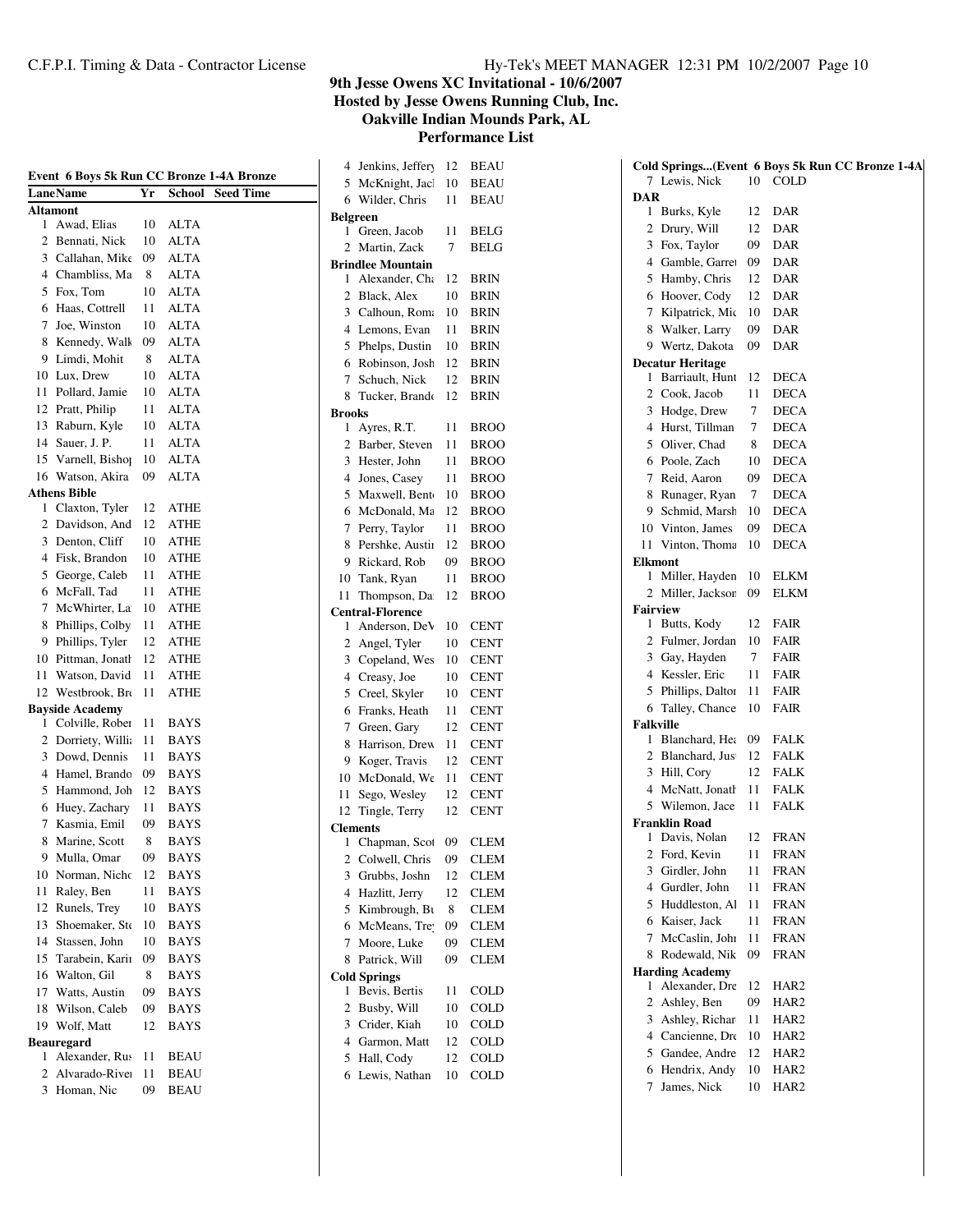|  |  |  | Hy-Tek's MEET MANAGER 12:31 PM 10/2/2007 Page 10 |  |  |  |  |
|--|--|--|--------------------------------------------------|--|--|--|--|
|--|--|--|--------------------------------------------------|--|--|--|--|

**9th Jesse Owens XC Invitational - 10/6/2007 Hosted by Jesse Owens Running Club, Inc.**

**Oakville Indian Mounds Park, AL**

| Event 6 Boys 5k Run CC Bronze 1-4A Bronze |                        |    |             |                  |  |  |
|-------------------------------------------|------------------------|----|-------------|------------------|--|--|
|                                           | <b>LaneName</b>        | Yr | School      | <b>Seed Time</b> |  |  |
|                                           | Altamont               |    |             |                  |  |  |
| 1                                         | Awad, Elias            | 10 | <b>ALTA</b> |                  |  |  |
| 2                                         | Bennati, Nick          | 10 | <b>ALTA</b> |                  |  |  |
| 3                                         | Callahan, Mike         | 09 | <b>ALTA</b> |                  |  |  |
| 4                                         | Chambliss, Ma          | 8  | <b>ALTA</b> |                  |  |  |
| 5                                         | Fox, Tom               | 10 | <b>ALTA</b> |                  |  |  |
| 6                                         | Haas, Cottrell         | 11 | <b>ALTA</b> |                  |  |  |
| 7                                         | Joe, Winston           | 10 | <b>ALTA</b> |                  |  |  |
| 8                                         | Kennedy, Wall          | 09 | <b>ALTA</b> |                  |  |  |
| 9                                         | Limdi, Mohit           | 8  | <b>ALTA</b> |                  |  |  |
| 10                                        | Lux. Drew              | 10 | <b>ALTA</b> |                  |  |  |
| 11                                        | Pollard, Jamie         | 10 | <b>ALTA</b> |                  |  |  |
| 12                                        | Pratt, Philip          | 11 | <b>ALTA</b> |                  |  |  |
| 13                                        | Raburn, Kyle           | 10 | ALTA        |                  |  |  |
| 14                                        | Sauer, J. P.           | 11 | ALTA        |                  |  |  |
| 15                                        | Varnell, Bishop        | 10 | <b>ALTA</b> |                  |  |  |
| 16                                        | Watson, Akira          | 09 | <b>ALTA</b> |                  |  |  |
|                                           | <b>Athens Bible</b>    |    |             |                  |  |  |
| 1                                         | Claxton, Tyler         | 12 | ATHE        |                  |  |  |
| 2                                         | Davidson, And          | 12 | <b>ATHE</b> |                  |  |  |
| 3                                         | Denton, Cliff          | 10 | ATHE        |                  |  |  |
| 4                                         | Fisk. Brandon          | 10 | ATHE        |                  |  |  |
| 5                                         | George, Caleb          | 11 | ATHE        |                  |  |  |
| 6                                         | McFall, Tad            | 11 | ATHE        |                  |  |  |
| 7                                         | McWhirter, La          | 10 | ATHE        |                  |  |  |
| 8                                         | Phillips, Colby        | 11 | ATHE        |                  |  |  |
| 9                                         | Phillips, Tyler        | 12 | ATHE        |                  |  |  |
| 10                                        | Pittman, Jonath        | 12 | <b>ATHE</b> |                  |  |  |
| 11                                        | Watson, David          | 11 | <b>ATHE</b> |                  |  |  |
| 12                                        | Westbrook, Br          | 11 | ATHE        |                  |  |  |
|                                           | <b>Bayside Academy</b> |    |             |                  |  |  |
| 1                                         | Colville, Rober        | 11 | <b>BAYS</b> |                  |  |  |
| 2                                         | Dorriety, Willi        | 11 | <b>BAYS</b> |                  |  |  |
| 3                                         | Dowd, Dennis           | 11 | <b>BAYS</b> |                  |  |  |
| 4                                         | Hamel, Brandc          | 09 | <b>BAYS</b> |                  |  |  |
| 5                                         | Hammond, Joh           | 12 | <b>BAYS</b> |                  |  |  |
| 6                                         | Huey, Zachary          | 11 | <b>BAYS</b> |                  |  |  |
| 7                                         | Kasmia, Emil           | 09 | <b>BAYS</b> |                  |  |  |
| 8                                         | Marine, Scott          | 8  | <b>BAYS</b> |                  |  |  |
| 9                                         | Mulla, Omar            | 09 | <b>BAYS</b> |                  |  |  |
| 10                                        | Norman, Nicho          | 12 | <b>BAYS</b> |                  |  |  |
| 11                                        | Raley, Ben             | 11 | <b>BAYS</b> |                  |  |  |
| 12                                        | Runels, Trey           | 10 | <b>BAYS</b> |                  |  |  |
| 13                                        | Shoemaker, Sto         | 10 | <b>BAYS</b> |                  |  |  |
|                                           |                        |    |             |                  |  |  |
| 14                                        | Stassen, John          | 10 | <b>BAYS</b> |                  |  |  |
| 15                                        | Tarabein, Karii        | 09 | <b>BAYS</b> |                  |  |  |
| 16                                        | Walton, Gil            | 8  | <b>BAYS</b> |                  |  |  |
| 17                                        | Watts, Austin          | 09 | <b>BAYS</b> |                  |  |  |
| 18                                        | Wilson, Caleb          | 09 | <b>BAYS</b> |                  |  |  |
| 19                                        | Wolf, Matt             | 12 | <b>BAYS</b> |                  |  |  |
|                                           | <b>Beauregard</b>      |    |             |                  |  |  |
| 1                                         | Alexander, Rus         | 11 | BEAU        |                  |  |  |
| 2                                         | Alvarado-Rive          | 11 | <b>BEAU</b> |                  |  |  |
| 3                                         | Homan, Nic             | 09 | BEAU        |                  |  |  |

| 4                       | Jenkins, Jeffery         | 12 | <b>BEAU</b> |  |  |  |  |
|-------------------------|--------------------------|----|-------------|--|--|--|--|
| 5                       | McKnight, Jacl           | 10 | <b>BEAU</b> |  |  |  |  |
| 6                       | Wilder, Chris            | 11 | <b>BEAU</b> |  |  |  |  |
| <b>Belgreen</b>         |                          |    |             |  |  |  |  |
| 1                       | Green, Jacob             | 11 | <b>BELG</b> |  |  |  |  |
| 2                       | Martin, Zack             | 7  | <b>BELG</b> |  |  |  |  |
|                         | <b>Brindlee Mountain</b> |    |             |  |  |  |  |
| 1                       | Alexander, Cha           | 12 | BRIN        |  |  |  |  |
| $\overline{c}$          | Black, Alex              | 10 | BRIN        |  |  |  |  |
| 3                       | Calhoun, Roma            | 10 | <b>BRIN</b> |  |  |  |  |
| 4                       | Lemons, Evan             | 11 | <b>BRIN</b> |  |  |  |  |
| 5                       | Phelps, Dustin           | 10 | <b>BRIN</b> |  |  |  |  |
| 6                       | Robinson, Josh           | 12 | <b>BRIN</b> |  |  |  |  |
| 7                       | Schuch, Nick             | 12 | BRIN        |  |  |  |  |
| 8                       | Tucker, Brando           | 12 | BRIN        |  |  |  |  |
| <b>Brooks</b>           |                          |    |             |  |  |  |  |
| 1                       | Ayres, R.T.              | 11 | <b>BROO</b> |  |  |  |  |
| $\overline{c}$          | Barber, Steven           | 11 | <b>BROO</b> |  |  |  |  |
| 3                       | Hester, John             | 11 | <b>BROO</b> |  |  |  |  |
| 4                       | Jones, Casey             | 11 | <b>BROO</b> |  |  |  |  |
| 5                       | Maxwell, Bent            | 10 | <b>BROO</b> |  |  |  |  |
| 6                       | McDonald, Ma             | 12 | <b>BROO</b> |  |  |  |  |
| 7                       | Perry, Taylor            | 11 | <b>BROO</b> |  |  |  |  |
| 8                       | Pershke, Austii          | 12 | <b>BROO</b> |  |  |  |  |
| 9                       | Rickard, Rob             | 09 | <b>BROO</b> |  |  |  |  |
| 10                      | Tank, Ryan               | 11 | <b>BROO</b> |  |  |  |  |
| 11                      | Thompson, Da             | 12 | <b>BROO</b> |  |  |  |  |
|                         | <b>Central-Florence</b>  |    |             |  |  |  |  |
| 1                       | Anderson, DeV            | 10 | <b>CENT</b> |  |  |  |  |
| 2                       | Angel, Tyler             | 10 | <b>CENT</b> |  |  |  |  |
| 3                       | Copeland, Wes            | 10 | <b>CENT</b> |  |  |  |  |
| 4                       | Creasy, Joe              | 10 | <b>CENT</b> |  |  |  |  |
| 5                       | Creel, Skyler            | 10 | <b>CENT</b> |  |  |  |  |
| 6                       | Franks, Heath            | 11 | <b>CENT</b> |  |  |  |  |
| 7                       | Green, Gary              | 12 | <b>CENT</b> |  |  |  |  |
| 8                       | Harrison, Drew           | 11 | <b>CENT</b> |  |  |  |  |
| 9                       | Koger, Travis            | 12 | <b>CENT</b> |  |  |  |  |
| 10                      | McDonald, We             | 11 | <b>CENT</b> |  |  |  |  |
| 11                      | Sego, Wesley             | 12 | <b>CENT</b> |  |  |  |  |
| 12                      | Tingle, Terry            | 12 | <b>CENT</b> |  |  |  |  |
|                         | <b>Clements</b>          |    |             |  |  |  |  |
| 1                       | Chapman, Scot            | 09 | <b>CLEM</b> |  |  |  |  |
| $\overline{\mathbf{c}}$ | Colwell, Chris           | 09 | <b>CLEM</b> |  |  |  |  |
| 3                       | Grubbs, Joshn            | 12 | CLEM        |  |  |  |  |
| 4                       | Hazlitt, Jerry           | 12 | CLEM        |  |  |  |  |
| 5                       | Kimbrough, Bu            | 8  | CLEM        |  |  |  |  |
| 6                       | McMeans, Tre             | 09 | CLEM        |  |  |  |  |
| 7                       | Moore, Luke              | 09 | <b>CLEM</b> |  |  |  |  |
| 8                       | Patrick, Will            | 09 | CLEM        |  |  |  |  |
|                         | <b>Cold Springs</b>      |    |             |  |  |  |  |
| 1                       | Bevis, Bertis            | 11 | COLD        |  |  |  |  |
| 2                       | Busby, Will              | 10 | COLD        |  |  |  |  |
| 3                       | Crider, Kiah             | 10 | COLD        |  |  |  |  |
| 4                       | Garmon, Matt             | 12 | COLD        |  |  |  |  |
| 5                       | Hall, Cody               | 12 | COLD        |  |  |  |  |
| 6                       | Lewis, Nathan            | 10 | COLD        |  |  |  |  |
|                         |                          |    |             |  |  |  |  |

|                     |                                   |    | Cold Springs(Event 6 Boys 5k Run CC Bronze 1-4A |
|---------------------|-----------------------------------|----|-------------------------------------------------|
|                     | 7 Lewis, Nick                     | 10 | COLD                                            |
| DAR                 |                                   |    |                                                 |
| 1                   | Burks, Kyle                       | 12 | DAR                                             |
|                     | 2 Drury, Will                     | 12 | DAR                                             |
|                     | 3 Fox, Taylor                     | 09 | DAR                                             |
|                     | 4 Gamble, Garret                  | 09 | DAR                                             |
|                     | 5 Hamby, Chris                    | 12 | DAR                                             |
|                     | 6 Hoover, Cody                    | 12 | DAR                                             |
|                     | 7 Kilpatrick, Mic                 | 10 | DAR                                             |
|                     | 8 Walker, Larry                   | 09 | DAR                                             |
| 9.                  | Wertz, Dakota                     | 09 | DAR                                             |
|                     | <b>Decatur Heritage</b>           |    |                                                 |
| 1                   | Barriault, Hunt                   | 12 | <b>DECA</b>                                     |
|                     | 2 Cook, Jacob                     | 11 | <b>DECA</b>                                     |
|                     | 3 Hodge, Drew                     | 7  | <b>DECA</b>                                     |
|                     | 4 Hurst, Tillman                  | 7  | <b>DECA</b>                                     |
|                     | 5 Oliver, Chad                    | 8  | <b>DECA</b>                                     |
|                     | 6 Poole, Zach                     | 10 | <b>DECA</b>                                     |
|                     | 7 Reid, Aaron                     | 09 | <b>DECA</b>                                     |
|                     | 8 Runager, Ryan                   | 7  | <b>DECA</b>                                     |
|                     | 9 Schmid, Marsh                   | 10 | <b>DECA</b>                                     |
|                     | 10 Vinton, James                  | 09 | <b>DECA</b>                                     |
| 11                  | Vinton, Thoma                     | 10 | <b>DECA</b>                                     |
| <b>Elkmont</b><br>1 |                                   | 10 | ELKM                                            |
| 2                   | Miller, Hayden<br>Miller, Jacksor | 09 | <b>ELKM</b>                                     |
|                     | <b>Fairview</b>                   |    |                                                 |
| 1                   | Butts, Kody                       | 12 | FAIR                                            |
|                     | 2 Fulmer, Jordan                  | 10 | FAIR                                            |
|                     | 3 Gay, Hayden                     | 7  | FAIR                                            |
|                     | 4 Kessler, Eric                   | 11 | FAIR                                            |
|                     | 5 Phillips, Daltor                | 11 | FAIR                                            |
|                     | 6 Talley, Chance                  | 10 | FAIR                                            |
| <b>Falkville</b>    |                                   |    |                                                 |
| 1                   | Blanchard, Hea                    | 09 | FALK                                            |
|                     | 2 Blanchard, Jus                  | 12 | FALK                                            |
|                     | 3 Hill, Cory                      | 12 | FALK                                            |
|                     | 4 McNatt, Jonath                  | 11 | <b>FALK</b>                                     |
|                     | 5 Wilemon, Jace                   | 11 | FALK                                            |
|                     | <b>Franklin Road</b>              |    |                                                 |
| 1                   | Davis, Nolan                      | 12 | FRAN                                            |
| $\mathbf{Z}$        | Ford, Kevin                       | П  | FRAN                                            |
| 3                   | Girdler, John                     | 11 | FRAN                                            |
| 4                   | Gurdler, John                     | 11 | FRAN                                            |
| 5                   | Huddleston, Al                    | 11 | <b>FRAN</b>                                     |
| 6                   | Kaiser, Jack                      | 11 | <b>FRAN</b>                                     |
| 7                   | McCaslin, John                    | 11 | FRAN                                            |
| 8                   | Rodewald, Nik                     | 09 | <b>FRAN</b>                                     |
|                     | <b>Harding Academy</b>            |    |                                                 |
| 1                   | Alexander, Dre                    | 12 | HAR2                                            |
| 2                   | Ashley, Ben                       | 09 | HAR2                                            |
| 3                   | Ashley, Richar                    | 11 | HAR <sub>2</sub>                                |
| 4                   | Cancienne, Dre                    | 10 | HAR2                                            |
| 5                   | Gandee, Andre                     | 12 | HAR2                                            |
| 6                   | Hendrix, Andy                     | 10 | HAR2                                            |
| 7                   | James, Nick                       | 10 | HAR2                                            |
|                     |                                   |    |                                                 |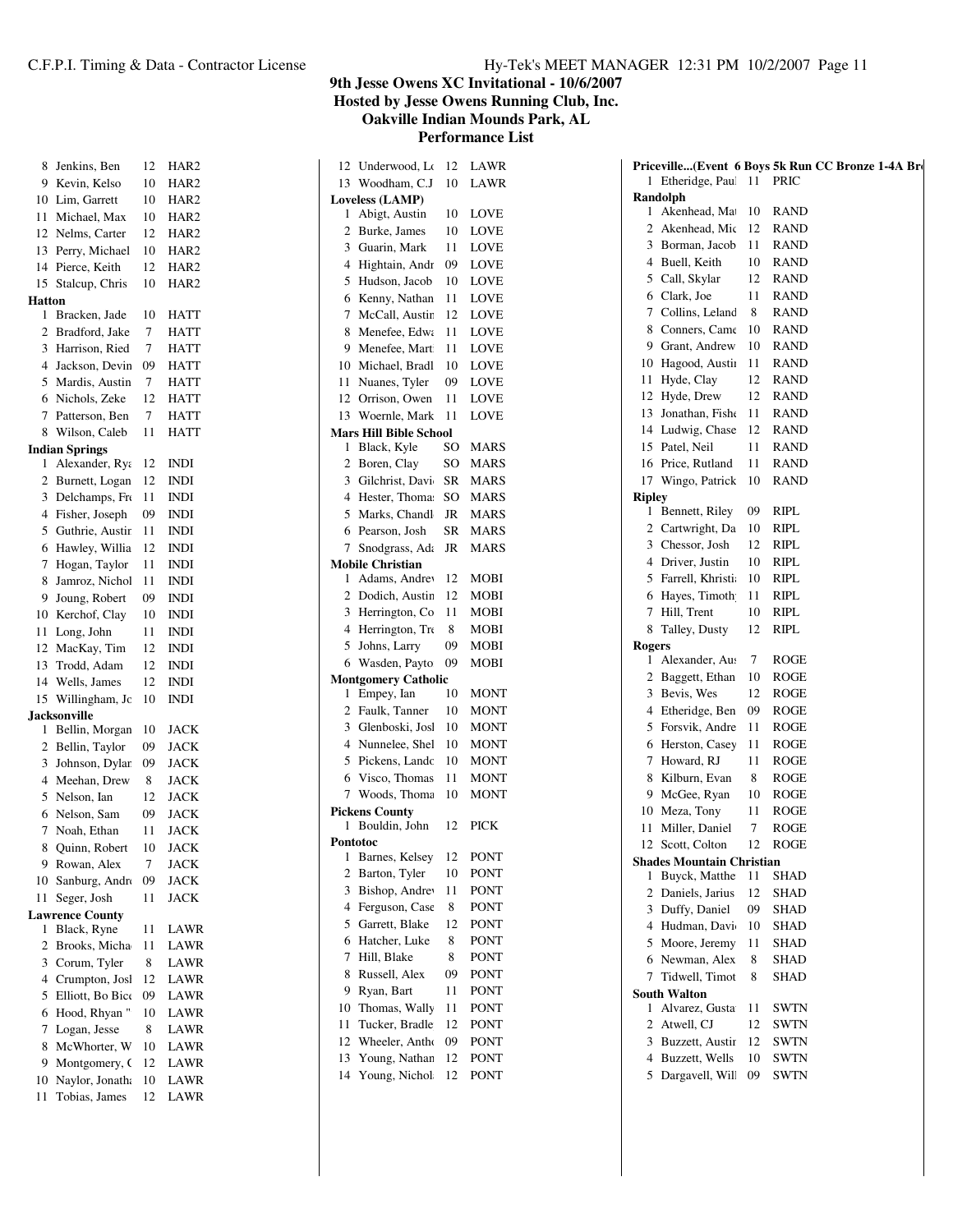| 8              | Jenkins, Ben                     | 12 | HAR2             |
|----------------|----------------------------------|----|------------------|
| 9              | Kevin, Kelso                     | 10 | HAR2             |
| 10             | Lim, Garrett                     | 10 | HAR <sub>2</sub> |
| 11             | Michael, Max                     | 10 | HAR <sub>2</sub> |
| 12             | Nelms, Carter                    | 12 | HAR <sub>2</sub> |
| 13             | Perry, Michael                   | 10 | HAR <sub>2</sub> |
| 14             | Pierce, Keith                    | 12 | HAR2             |
| 15             | Stalcup, Chris                   | 10 | HAR <sub>2</sub> |
| <b>Hatton</b>  |                                  |    |                  |
| 1              | Bracken, Jade                    | 10 | HATT             |
| $\overline{c}$ | Bradford, Jake                   | 7  | <b>HATT</b>      |
| 3              | Harrison, Ried                   | 7  | <b>HATT</b>      |
| $\overline{4}$ | Jackson, Devin                   | 09 | <b>HATT</b>      |
| 5              | Mardis, Austin                   | 7  | <b>HATT</b>      |
| 6              | Nichols, Zeke                    | 12 | <b>HATT</b>      |
| 7              | Patterson, Ben                   | 7  | <b>HATT</b>      |
| 8              | Wilson, Caleb                    | 11 | <b>HATT</b>      |
|                | <b>Indian Springs</b>            |    |                  |
| 1              | Alexander, Rya                   | 12 | <b>INDI</b>      |
| $\overline{c}$ | Burnett, Logan                   | 12 | <b>INDI</b>      |
| 3              | Delchamps, Fro                   | 11 | <b>INDI</b>      |
| 4              | Fisher, Joseph                   | 09 | <b>INDI</b>      |
| 5              | Guthrie, Austir                  | 11 | INDI             |
| 6              | Hawley, Willia                   | 12 | <b>INDI</b>      |
| 7              | Hogan, Taylor                    | 11 | INDI             |
| 8              | Jamroz, Nichol                   | 11 | <b>INDI</b>      |
|                |                                  |    |                  |
| 9              | Joung, Robert                    | 09 | INDI             |
| 10             | Kerchof, Clay                    | 10 | INDI             |
| 11             | Long, John                       | 11 | <b>INDI</b>      |
| 12             | MacKay, Tim                      | 12 | INDI             |
| 13             | Trodd, Adam                      | 12 | <b>INDI</b>      |
| 14             | Wells, James                     | 12 | INDI             |
| 15             | Willingham, Jo                   | 10 | <b>INDI</b>      |
|                | <b>Jacksonville</b>              |    |                  |
| 1              | Bellin, Morgan                   | 10 | JACK             |
| $\overline{c}$ | Bellin, Taylor                   | 09 | <b>JACK</b>      |
| 3              | Johnson, Dylar                   | 09 | <b>JACK</b>      |
| 4              | Meehan, Drew                     | 8  | <b>JACK</b>      |
| 5              | Nelson, Ian                      | 12 | <b>JACK</b>      |
| 6              | Nelson, Sam                      | 09 | <b>JACK</b>      |
| 7              | Noah, Ethan                      | 11 | <b>JACK</b>      |
| 8              | Quinn, Robert                    | 10 | <b>JACK</b>      |
| 9              | Rowan, Alex                      | 7  | JACK             |
| 10             | Sanburg, Andr                    | 09 | <b>JACK</b>      |
| 11             | Seger, Josh                      | 11 | <b>JACK</b>      |
|                | <b>Lawrence County</b>           |    |                  |
| 1              | Black, Ryne                      | 11 | LAWR             |
| 2              | Brooks, Micha                    | 11 | LAWR             |
| 3              | Corum, Tyler                     | 8  | LAWR             |
| $\overline{4}$ | Crumpton, Josl                   | 12 | LAWR             |
| 5              | Elliott, Bo Bico                 | 09 | LAWR             |
| 6              | Hood, Rhyan"                     | 10 | LAWR             |
| 7              | Logan, Jesse                     | 8  | LAWR             |
| 8              | McWhorter, W                     | 10 | LAWR             |
| 9              |                                  |    |                  |
|                |                                  | 12 |                  |
| 10             | Montgomery, O<br>Naylor, Jonath. | 10 | LAWR<br>LAWR     |

| 12              | Underwood, Lo                 | 12        | LAWR        |  |  |  |  |
|-----------------|-------------------------------|-----------|-------------|--|--|--|--|
| 13              | Woodham, C.J                  | 10        | LAWR        |  |  |  |  |
| Loveless (LAMP) |                               |           |             |  |  |  |  |
| 1               | Abigt, Austin                 | 10        | LOVE        |  |  |  |  |
| $\overline{c}$  | Burke, James                  | 10        | LOVE        |  |  |  |  |
| 3               | Guarin, Mark                  | 11        | LOVE        |  |  |  |  |
| $\overline{4}$  | Hightain, Andr                | 09        | LOVE        |  |  |  |  |
| 5               | Hudson, Jacob                 | 10        | LOVE        |  |  |  |  |
| 6               | Kenny, Nathan                 | 11        | LOVE        |  |  |  |  |
| 7               | McCall, Austin                | 12        | <b>LOVE</b> |  |  |  |  |
| 8               | Menefee, Edwa                 | 11        | LOVE        |  |  |  |  |
| 9               | Menefee, Mart                 | 11        | <b>LOVE</b> |  |  |  |  |
| 10              | Michael, Bradl                | 10        | LOVE        |  |  |  |  |
| 11              | Nuanes, Tyler                 | 09        | LOVE        |  |  |  |  |
| 12              | Orrison, Owen                 | 11        | LOVE        |  |  |  |  |
| 13              | Woernle, Mark                 | 11        | LOVE        |  |  |  |  |
|                 | <b>Mars Hill Bible School</b> |           |             |  |  |  |  |
| 1               | Black, Kyle                   | SO        | MARS        |  |  |  |  |
| $\overline{c}$  | Boren, Clay                   | SO        | <b>MARS</b> |  |  |  |  |
| 3               | Gilchrist, Davi               | <b>SR</b> | <b>MARS</b> |  |  |  |  |
| 4               | Hester, Thoma:                | SO        | <b>MARS</b> |  |  |  |  |
| 5               | Marks, Chandl                 | <b>JR</b> | <b>MARS</b> |  |  |  |  |
| 6               | Pearson, Josh                 | <b>SR</b> | <b>MARS</b> |  |  |  |  |
| 7               | Snodgrass, Ada                | JR        | <b>MARS</b> |  |  |  |  |
|                 | <b>Mobile Christian</b>       |           |             |  |  |  |  |
| 1               | Adams, Andrey                 | 12        | <b>MOBI</b> |  |  |  |  |
| $\overline{c}$  | Dodich, Austin                | 12        | <b>MOBI</b> |  |  |  |  |
| 3               | Herrington, Co                | 11        | <b>MOBI</b> |  |  |  |  |
| $\overline{4}$  | Herrington, Tro               | 8         | <b>MOBI</b> |  |  |  |  |
| 5               | Johns, Larry                  | 09        | MOBI        |  |  |  |  |
| 6               | Wasden, Payto                 | 09        | MOBI        |  |  |  |  |
|                 | <b>Montgomery Catholic</b>    |           |             |  |  |  |  |
| 1               | Empey, Ian                    | 10        | MONT        |  |  |  |  |
| $\overline{2}$  | Faulk, Tanner                 | 10        | <b>MONT</b> |  |  |  |  |
| 3               | Glenboski, Josl               | 10        | <b>MONT</b> |  |  |  |  |
| $\overline{4}$  | Nunnelee, Shel                | 10        | <b>MONT</b> |  |  |  |  |
| 5               | Pickens, Landc                | 10        | <b>MONT</b> |  |  |  |  |
| 6               | Visco, Thomas                 | 11        | <b>MONT</b> |  |  |  |  |
| 7               | Woods, Thoma                  | 10        | <b>MONT</b> |  |  |  |  |
|                 | <b>Pickens County</b>         |           |             |  |  |  |  |
| 1               | Bouldin, John                 | 12        | <b>PICK</b> |  |  |  |  |
|                 | Pontotoc                      |           |             |  |  |  |  |
| 1               | Barnes, Kelsey                | 12        | PONT        |  |  |  |  |
| $\overline{c}$  | Barton, Tyler                 | 10        | PONT        |  |  |  |  |
| 3               | Bishop, Andrey                | 11        | PONT        |  |  |  |  |
| 4               | Ferguson, Case                | 8         | PONT        |  |  |  |  |
| 5               | Garrett, Blake                | 12        | PONT        |  |  |  |  |
| 6               | Hatcher, Luke                 | 8         | PONT        |  |  |  |  |
| 7               | Hill, Blake                   | 8         | <b>PONT</b> |  |  |  |  |
| 8               | Russell, Alex                 | 09        | PONT        |  |  |  |  |
| 9               | Ryan, Bart                    | 11        | PONT        |  |  |  |  |
| 10              | Thomas, Wally                 | 11        | PONT        |  |  |  |  |
| 11              | Tucker, Bradle                | 12        | PONT        |  |  |  |  |
| 12              | Wheeler, Antho                | 09        | PONT        |  |  |  |  |
| 13              | Young, Nathan                 | 12        | PONT        |  |  |  |  |
| 14              | Young, Nichol                 | 12        | PONT        |  |  |  |  |
|                 |                               |           |             |  |  |  |  |

|               |                                   |    | Priceville(Event 6 Boys 5k Run CC Bronze 1-4A Bro |
|---------------|-----------------------------------|----|---------------------------------------------------|
| 1             | Etheridge, Paul                   | 11 | <b>PRIC</b>                                       |
|               | Randolph                          |    |                                                   |
| 1             | Akenhead, Ma                      | 10 | RAND                                              |
| 2             | Akenhead, Mic                     | 12 | <b>RAND</b>                                       |
|               | 3 Borman, Jacob                   | 11 | <b>RAND</b>                                       |
|               | 4 Buell, Keith                    | 10 | <b>RAND</b>                                       |
|               | 5 Call, Skylar                    | 12 | <b>RAND</b>                                       |
|               | 6 Clark, Joe                      | 11 | <b>RAND</b>                                       |
|               | 7 Collins, Leland                 | 8  | <b>RAND</b>                                       |
|               | 8 Conners, Came                   | 10 | <b>RAND</b>                                       |
|               | 9 Grant, Andrew                   | 10 | <b>RAND</b>                                       |
|               | 10 Hagood, Austin                 | 11 | <b>RAND</b>                                       |
| 11            | Hyde, Clay                        | 12 | RAND                                              |
| 12            | Hyde, Drew                        | 12 | <b>RAND</b>                                       |
|               | 13 Jonathan, Fishe                | 11 | <b>RAND</b>                                       |
|               | 14 Ludwig, Chase                  | 12 | <b>RAND</b>                                       |
|               | 15 Patel, Neil                    | 11 | <b>RAND</b>                                       |
|               | 16 Price, Rutland                 | 11 | RAND                                              |
|               | 17 Wingo, Patrick                 | 10 | <b>RAND</b>                                       |
| <b>Ripley</b> |                                   |    |                                                   |
| 1             | Bennett, Riley                    | 09 | RIPL                                              |
|               | 2 Cartwright, Da                  | 10 | RIPL                                              |
|               | 3 Chessor, Josh                   | 12 | RIPL                                              |
|               | 4 Driver, Justin                  | 10 | RIPL                                              |
|               | 5 Farrell, Khristi                | 10 | RIPL                                              |
|               | 6 Hayes, Timoth                   | 11 | RIPL                                              |
| 7             | Hill, Trent                       | 10 | RIPL                                              |
| 8             | Talley, Dusty                     | 12 | RIPL                                              |
| <b>Rogers</b> |                                   |    |                                                   |
| 1             | Alexander, Aus                    | 7  | ROGE                                              |
| $\mathbf{2}$  | Baggett, Ethan                    | 10 | <b>ROGE</b>                                       |
|               | 3 Bevis, Wes                      | 12 | ROGE                                              |
|               | 4 Etheridge, Ben                  | 09 | ROGE                                              |
| 5             | Forsvik, Andre                    | 11 | ROGE                                              |
| 6             | Herston, Casey                    | 11 | ROGE                                              |
| 7             | Howard, RJ                        | 11 | <b>ROGE</b>                                       |
| 8             | Kilburn, Evan                     | 8  | ROGE                                              |
| 9.            | McGee, Ryan                       | 10 | ROGE                                              |
| 10            | Meza, Tony                        | 11 | <b>ROGE</b>                                       |
| 11            | Miller, Daniel                    | 7  | ROGE                                              |
| 12            | Scott, Colton                     | 12 | <b>ROGE</b>                                       |
|               | Shades Mountain Christian         |    |                                                   |
| 1             | Buyck, Matthe                     | 11 | SHAD                                              |
| 2             | Daniels, Jarius                   | 12 | SHAD                                              |
| 3             | Duffy, Daniel                     | 09 | SHAD                                              |
| 4             | Hudman, Davi                      | 10 | SHAD                                              |
| 5             | Moore, Jeremy                     | 11 | SHAD                                              |
|               | 6 Newman, Alex                    | 8  | SHAD                                              |
| 7             | Tidwell, Timot                    | 8  | SHAD                                              |
|               | <b>South Walton</b>               |    |                                                   |
| 1             | Alvarez, Gusta                    | 11 | SWTN                                              |
| 2             | Atwell, CJ                        | 12 | SWTN                                              |
| 3             | Buzzett, Austir                   | 12 | SWTN                                              |
| 4             |                                   | 10 |                                                   |
| 5             | Buzzett, Wells<br>Dargavell, Will | 09 | SWTN                                              |
|               |                                   |    | SWTN                                              |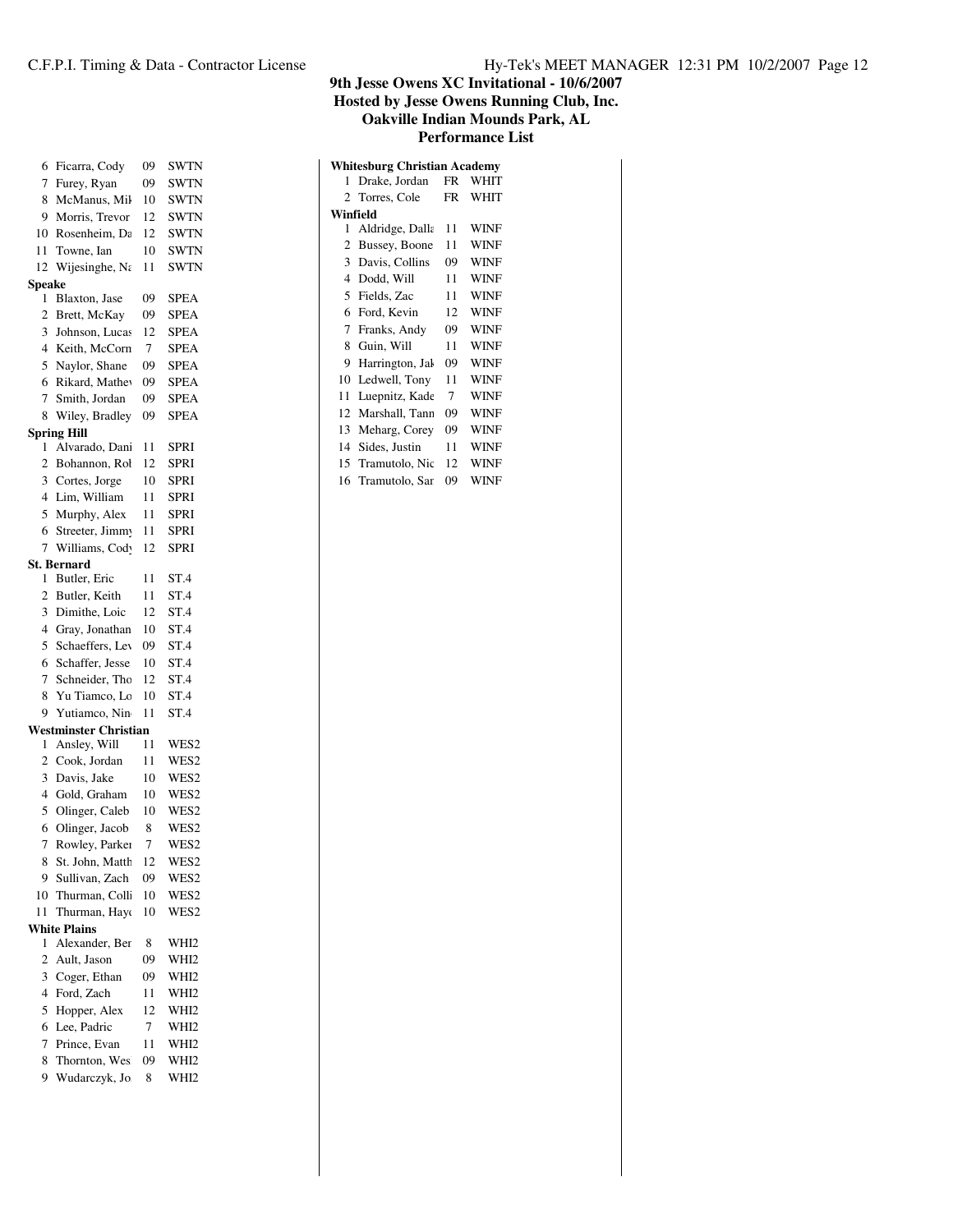|                | 6 Ficarra, Cody       | 09. | SWTN        |
|----------------|-----------------------|-----|-------------|
| 7              | Furey, Ryan           | 09  | SWTN        |
| 8              | McManus, Mil          | 10  | SWTN        |
|                | 9 Morris, Trevor      | 12  | SWTN        |
|                | 10 Rosenheim, Dε      | 12  | <b>SWTN</b> |
| 11             | Towne, Ian            | 10  | SWTN        |
|                | 12 Wijesinghe, $N_i$  | 11  | <b>SWTN</b> |
| <b>peake</b>   |                       |     |             |
| 1              | Blaxton, Jase         | 09  | SPEA        |
|                | 2 Brett, McKay        | 09  | SPEA        |
|                | 3 Johnson, Lucas      | 12  | SPEA        |
|                | 4 Keith, McCorn       | 7   | <b>SPEA</b> |
|                | 5 Naylor, Shane       | 09  | <b>SPEA</b> |
|                | 6 Rikard, Mathev      | 09  | SPEA        |
| $\tau$         | Smith, Jordan         | 09  | SPEA        |
|                | 8 Wiley, Bradley      | 09  | SPEA        |
|                | pring Hill            |     |             |
| 1              | Alvarado, Dani        | 11  | SPRI        |
|                | 2 Bohannon, Rol       | 12  | <b>SPRI</b> |
|                | 3 Cortes, Jorge       | 10  | SPRI        |
|                | 4 Lim, William        | 11  | <b>SPRI</b> |
|                | 5 Murphy, Alex        | 11  | <b>SPRI</b> |
| 6              | Streeter, Jimmy       | 11  | <b>SPRI</b> |
|                | 7 Williams, Cod       | 12  | SPRI        |
|                | t. Bernard            |     |             |
| 1              | Butler, Eric          | 11  | ST.4        |
|                | 2 Butler, Keith       | 11  | ST.4        |
|                | 3 Dimithe, Loic       | 12  | ST.4        |
|                | 4 Gray, Jonathan      | 10  | ST.4        |
| 5              | Schaeffers, Ley       | 09  | ST.4        |
| 6              | Schaffer, Jesse       | 10  | ST.4        |
| $\tau$         | Schneider, Tho        | 12  | ST.4        |
| 8              | Yu Tiamco, Lo         | 10  | ST.4        |
| 9              | Yutiamco, Nin         | 11  | ST.4        |
|                | Vestminster Christian |     |             |
| 1              | Ansley, Will          | 11  | WES2        |
|                | 2 Cook, Jordan        | 11  | WES2        |
|                | 3 Davis, Jake         | 10  | WES2        |
| $\overline{4}$ | Gold, Graham          | 10  | WES2        |
| 5              | Olinger, Caleb        | 10  | WES2        |
| 6              | Olinger, Jacob        | 8   | WES2        |
| 7              | Rowley, Parker        | 7   | WES2        |
| 8              | St. John, Matth       | 12  | WES2        |
| 9              | Sullivan, Zach        | 09  | WES2        |
| 10             | Thurman, Coll         | 10  | WES2        |
| 11             | Thurman, Hayo         | 10  | WES2        |
|                | <b>Vhite Plains</b>   |     |             |
| 1              | Alexander, Ber        | 8   | WHI2        |
| 2              | Ault, Jason           | 09  | WHI2        |
| 3              | Coger, Ethan          | 09  | WHI2        |
| 4              | Ford, Zach            | 11  | WHI2        |
|                |                       |     |             |

|                                     |                 |           | THURAH IVIQUHUS I<br>×<br><b>Performance List</b> |  |  |  |  |  |  |
|-------------------------------------|-----------------|-----------|---------------------------------------------------|--|--|--|--|--|--|
| <b>Whitesburg Christian Academy</b> |                 |           |                                                   |  |  |  |  |  |  |
| 1.                                  | Drake, Jordan   | FR        | WHIT                                              |  |  |  |  |  |  |
|                                     | 2 Torres, Cole  | <b>FR</b> | WHIT                                              |  |  |  |  |  |  |
|                                     | Winfield        |           |                                                   |  |  |  |  |  |  |
| 1                                   | Aldridge, Dalla | 11        | WINF                                              |  |  |  |  |  |  |
| 2                                   | Bussey, Boone   | 11        | <b>WINF</b>                                       |  |  |  |  |  |  |
| 3                                   | Davis, Collins  | 09        | <b>WINF</b>                                       |  |  |  |  |  |  |
| $\overline{4}$                      | Dodd, Will      | 11        | WINF                                              |  |  |  |  |  |  |
| 5                                   | Fields, Zac     | 11        | <b>WINF</b>                                       |  |  |  |  |  |  |
|                                     | 6 Ford, Kevin   | 12        | <b>WINF</b>                                       |  |  |  |  |  |  |
| $7^{\circ}$                         | Franks, Andy    | 09        | <b>WINF</b>                                       |  |  |  |  |  |  |
| 8                                   | Guin, Will      | 11        | <b>WINF</b>                                       |  |  |  |  |  |  |
| 9                                   | Harrington, Jak | 09        | WINF                                              |  |  |  |  |  |  |
| 10                                  | Ledwell, Tony   | 11        | <b>WINF</b>                                       |  |  |  |  |  |  |
| 11                                  | Luepnitz, Kade  | 7         | <b>WINF</b>                                       |  |  |  |  |  |  |
| 12                                  | Marshall, Tann  | 09        | <b>WINF</b>                                       |  |  |  |  |  |  |
| 13                                  | Meharg, Corey   | 09        | <b>WINF</b>                                       |  |  |  |  |  |  |
| 14                                  | Sides, Justin   | 11        | WINF                                              |  |  |  |  |  |  |
| 15                                  | Tramutolo, Nic  | 12        | WINF                                              |  |  |  |  |  |  |

16 Tramutolo, Sar 09 WINF

| 6              | Rikard, Mathey        | 09 | SPEA             |
|----------------|-----------------------|----|------------------|
| 7              | Smith, Jordan         | 09 | <b>SPEA</b>      |
| 8              | Wiley, Bradley        | 09 | <b>SPEA</b>      |
|                | <b>Spring Hill</b>    |    |                  |
| 1              | Alvarado, Dani        | 11 | <b>SPRI</b>      |
| $\overline{2}$ | Bohannon, Rol         | 12 | <b>SPRI</b>      |
| 3              | Cortes, Jorge         | 10 | <b>SPRI</b>      |
| $\overline{4}$ | Lim, William          | 11 | <b>SPRI</b>      |
| 5              | Murphy, Alex          | 11 | SPRI             |
| 6              | Streeter, Jimmy       | 11 | <b>SPRI</b>      |
| 7              | Williams, Cod         | 12 | <b>SPRI</b>      |
|                | <b>St. Bernard</b>    |    |                  |
| 1              | Butler, Eric          | 11 | ST.4             |
| $\overline{2}$ | Butler, Keith         | 11 | ST.4             |
| 3              | Dimithe, Loic         | 12 | ST.4             |
| 4              | Gray, Jonathan        | 10 | ST.4             |
| 5              | Schaeffers, Lev       | 09 | ST.4             |
| 6              | Schaffer, Jesse       | 10 | ST.4             |
| 7              | Schneider, Tho        | 12 | ST.4             |
| 8              | Yu Tiamco, Lo         | 10 | ST.4             |
| 9              | Yutiamco, Nin         | 11 | ST.4             |
|                | Westminster Christian |    |                  |
| 1              | Ansley, Will          | 11 | WES2             |
| 2              | Cook, Jordan          | 11 | WES2             |
| 3              | Davis, Jake           | 10 | WES2             |
| $\overline{4}$ | Gold, Graham          | 10 | WES2             |
| 5              | Olinger, Caleb        | 10 | WES2             |
| 6              | Olinger, Jacob        | 8  | WES2             |
| 7              | Rowley, Parker        | 7  | WES2             |
| 8              | St. John, Matth       | 12 | WES2             |
| 9              | Sullivan, Zach        | 09 | WES2             |
| 10             | Thurman, Coll         | 10 | WES2             |
| 11             | Thurman, Hayd         | 10 | WES2             |
|                | <b>White Plains</b>   |    |                  |
| 1              | Alexander, Ber        | 8  | WHI <sub>2</sub> |
| $\overline{2}$ | Ault, Jason           | 09 | WHI <sub>2</sub> |
| 3              | Coger, Ethan          | 09 | WHI <sub>2</sub> |
| $\overline{4}$ | Ford, Zach            | 11 | WHI2             |
| 5              | Hopper, Alex          | 12 | WHI <sub>2</sub> |
| 6              | Lee, Padric           | 7  | WHI2             |

 Prince, Evan 11 WHI2 8 Thornton, Wes 09 WHI2 9 Wudarczyk, Jo 8 WHI2

**Speake**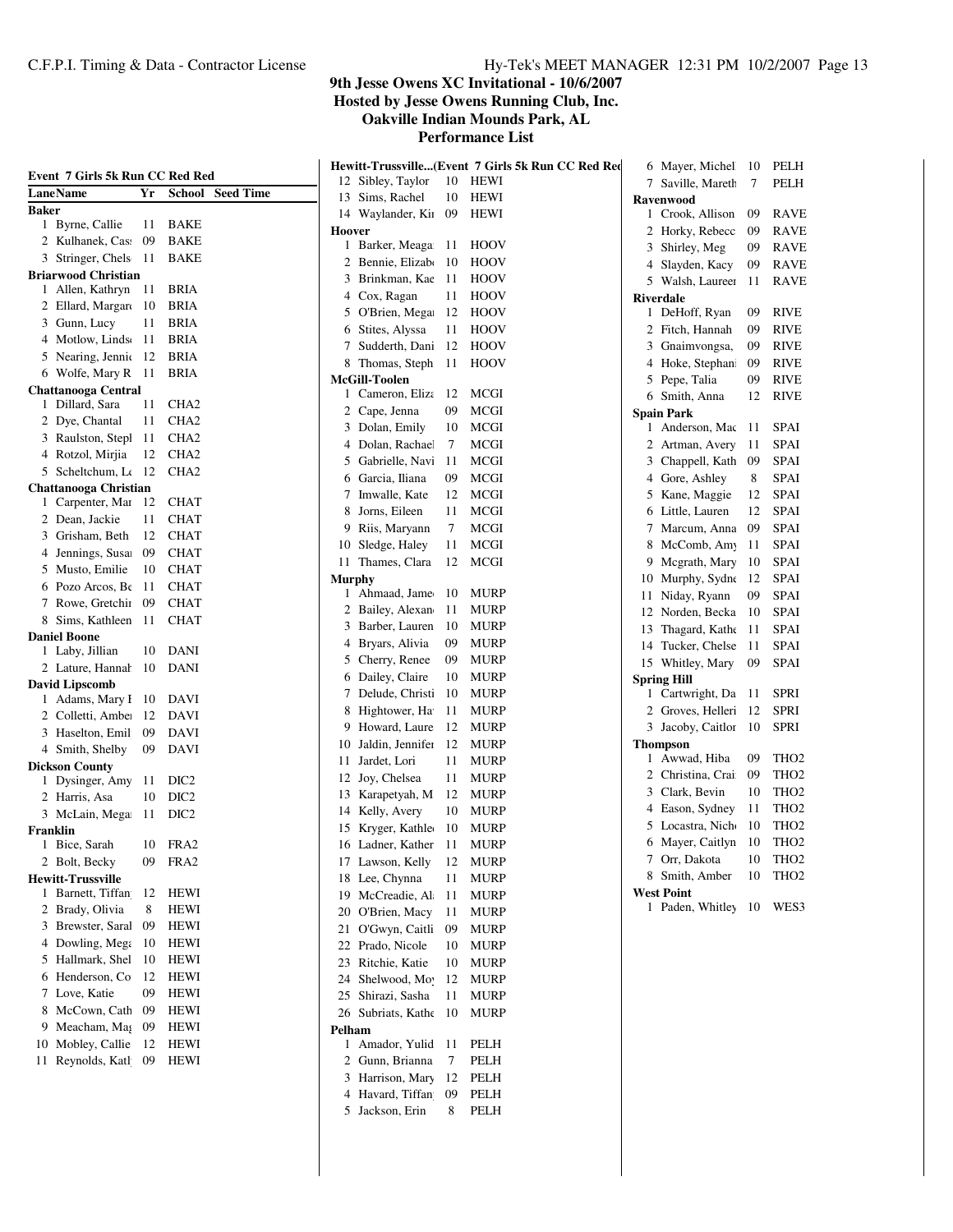**Hosted by Jesse Owens Running Club, Inc.**

**Oakville Indian Mounds Park, AL**

| Event 7 Girls 5k Run CC Red Red |      |                         |               |                      |      | Hewitt-Trussville(Event 7 Girls 5k Run CC Red Red | 6 Mayer, Michel     | 10     | PELH             |
|---------------------------------|------|-------------------------|---------------|----------------------|------|---------------------------------------------------|---------------------|--------|------------------|
| LaneName                        | Yr   | <b>School</b> Seed Time |               | 12 Sibley, Taylor    | 10   | HEWI                                              | 7 Saville, Mareth   | 7      | PELH             |
| <b>Baker</b>                    |      |                         |               | 13 Sims, Rachel      | 10   | HEWI                                              | <b>Ravenwood</b>    |        |                  |
| 1 Byrne, Callie                 | 11   | <b>BAKE</b>             |               | 14 Waylander, Kii 09 |      | <b>HEWI</b>                                       | 1 Crook, Allison    | 09     | RAVE             |
| 2 Kulhanek, Cas                 | 09   | <b>BAKE</b>             | Hoover        |                      |      |                                                   | 2 Horky, Rebecc     | 09     | <b>RAVE</b>      |
| 3 Stringer, Chels               | 11   | BAKE                    |               | 1 Barker, Meaga 11   |      | HOOV                                              | 3 Shirley, Meg      | 09     | <b>RAVE</b>      |
| <b>Briarwood Christian</b>      |      |                         |               | 2 Bennie, Elizabo    | -10  | HOOV                                              | 4 Slayden, Kacy     | 09     | <b>RAVE</b>      |
| 1 Allen, Kathryn                | 11   | <b>BRIA</b>             |               | 3 Brinkman, Kae 11   |      | <b>HOOV</b>                                       | 5 Walsh, Laureer    | 11     | RAVE             |
| 2 Ellard, Margar                | - 10 | <b>BRIA</b>             |               | 4 Cox, Ragan         | 11   | HOOV                                              | <b>Riverdale</b>    |        |                  |
| 3 Gunn, Lucy                    | 11   | <b>BRIA</b>             |               | 5 O'Brien, Mega 12   |      | HOOV                                              | 1 DeHoff, Ryan      | 09     | <b>RIVE</b>      |
| 4 Motlow, Linds                 | - 11 | <b>BRIA</b>             |               | 6 Stites, Alyssa     | 11   | HOOV                                              | 2 Fitch, Hannah     | 09     | <b>RIVE</b>      |
| 5 Nearing, Jennic               | 12   | <b>BRIA</b>             |               | 7 Sudderth, Dani     | -12  | HOOV                                              | 3 Gnaimvongsa,      | 09     | <b>RIVE</b>      |
| 6 Wolfe, Mary R                 | 11   | <b>BRIA</b>             |               | 8 Thomas, Steph 11   |      | HOOV                                              | 4 Hoke, Stephan     | 09     | <b>RIVE</b>      |
| <b>Chattanooga Central</b>      |      |                         |               | McGill-Toolen        |      |                                                   | 5 Pepe, Talia       | 09     | <b>RIVE</b>      |
| 1 Dillard, Sara                 | 11   | CHA <sub>2</sub>        |               | 1 Cameron, Eliza 12  |      | MCGI                                              | 6 Smith, Anna       | 12     | <b>RIVE</b>      |
| 2 Dye, Chantal                  | 11   | CHA <sub>2</sub>        |               | 2 Cape, Jenna        | 09   | <b>MCGI</b>                                       | <b>Spain Park</b>   |        |                  |
| 3 Raulston, Stepl               | 11   | CHA <sub>2</sub>        |               | 3 Dolan, Emily       | 10   | MCGI                                              | 1 Anderson, Mac     | -11    | <b>SPAI</b>      |
| 4 Rotzol, Mirjia                | 12   | CHA <sub>2</sub>        |               | 4 Dolan, Rachael     | 7    | <b>MCGI</b>                                       | 2 Artman, Avery     | 11     | <b>SPAI</b>      |
| 5 Scheltchum, L <sub>4</sub> 12 |      | CHA <sub>2</sub>        |               | 5 Gabrielle, Navi    | 11   | <b>MCGI</b>                                       | 3 Chappell, Kath    | 09     | <b>SPAI</b>      |
| <b>Chattanooga Christian</b>    |      |                         |               | 6 Garcia, Iliana     | 09   | <b>MCGI</b>                                       | 4 Gore, Ashley      | 8      | <b>SPAI</b>      |
| 1 Carpenter, Mai 12             |      | <b>CHAT</b>             |               | 7 Imwalle, Kate      | 12   | MCGI                                              | 5 Kane, Maggie      | 12     | <b>SPAI</b>      |
| 2 Dean, Jackie                  | 11   | <b>CHAT</b>             | 8             | Jorns, Eileen        | 11   | <b>MCGI</b>                                       | 6 Little, Lauren    | 12     | <b>SPAI</b>      |
| 3 Grisham, Beth                 | 12   | <b>CHAT</b>             |               | 9 Riis, Maryann      | 7    | <b>MCGI</b>                                       | 7 Marcum, Anna      | 09     | <b>SPAI</b>      |
| 4 Jennings, Susa                | 09   | <b>CHAT</b>             |               | 10 Sledge, Haley     | 11   | <b>MCGI</b>                                       | 8 McComb, Amy       | 11     | <b>SPAI</b>      |
| 5 Musto, Emilie                 | 10   | <b>CHAT</b>             |               | 11 Thames, Clara     | 12   | MCGI                                              | 9 Mcgrath, Mary     | 10     | <b>SPAI</b>      |
| 6 Pozo Arcos, Be                | 11   | <b>CHAT</b>             | <b>Murphy</b> |                      |      |                                                   | 10 Murphy, Sydne    | 12     | <b>SPAI</b>      |
| 7 Rowe, Gretchii                | 09   | <b>CHAT</b>             |               | 1 Ahmaad, Jame       | 10   | <b>MURP</b>                                       | 11 Niday, Ryann     | 09     | <b>SPAI</b>      |
| 8 Sims, Kathleen                |      | 11 CHAT                 |               | 2 Bailey, Alexan     | 11   | MURP                                              | 12 Norden, Becka    | 10     | <b>SPAI</b>      |
| <b>Daniel Boone</b>             |      |                         |               | 3 Barber, Lauren     | 10   | <b>MURP</b>                                       | 13 Thagard, Kathe   | 11     | <b>SPAI</b>      |
| 1 Laby, Jillian                 | 10   | DANI                    |               | 4 Bryars, Alivia     | 09   | MURP                                              | 14 Tucker, Chelse   | 11     | <b>SPAI</b>      |
| 2 Lature, Hannal                | 10   | <b>DANI</b>             |               | 5 Cherry, Renee      | 09   | <b>MURP</b>                                       | 15 Whitley, Mary    | 09     | <b>SPAI</b>      |
| <b>David Lipscomb</b>           |      |                         |               | 6 Dailey, Claire     | 10   | <b>MURP</b>                                       | <b>Spring Hill</b>  |        |                  |
| 1 Adams, Mary I                 | 10   | DAVI                    |               | 7 Delude, Christi    | - 10 | MURP                                              | 1 Cartwright, Da 11 |        | <b>SPRI</b>      |
| 2 Colletti, Ambe                | 12   | DAVI                    |               | 8 Hightower, Ha      | -11  | <b>MURP</b>                                       | 2 Groves, Helleri   | 12     | <b>SPRI</b>      |
| 3 Haselton, Emil                | 09   | DAVI                    |               | 9 Howard, Laure      | -12  | MURP                                              | 3 Jacoby, Caitlor   | - 10   | <b>SPRI</b>      |
| 4 Smith, Shelby                 | 09   | DAVI                    |               | 10 Jaldin, Jennifer  | - 12 | MURP                                              | <b>Thompson</b>     |        |                  |
| <b>Dickson County</b>           |      |                         |               | 11 Jardet, Lori      | 11   | <b>MURP</b>                                       | 1 Awwad, Hiba       | 09     | THO <sub>2</sub> |
| 1 Dysinger, Amy                 | -11  | DIC <sub>2</sub>        |               | 12 Joy, Chelsea      | 11   | <b>MURP</b>                                       | 2 Christina, Crai   | 09     | TH <sub>O2</sub> |
| 2 Harris, Asa                   | 10   | DIC <sub>2</sub>        |               | 13 Karapetyah, M     | 12   | <b>MURP</b>                                       | 3 Clark, Bevin      | 10     | TH <sub>O2</sub> |
| 3 McLain, Mega                  | - 11 | DIC <sub>2</sub>        |               | 14 Kelly, Avery      | 10   | <b>MURP</b>                                       | 4 Eason, Sydney     | 11     | TH <sub>O2</sub> |
| Franklin                        |      |                         |               | 15 Kryger, Kathle    | 10   | MURP                                              | 5 Locastra, Nich    | 10     | TH <sub>O2</sub> |
| 1 Bice, Sarah                   |      | 10 FRA2                 |               | 16 Ladner, Kather    | - 11 | <b>MURP</b>                                       | 6 Mayer, Caitlyn    | 10     | THO <sub>2</sub> |
| 2 Bolt, Becky                   | 09   | FRA2                    |               | 17 Lawson, Kelly     | 12   | <b>MURP</b>                                       | 7 Orr, Dakota       | $10\,$ | THO <sub>2</sub> |
| <b>Hewitt-Trussville</b>        |      |                         |               | 18 Lee, Chynna       | 11   | <b>MURP</b>                                       | 8 Smith, Amber      | 10     | TH <sub>O2</sub> |
| 1 Barnett, Tiffan               | 12   | <b>HEWI</b>             |               | 19 McCreadie, Al 11  |      | <b>MURP</b>                                       | <b>West Point</b>   |        |                  |
| 2 Brady, Olivia                 | 8    | <b>HEWI</b>             |               | 20 O'Brien, Macy     | 11   | <b>MURP</b>                                       | 1 Paden, Whitley    |        | 10 WES3          |
| 3 Brewster, Saral               | 09   | <b>HEWI</b>             |               | 21 O'Gwyn, Caitli    | 09   | <b>MURP</b>                                       |                     |        |                  |
| 4 Dowling, Mega                 | 10   | <b>HEWI</b>             |               | 22 Prado, Nicole     | 10   | <b>MURP</b>                                       |                     |        |                  |
| 5 Hallmark, Shel                | 10   | <b>HEWI</b>             |               | 23 Ritchie, Katie    | 10   | <b>MURP</b>                                       |                     |        |                  |
| 6 Henderson, Co.                | 12   | <b>HEWI</b>             |               | 24 Shelwood, Mo      | 12   | <b>MURP</b>                                       |                     |        |                  |
| 7 Love, Katie                   | 09   | <b>HEWI</b>             |               | 25 Shirazi, Sasha    | 11   | <b>MURP</b>                                       |                     |        |                  |
| 8 McCown, Cath                  | 09   | <b>HEWI</b>             |               | 26 Subriats, Kathe   | - 10 | <b>MURP</b>                                       |                     |        |                  |
| Meacham, Mag<br>9               | 09   | <b>HEWI</b>             | Pelham        |                      |      |                                                   |                     |        |                  |
| 10 Mobley, Callie               | 12   | HEWI                    |               | 1 Amador, Yulid      | - 11 | PELH                                              |                     |        |                  |
| 11 Reynolds, Katl               | 09   | HEWI                    |               | 2 Gunn, Brianna      | 7    | PELH                                              |                     |        |                  |
|                                 |      |                         |               | 3 Harrison, Mary     | 12   | PELH                                              |                     |        |                  |
|                                 |      |                         |               | 4 Havard, Tiffan     | 09   | PELH                                              |                     |        |                  |
|                                 |      |                         |               | 5 Jackson, Erin      | 8    | PELH                                              |                     |        |                  |
|                                 |      |                         |               |                      |      |                                                   |                     |        |                  |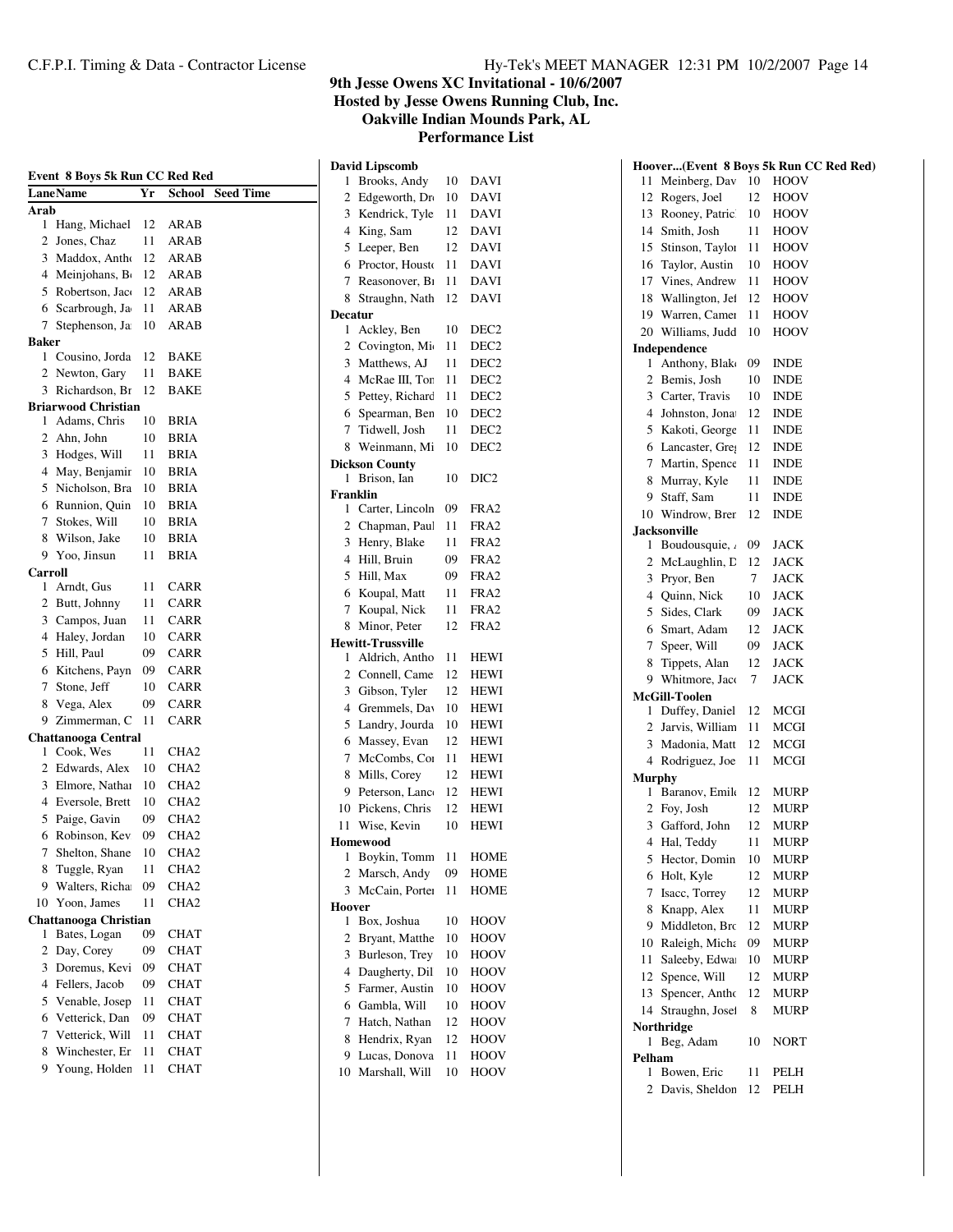**Hosted by Jesse Owens Running Club, Inc.**

**Oakville Indian Mounds Park, AL**

**David Lipscomb**

|         | Event 8 Boys 5k Run CC Red Red |    |                  |                  |
|---------|--------------------------------|----|------------------|------------------|
|         | LaneName                       | Yr | School           | <b>Seed Time</b> |
| Arab    |                                |    |                  |                  |
| 1       | Hang, Michael                  | 12 | ARAB             |                  |
| 2       | Jones, Chaz                    | 11 | ARAB             |                  |
| 3       | Maddox, Antho                  | 12 | ARAB             |                  |
| 4       | Meinjohans, B                  | 12 | ARAB             |                  |
| 5       | Robertson, Jac                 | 12 | ARAB             |                  |
| 6       | Scarbrough, Ja                 | 11 | ARAB             |                  |
| 7       | Stephenson, Ja                 | 10 | ARAB             |                  |
| Baker   |                                |    |                  |                  |
| 1       | Cousino, Jorda                 | 12 | <b>BAKE</b>      |                  |
| 2       | Newton, Gary                   | 11 | BAKE             |                  |
| 3       | Richardson, B1                 | 12 | BAKE             |                  |
|         | Briarwood Christian            |    |                  |                  |
| 1       | Adams, Chris                   | 10 | BRIA             |                  |
| 2       | Ahn, John                      | 10 | <b>BRIA</b>      |                  |
| 3       | Hodges, Will                   | 11 | <b>BRIA</b>      |                  |
| 4       | May, Benjamir                  | 10 | BRIA             |                  |
| 5       | Nicholson, Bra                 | 10 | BRIA             |                  |
| 6       | Runnion, Quin                  | 10 | <b>BRIA</b>      |                  |
| 7       | Stokes, Will                   | 10 | BRIA             |                  |
| 8       | Wilson, Jake                   | 10 | BRIA             |                  |
| 9       | Yoo, Jinsun                    | 11 | BRIA             |                  |
| Carroll |                                |    |                  |                  |
| 1       | Arndt, Gus                     | 11 | <b>CARR</b>      |                  |
| 2       | Butt, Johnny                   | 11 | CARR             |                  |
| 3       | Campos, Juan                   | 11 | <b>CARR</b>      |                  |
| 4       | Haley, Jordan                  | 10 | <b>CARR</b>      |                  |
| 5       | Hill, Paul                     | 09 | CARR             |                  |
| 6       | Kitchens, Payn                 | 09 | <b>CARR</b>      |                  |
| 7       | Stone, Jeff                    | 10 | CARR             |                  |
| 8       | Vega, Alex                     | 09 | <b>CARR</b>      |                  |
| 9       | Zimmerman, C                   | 11 | <b>CARR</b>      |                  |
|         | Chattanooga Central            |    |                  |                  |
| 1       | Cook, Wes                      | 11 | CHA <sub>2</sub> |                  |
| 2       | Edwards, Alex                  | 10 | CHA2             |                  |
| 3       | Elmore, Nathai                 | 10 | CHA2             |                  |
| 4       | Eversole, Brett                | 10 | CHA <sub>2</sub> |                  |
| 5       | Paige, Gavin                   | 09 | CHA2             |                  |
| 6       | Robinson, Kev                  | 09 | CHA2             |                  |
| 7       | Shelton, Shane                 | 10 | CHA <sub>2</sub> |                  |
| 8       | Tuggle, Ryan                   | 11 | CHA <sub>2</sub> |                  |
| 9       | Walters, Richa                 | 09 | CHA2             |                  |
| 10      | Yoon, James                    | 11 | CHA <sub>2</sub> |                  |
|         | <b>Chattanooga Christian</b>   |    |                  |                  |
| 1       | Bates, Logan                   | 09 | CHAT             |                  |
| 2       | Day, Corey                     | 09 | CHAT             |                  |
| 3       | Doremus, Kevi                  | 09 | <b>CHAT</b>      |                  |
| 4       | Fellers, Jacob                 | 09 | CHAT             |                  |
| 5       | Venable, Josep                 | 11 | <b>CHAT</b>      |                  |
| 6       | Vetterick, Dan                 | 09 | <b>CHAT</b>      |                  |
| 7       | Vetterick, Will                | 11 | CHAT             |                  |
| 8       | Winchester, Er                 | 11 | <b>CHAT</b>      |                  |
| 9       | Young, Holder                  | 11 | CHAT             |                  |
|         |                                |    |                  |                  |

| 1              | Brooks, Andy             | 10 | DAVI             |
|----------------|--------------------------|----|------------------|
| $\overline{c}$ | Edgeworth, Dr            | 10 | <b>DAVI</b>      |
| 3              | Kendrick, Tyle           | 11 | DAVI             |
| 4              | King, Sam                | 12 | DAVI             |
| 5              | Leeper, Ben              | 12 | DAVI             |
| 6              | Proctor, Housto          | 11 | <b>DAVI</b>      |
| 7              | Reasonover, B1           | 11 | <b>DAVI</b>      |
| 8              | Straughn, Nath           | 12 | <b>DAVI</b>      |
| <b>Decatur</b> |                          |    |                  |
| 1              | Ackley, Ben              | 10 | DEC <sub>2</sub> |
| 2              | Covington, Mi            | 11 | DEC <sub>2</sub> |
| 3              | Matthews, AJ             | 11 | DEC <sub>2</sub> |
| 4              | McRae III, Tor           | 11 | DEC <sub>2</sub> |
| 5              | Pettey, Richard          | 11 | DEC <sub>2</sub> |
| 6              | Spearman, Ben            | 10 | DEC <sub>2</sub> |
| 7              | Tidwell, Josh            | 11 | DEC <sub>2</sub> |
| 8              | Weinmann, Mi             | 10 | DEC <sub>2</sub> |
|                | <b>Dickson County</b>    |    |                  |
| 1              | Brison, Ian              | 10 | DIC <sub>2</sub> |
| Franklin       |                          |    |                  |
| 1              | Carter, Lincoln          | 09 | FRA <sub>2</sub> |
| $\overline{2}$ | Chapman, Paul            | 11 | FRA2             |
| 3              | Henry, Blake             | 11 | FRA2             |
| 4              | Hill, Bruin              | 09 | FRA2             |
| 5              | Hill, Max                | 09 | FRA <sub>2</sub> |
| 6              | Koupal, Matt             | 11 | FRA2             |
| 7              | Koupal, Nick             | 11 | FRA2             |
| 8              | Minor, Peter             | 12 | FRA2             |
|                | <b>Hewitt-Trussville</b> |    |                  |
| 1              | Aldrich, Antho           | 11 | HEWI             |
| 2              | Connell, Came            | 12 | HEWI             |
| 3              | Gibson, Tyler            | 12 | HEWI             |
| 4              | Gremmels, Dav            | 10 | HEWI             |
| 5              | Landry, Jourda           | 10 | <b>HEWI</b>      |
| 6              | Massey, Evan             | 12 | HEWI             |
| 7              | McCombs, Cor             | 11 | HEWI             |
| 8              | Mills, Corey             | 12 | HEWI             |
| 9              | Peterson, Lanco          | 12 | <b>HEWI</b>      |
| 10             | Pickens, Chris           | 12 | <b>HEWI</b>      |
| 11             | Wise, Kevin              | 10 | <b>HEWI</b>      |
|                | Homewood                 |    |                  |
| 1              | Boykin, Tomm             | 11 | HOME             |
| $\overline{2}$ | Marsch, Andy             | 09 | <b>HOME</b>      |
| 3              | McCain, Porter           | 11 | HOME             |
| Hoover         |                          |    |                  |
| 1              | Box, Joshua              | 10 | HOOV             |
| 2              | Bryant, Matthe           | 10 | HOOV             |
| 3              | Burleson, Trey           | 10 | HOOV             |
| 4              | Daugherty, Dil           | 10 | HOOV             |
| 5              | Farmer, Austin           | 10 | HOOV             |
| 6              | Gambla, Will             | 10 | HOOV             |
| 7              | Hatch, Nathan            | 12 | HOOV             |
| 8              | Hendrix, Ryan            | 12 | HOOV             |
| 9              | Lucas, Donova            | 11 | HOOV             |
| 10             | Marshall, Will           | 10 | HOOV             |
|                |                          |    |                  |

|                |                                 |             | Hoover(Event 8 Boys 5k Run CC Red Red) |
|----------------|---------------------------------|-------------|----------------------------------------|
| 11             | Meinberg, Dav                   | 10          | HOOV                                   |
| 12             | Rogers, Joel                    | 12          | HOOV                                   |
| 13             | Rooney, Patric                  | 10          | HOOV                                   |
| 14             | Smith, Josh                     | 11          | HOOV                                   |
| 15             | Stinson, Taylor                 | 11          | <b>HOOV</b>                            |
| 16             | Taylor, Austin                  | 10          | <b>HOOV</b>                            |
| 17             | Vines, Andrew                   | 11          | HOOV                                   |
| 18             | Wallington, Jef                 | 12          | HOOV                                   |
| 19             | Warren, Camer                   | 11          | HOOV                                   |
| 20             | Williams, Judd                  | 10          | HOOV                                   |
|                | Independence                    |             |                                        |
| 1              | Anthony, Blak                   | 09          | <b>INDE</b>                            |
| $\overline{2}$ | Bemis, Josh                     | 10          | <b>INDE</b>                            |
| 3              | Carter, Travis                  | 10          | <b>INDE</b>                            |
| $\overline{4}$ | Johnston, Jona                  | 12          | <b>INDE</b>                            |
| 5              | Kakoti, George                  | 11          | <b>INDE</b>                            |
| 6              | Lancaster, Greg                 | 12          | <b>INDE</b>                            |
| 7              | Martin, Spence                  | 11          | <b>INDE</b>                            |
| 8              | Murray, Kyle                    | 11          | <b>INDE</b>                            |
| 9              | Staff, Sam                      | 11          | <b>INDE</b>                            |
| 10             | Windrow, Brer                   | 12          | <b>INDE</b>                            |
|                | <b>Jacksonville</b>             |             |                                        |
| 1              | Boudousquie,                    | 09          | JACK                                   |
| 2              | McLaughlin, D                   | 12          | <b>JACK</b>                            |
| $\mathfrak{Z}$ | Pryor, Ben                      | $7^{\circ}$ | JACK                                   |
| 4              | Ouinn, Nick                     | 10          | JACK                                   |
| 5              | Sides, Clark                    | 09          | JACK                                   |
| 6              | Smart, Adam                     | 12          | <b>JACK</b>                            |
| 7              | Speer, Will                     | 09          | <b>JACK</b>                            |
| 8              | Tippets, Alan                   | 12          | <b>JACK</b>                            |
| 9              | Whitmore, Jaco                  | 7           | JACK                                   |
| 1              | McGill-Toolen<br>Duffey, Daniel | 12          | MCGI                                   |
| $\overline{2}$ | Jarvis, William                 | 11          | MCGI                                   |
| 3              | Madonia, Matt                   | 12          | MCGI                                   |
| $\overline{4}$ | Rodriguez, Joe                  | 11          | <b>MCGI</b>                            |
| <b>Murphy</b>  |                                 |             |                                        |
| 1              | Baranov, Emile                  | 12          | MURP                                   |
|                | 2 Foy, Josh                     | 12          | <b>MURP</b>                            |
|                | 3 Gafford, John                 | 12          | <b>MURP</b>                            |
| $\overline{4}$ | Hal, Teddy                      | 11          | <b>MURP</b>                            |
| 5              | Hector, Domin                   | 10          | MURP                                   |
| 6              | Holt, Kyle                      | 12          | MURP                                   |
| 7              | Isacc, Torrey                   | 12          | MURP                                   |
| 8              | Knapp, Alex                     | 11          | <b>MURP</b>                            |
| 9              | Middleton, Bro                  | 12          | <b>MURP</b>                            |
| 10             | Raleigh, Micha                  | 09          | MURP                                   |
| 11             | Saleeby, Edwa                   | 10          | MURP                                   |
| 12             | Spence, Will                    | 12          | MURP                                   |
| 13             | Spencer, Antho                  | 12          | <b>MURP</b>                            |
| 14             | Straughn, Josef                 | 8           | MURP                                   |
|                | Northridge                      |             |                                        |
| 1              | Beg, Adam                       | 10          | NORT                                   |
| Pelham         |                                 |             |                                        |
| 1              | Bowen, Eric                     | 11          | PELH                                   |
| 2              | Davis, Sheldon                  | 12          | PELH                                   |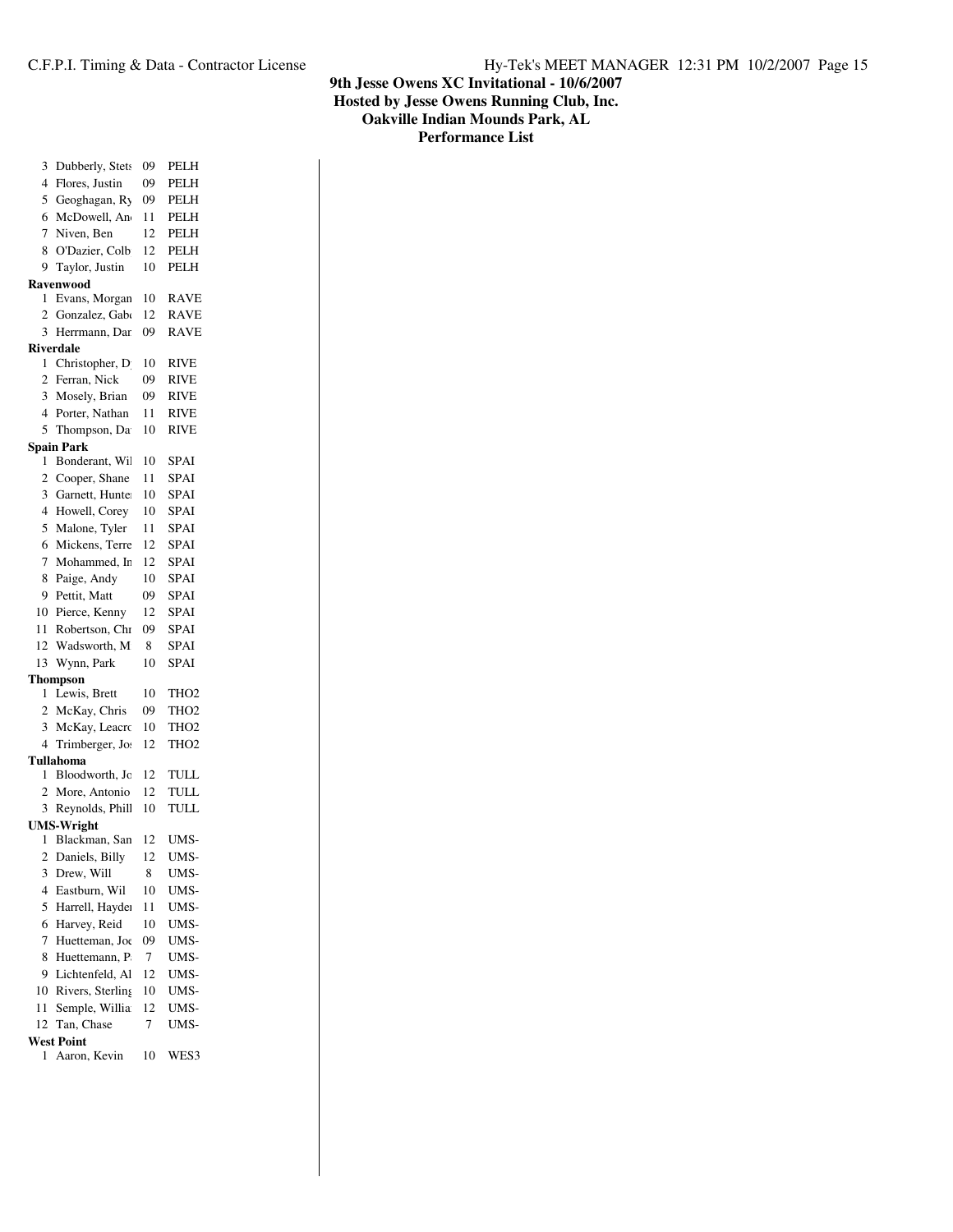| 3              | Dubberly, Stets                    | 09 | <b>PELH</b>      |
|----------------|------------------------------------|----|------------------|
| 4              | Flores, Justin                     | 09 | PELH             |
| 5              | Geoghagan, Ry                      | 09 | PELH             |
| 6              | McDowell, An                       | 11 | PELH             |
| 7              | Niven, Ben                         | 12 | PELH             |
| 8              | O'Dazier, Colb                     | 12 | PELH             |
| 9              | Taylor, Justin                     | 10 | PELH             |
|                | <b>Ravenwood</b>                   |    |                  |
| 1              | Evans, Morgan                      | 10 | <b>RAVE</b>      |
| 2              | Gonzalez, Gab                      | 12 | <b>RAVE</b>      |
| 3              | Herrmann, Dar                      | 09 | <b>RAVE</b>      |
|                | <b>Riverdale</b>                   |    |                  |
| 1              | Christopher, D                     | 10 | RIVE             |
| 2              | Ferran, Nick                       | 09 | <b>RIVE</b>      |
| 3              | Mosely, Brian                      | 09 | RIVE             |
| 4              | Porter, Nathan                     | 11 | <b>RIVE</b>      |
| 5              | Thompson, Da                       | 10 | <b>RIVE</b>      |
|                | <b>Spain Park</b>                  |    |                  |
| 1              | Bonderant, Wi                      | 10 | SPAI             |
| $\overline{c}$ | Cooper, Shane                      | 11 | <b>SPAI</b>      |
| 3              | Garnett, Hunte                     | 10 | SPAI             |
| 4              | Howell, Corey                      | 10 | SPAI             |
| 5              | Malone, Tyler                      | 11 | SPAI             |
| 6              | Mickens, Terre                     | 12 | SPAI             |
| 7              | Mohammed, Ir.                      | 12 | <b>SPAI</b>      |
| 8              | Paige, Andy                        | 10 | SPAI             |
| 9              | Pettit, Matt                       | 09 | <b>SPAI</b>      |
| 10             | Pierce, Kenny                      | 12 | SPAI             |
| 11             | Robertson, Chi                     | 09 | <b>SPAI</b>      |
| 12             | Wadsworth, M                       | 8  | <b>SPAI</b>      |
| 13             | Wynn, Park                         | 10 | <b>SPAI</b>      |
|                | Thompson                           |    |                  |
| 1              | Lewis, Brett                       | 10 | THO <sub>2</sub> |
| $\overline{2}$ | McKay, Chris                       | 09 | THO <sub>2</sub> |
| 3              | McKay, Leacro                      | 10 | THO <sub>2</sub> |
| $\overline{4}$ | Trimberger, Jo.                    | 12 | TH <sub>O2</sub> |
|                |                                    |    |                  |
|                |                                    |    |                  |
| 1              | Tullahoma                          |    |                  |
|                | Bloodworth, Jc                     | 12 | TULL             |
| $\overline{c}$ | More, Antonio                      | 12 | <b>TULL</b>      |
| 3              | Reynolds, Phill                    | 10 | <b>TULL</b>      |
| 1              | <b>UMS-Wright</b><br>Blackman, San | 12 |                  |
|                |                                    | 12 | UMS-<br>UMS-     |
|                | 2 Daniels, Billy                   |    |                  |
| 3              | Drew, Will                         | 8  | UMS-             |
| 4              | Eastburn, Wil                      | 10 | UMS-             |
| 5              | Harrell, Hayde                     | 11 | UMS-             |
| 6              | Harvey, Reid                       | 10 | UMS-             |
| 7              | Huetteman, Joe                     | 09 | UMS-             |
| 8              | Huettemann, P                      | 7  | UMS-             |
| 9              | Lichtenfeld, Al                    | 12 | UMS-             |
| 10             | Rivers, Sterling                   | 10 | UMS-             |
| 11             | Semple, Willia                     | 12 | UMS-             |
| 12             | Tan, Chase                         | 7  | UMS-             |
| 1              | <b>West Point</b><br>Aaron, Kevin  | 10 | WES3             |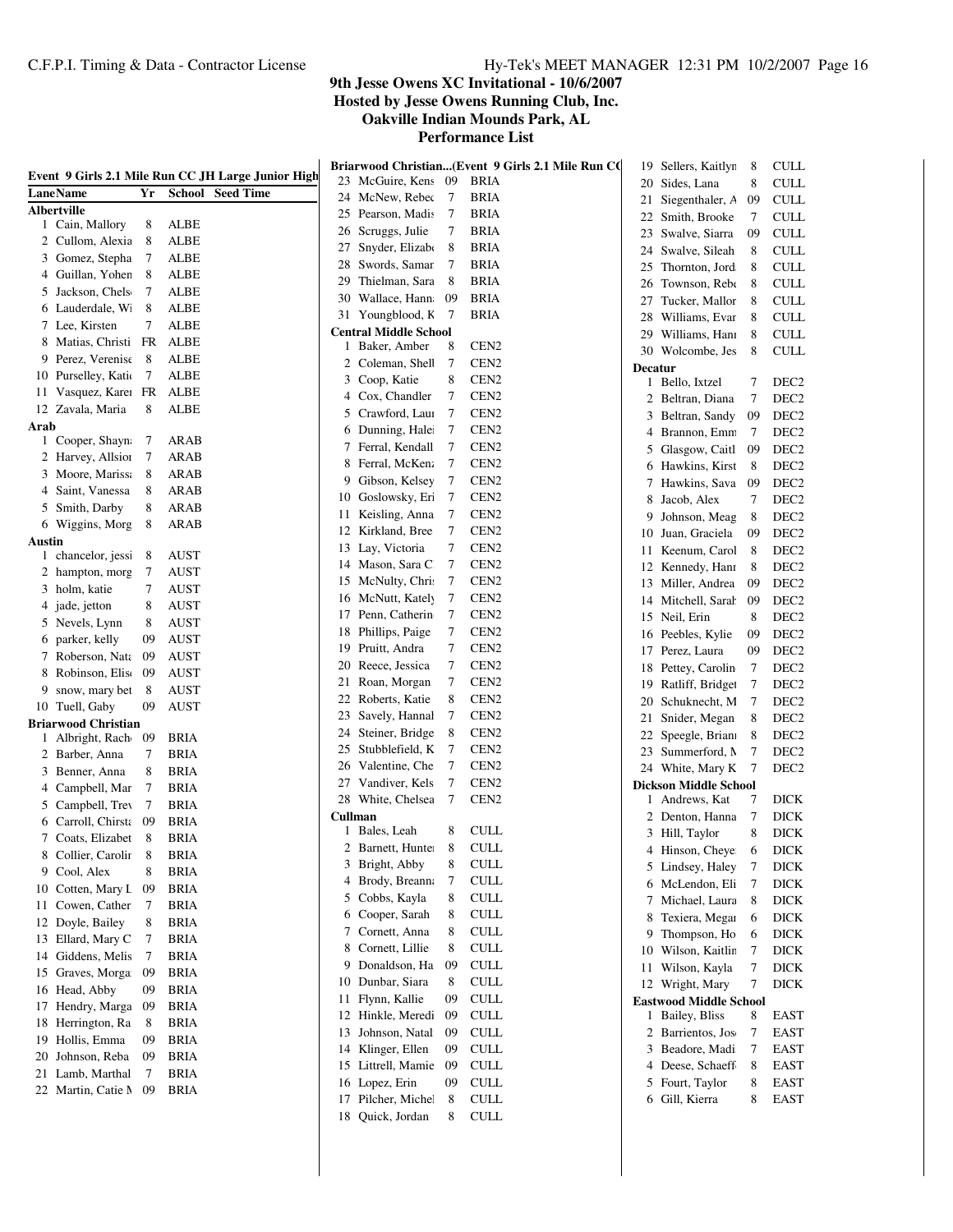|                                       |        |             | Event 9 Girls 2.1 Mile Run CC JH Large Junior High |              | Briarwood Christian(Event 9 Girls 2.1 Mile Run CO |        |                             |                | 19 Sellers, Kaitlyn           | 8  | CULL             |
|---------------------------------------|--------|-------------|----------------------------------------------------|--------------|---------------------------------------------------|--------|-----------------------------|----------------|-------------------------------|----|------------------|
| LaneName                              |        |             |                                                    |              | 23 McGuire, Kens 09                               |        | BRIA                        |                | 20 Sides, Lana                | 8  | <b>CULL</b>      |
|                                       | Yr     |             | <b>School</b> Seed Time                            |              | 24 McNew, Rebec                                   | 7      | BRIA                        |                | 21 Siegenthaler, A            | 09 | <b>CULL</b>      |
| <b>Albertville</b><br>1 Cain, Mallory | 8      | <b>ALBE</b> |                                                    |              | 25 Pearson, Madis                                 | $\tau$ | BRIA                        |                | 22 Smith, Brooke              | 7  | CULL             |
| 2 Cullom, Alexia                      | 8      | <b>ALBE</b> |                                                    |              | 26 Scruggs, Julie                                 | 7      | <b>BRIA</b>                 | 23             | Swalve, Siarra                | 09 | <b>CULL</b>      |
| 3 Gomez, Stepha                       | 7      | ALBE        |                                                    | 27           | Snyder, Elizabo                                   | 8      | BRIA                        | 24             | Swalve, Sileah                | 8  | <b>CULL</b>      |
| 4 Guillan, Yohen                      | 8      | ALBE        |                                                    | 28           | Swords, Samar                                     | 7      | <b>BRIA</b>                 | 25             | Thornton, Jord                | 8  | <b>CULL</b>      |
| 5 Jackson, Chels                      | 7      | <b>ALBE</b> |                                                    | 29           | Thielman, Sara                                    | 8      | BRIA                        | 26             | Townson, Rebe                 | 8  | CULL             |
|                                       | 8      |             |                                                    | 30           | Wallace, Hann                                     | -09    | <b>BRIA</b>                 | 27             | Tucker, Mallor                | 8  | CULL             |
| 6 Lauderdale, W                       | 7      | <b>ALBE</b> |                                                    |              | 31 Youngblood, K                                  | - 7    | BRIA                        | 28             | Williams, Evar                | 8  | <b>CULL</b>      |
| 7 Lee, Kirsten                        |        | <b>ALBE</b> |                                                    |              | <b>Central Middle School</b>                      |        |                             | 29             | Williams, Hani                | 8  | CULL             |
| 8 Matias, Christi                     | FR     | ALBE        |                                                    | $\mathbf{1}$ | Baker, Amber                                      | 8      | CEN <sub>2</sub>            |                | 30 Wolcombe, Jes              | 8  | CULL             |
| 9 Perez, Verenise                     | 8      | ALBE        |                                                    | $\mathbf{2}$ | Coleman, Shell                                    | 7      | CEN <sub>2</sub>            | <b>Decatur</b> |                               |    |                  |
| 10 Purselley, Katio                   | 7      | <b>ALBE</b> |                                                    |              | 3 Coop, Katie                                     | 8      | CEN <sub>2</sub>            |                | 1 Bello, Ixtzel               | 7  | DEC <sub>2</sub> |
| 11 Vasquez, Karea                     | FR     | ALBE        |                                                    |              | 4 Cox, Chandler                                   | 7      | CEN <sub>2</sub>            |                | 2 Beltran, Diana              | 7  | DEC <sub>2</sub> |
| 12 Zavala, Maria                      | 8      | <b>ALBE</b> |                                                    |              | 5 Crawford, Laur                                  | 7      | CEN <sub>2</sub>            | 3              | Beltran, Sandy                | 09 | DEC <sub>2</sub> |
| Arab                                  |        |             |                                                    |              | 6 Dunning, Hale                                   | $\tau$ | CEN <sub>2</sub>            | 4              | Brannon, Emm                  | 7  | DEC <sub>2</sub> |
| 1 Cooper, Shayn                       | 7<br>7 | ARAB        |                                                    |              | 7 Ferral, Kendall                                 | $\tau$ | CEN <sub>2</sub>            | 5              | Glasgow, Caitl                | 09 | DEC <sub>2</sub> |
| 2 Harvey, Allsion                     |        | ARAB        |                                                    |              | 8 Ferral, McKen:                                  | 7      | CEN <sub>2</sub>            |                | 6 Hawkins, Kirst              | 8  | DEC <sub>2</sub> |
| 3 Moore, Marissa                      | 8      | ARAB        |                                                    | 9.           | Gibson, Kelsey                                    | 7      | CEN <sub>2</sub>            |                | 7 Hawkins, Sava               | 09 | DEC <sub>2</sub> |
| 4 Saint, Vanessa                      | 8      | ARAB        |                                                    | 10           | Goslowsky, Eri                                    | $\tau$ | CEN <sub>2</sub>            | 8              | Jacob, Alex                   | 7  | DEC <sub>2</sub> |
| 5 Smith, Darby                        | 8      | ARAB        |                                                    | 11           | Keisling, Anna                                    | $\tau$ | CEN <sub>2</sub>            | 9              | Johnson, Meag                 | 8  | DEC <sub>2</sub> |
| 6 Wiggins, Morg                       | 8      | ARAB        |                                                    |              | 12 Kirkland, Bree                                 | $\tau$ | CEN <sub>2</sub>            | 10             | Juan, Graciela                | 09 | DEC <sub>2</sub> |
| Austin                                |        |             |                                                    |              | 13 Lay, Victoria                                  | 7      | CEN <sub>2</sub>            | 11             | Keenum, Carol                 | 8  | DEC <sub>2</sub> |
| 1 chancelor, jess:                    | 8      | AUST        |                                                    |              | 14 Mason, Sara C.                                 | 7      | CEN <sub>2</sub>            |                | 12 Kennedy, Hanr              | 8  | DEC <sub>2</sub> |
| 2 hampton, morg                       | 7      | <b>AUST</b> |                                                    |              | 15 McNulty, Chri:                                 | $\tau$ | CEN <sub>2</sub>            | 13             | Miller, Andrea                | 09 | DEC <sub>2</sub> |
| 3 holm, katie                         | 7      | <b>AUST</b> |                                                    |              | 16 McNutt, Kately                                 | $\tau$ | CEN <sub>2</sub>            | 14             | Mitchell, Sarah               | 09 | DEC <sub>2</sub> |
| 4 jade, jetton                        | 8      | <b>AUST</b> |                                                    |              | 17 Penn, Catherin                                 | $\tau$ | CEN <sub>2</sub>            | 15             | Neil, Erin                    | 8  | DEC <sub>2</sub> |
| 5 Nevels, Lynn                        | 8      | <b>AUST</b> |                                                    |              | 18 Phillips, Paige                                | 7      | CEN <sub>2</sub>            | 16             | Peebles, Kylie                | 09 | DEC <sub>2</sub> |
| 6 parker, kelly                       | 09     | <b>AUST</b> |                                                    | 19           | Pruitt, Andra                                     | 7      | CEN <sub>2</sub>            |                | 17 Perez, Laura               | 09 | DEC <sub>2</sub> |
| 7 Roberson, Nata                      | 09     | <b>AUST</b> |                                                    | 20           | Reece, Jessica                                    | 7      | CEN <sub>2</sub>            |                | 18 Pettey, Carolin            | 7  | DEC <sub>2</sub> |
| 8 Robinson, Elis                      | 09     | <b>AUST</b> |                                                    | 21           | Roan, Morgan                                      | 7      | CEN <sub>2</sub>            |                |                               | 7  | DEC <sub>2</sub> |
| snow, mary bet<br>9                   | 8      | AUST        |                                                    | 22           | Roberts, Katie                                    | 8      | CEN <sub>2</sub>            | 19             | Ratliff, Bridget              |    |                  |
| 10 Tuell, Gaby                        | 09     | <b>AUST</b> |                                                    |              | 23 Savely, Hannal                                 | 7      | CEN <sub>2</sub>            | 20             | Schuknecht, M                 | 7  | DEC <sub>2</sub> |
| <b>Briarwood Christian</b>            |        |             |                                                    |              | 24 Steiner, Bridge                                | 8      | CEN <sub>2</sub>            | 21             | Snider, Megan                 | 8  | DEC <sub>2</sub> |
| 1 Albright, Rach                      | 09     | <b>BRIA</b> |                                                    | 25           | Stubblefield, K                                   | 7      | CEN <sub>2</sub>            | 22             | Speegle, Brian                | 8  | DEC <sub>2</sub> |
| 2 Barber, Anna                        | 7      | <b>BRIA</b> |                                                    |              |                                                   | $\tau$ | CEN <sub>2</sub>            | 23             | Summerford, N                 | 7  | DEC <sub>2</sub> |
| 3 Benner, Anna                        | 8      | <b>BRIA</b> |                                                    | 26           | Valentine, Che                                    | $\tau$ | CEN <sub>2</sub>            |                | 24 White, Mary K              | 7  | DEC <sub>2</sub> |
| 4 Campbell, Mar                       | 7      | <b>BRIA</b> |                                                    | 27           | Vandiver, Kels                                    |        |                             |                | <b>Dickson Middle School</b>  |    |                  |
| 5 Campbell, Trev                      | 7      | <b>BRIA</b> |                                                    |              | 28 White, Chelsea                                 | 7      | CEN <sub>2</sub>            |                | 1 Andrews, Kat                | 7  | DICK             |
| Carroll, Chirsta<br>6                 | 09     | <b>BRIA</b> |                                                    | Cullman      | 1 Bales, Leah                                     | 8      | <b>CULL</b>                 |                | 2 Denton, Hanna               | 7  | <b>DICK</b>      |
| 7 Coats, Elizabet                     | 8      | <b>BRIA</b> |                                                    |              | 2 Barnett, Hunter                                 | 8      | <b>CULL</b>                 |                | 3 Hill, Taylor                | 8  | <b>DICK</b>      |
| Collier, Carolin<br>8                 | 8      | <b>BRIA</b> |                                                    |              | 3 Bright, Abby                                    | 8      | <b>CULL</b>                 |                | 4 Hinson, Cheye               | 6  | $DICK$           |
| 9 Cool, Alex                          | 8      | <b>BRIA</b> |                                                    |              | 4 Brody, Breann:                                  | 7      | <b>CULL</b>                 |                | 5 Lindsey, Haley              | 7  | <b>DICK</b>      |
| Cotten, Mary L<br>10                  | 09     | <b>BRIA</b> |                                                    |              | 5 Cobbs, Kayla                                    |        |                             |                | 6 McLendon, Eli               | 7  | <b>DICK</b>      |
| 11 Cowen, Cather                      | 7      | <b>BRIA</b> |                                                    |              |                                                   | 8      | <b>CULL</b>                 |                | 7 Michael, Laura              | 8  | <b>DICK</b>      |
| 12 Doyle, Bailey                      | 8      | <b>BRIA</b> |                                                    | 6            | Cooper, Sarah                                     | 8      | <b>CULL</b>                 | 8              | Texiera, Megar                | 6  | <b>DICK</b>      |
| 13 Ellard, Mary C                     | 7      | <b>BRIA</b> |                                                    | 7.           | Cornett, Anna                                     | 8      | <b>CULL</b>                 | 9              | Thompson, Ho                  | 6  | <b>DICK</b>      |
| 14 Giddens, Melis                     | 7      | <b>BRIA</b> |                                                    |              | 8 Cornett, Lillie                                 | 8      | $\ensuremath{\mathrm{CUL}}$ |                | 10 Wilson, Kaitlin            | 7  | <b>DICK</b>      |
| Graves, Morga<br>15                   | 09     | <b>BRIA</b> |                                                    |              | 9 Donaldson, Ha                                   | 09     | <b>CULL</b>                 |                | 11 Wilson, Kayla              | 7  | <b>DICK</b>      |
| 16 Head, Abby                         | 09     | <b>BRIA</b> |                                                    |              | 10 Dunbar, Siara                                  | 8      | <b>CULL</b>                 |                | 12 Wright, Mary               | 7  | <b>DICK</b>      |
| 17 Hendry, Marga                      | 09     | <b>BRIA</b> |                                                    |              | 11 Flynn, Kallie                                  | 09     | <b>CULL</b>                 |                | <b>Eastwood Middle School</b> |    |                  |
| 18 Herrington, Ra                     | 8      | <b>BRIA</b> |                                                    |              | 12 Hinkle, Meredi                                 | 09     | <b>CULL</b>                 |                | 1 Bailey, Bliss               | 8  | <b>EAST</b>      |
| 19 Hollis, Emma                       | 09     | <b>BRIA</b> |                                                    |              | 13 Johnson, Natal                                 | -09    | <b>CULL</b>                 |                | 2 Barrientos, Jos             | 7  | EAST             |
| Johnson, Reba<br>20                   | 09     | <b>BRIA</b> |                                                    |              | 14 Klinger, Ellen                                 | 09     | <b>CULL</b>                 | 3              | Beadore, Madi                 | 7  | EAST             |
| 21 Lamb, Marthal                      | 7      | <b>BRIA</b> |                                                    |              | 15 Littrell, Mamie                                | 09     | <b>CULL</b>                 |                | 4 Deese, Schaeff              | 8  | <b>EAST</b>      |
| 22 Martin, Catie M                    | 09     | <b>BRIA</b> |                                                    |              | 16 Lopez, Erin                                    | 09     | <b>CULL</b>                 |                | 5 Fourt, Taylor               | 8  | EAST             |
|                                       |        |             |                                                    |              | 17 Pilcher, Michel                                | 8      | $\ensuremath{\mathrm{CUL}}$ |                | 6 Gill, Kierra                | 8  | <b>EAST</b>      |
|                                       |        |             |                                                    |              | 18 Quick, Jordan                                  | 8      | $\ensuremath{\mathrm{CUL}}$ |                |                               |    |                  |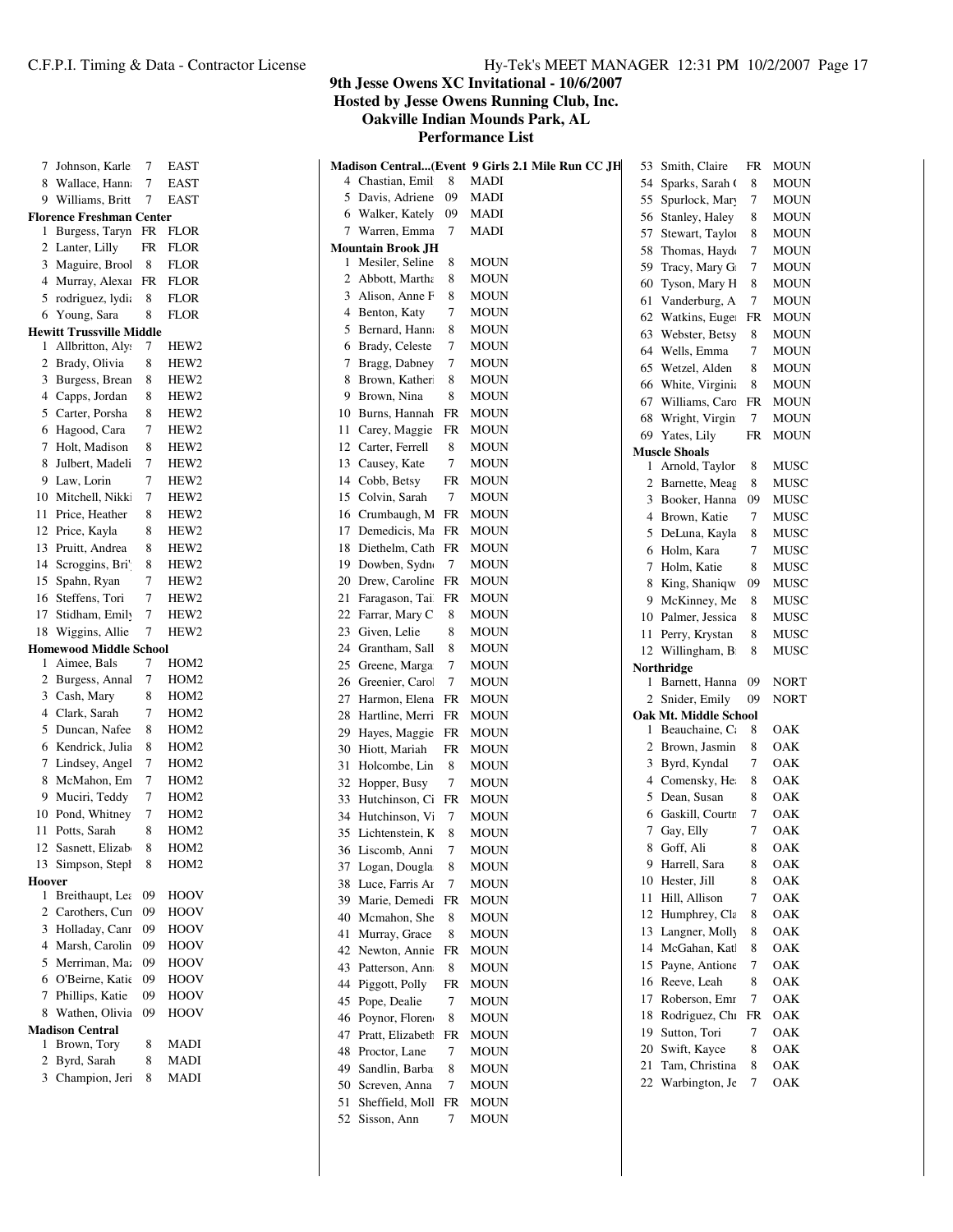**Hewitt Trussville Middle**

**Homewood Middle School**

**Hoover**

**Madison Central**

**9th Jesse Owens XC Invitational - 10/6/2007**

**Hosted by Jesse Owens Running Club, Inc.**

**Oakville Indian Mounds Park, AL**

|        | 7 Johnson, Karle              | 7   | EAST             |    |                          |              | Madison Central(Event 9 Girls 2.1 Mile Run CC JH |    | 53 Smith, Claire      | FR        | <b>MOUN</b> |
|--------|-------------------------------|-----|------------------|----|--------------------------|--------------|--------------------------------------------------|----|-----------------------|-----------|-------------|
|        | 8 Wallace, Hann               | 7   | <b>EAST</b>      |    | 4 Chastian, Emil         | 8            | MADI                                             | 54 | Sparks, Sarah O       | 8         | MOUN        |
|        | 9 Williams, Britt             | 7   | <b>EAST</b>      |    | 5 Davis, Adriene         | 09           | <b>MADI</b>                                      | 55 | Spurlock, Mary        | 7         | <b>MOUN</b> |
|        | 'lorence Freshman Center      |     |                  |    | 6 Walker, Kately         | 09           | <b>MADI</b>                                      | 56 | Stanley, Haley        | 8         | <b>MOUN</b> |
|        | 1 Burgess, Taryn FR FLOR      |     |                  |    | 7 Warren, Emma           | 7            | <b>MADI</b>                                      | 57 | Stewart, Taylor       | 8         | <b>MOUN</b> |
|        | 2 Lanter, Lilly               | FR  | FLOR             |    | <b>Mountain Brook JH</b> |              |                                                  | 58 | Thomas, Hayde         | 7         | <b>MOUN</b> |
|        | 3 Maguire, Brool              | 8   | <b>FLOR</b>      |    | 1 Mesiler, Seline        | 8            | <b>MOUN</b>                                      | 59 | Tracy, Mary G         | 7         | <b>MOUN</b> |
|        | 4 Murray, Alexar FR           |     | <b>FLOR</b>      | 2  | Abbott, Martha           | 8            | <b>MOUN</b>                                      | 60 | Tyson, Mary H         | 8         | <b>MOUN</b> |
|        | 5 rodriguez, lydi:            | 8   | <b>FLOR</b>      |    | 3 Alison, Anne F         | 8            | <b>MOUN</b>                                      | 61 | Vanderburg, A         | 7         | <b>MOUN</b> |
|        | 6 Young, Sara                 | 8   | <b>FLOR</b>      |    | 4 Benton, Katy           | 7            | <b>MOUN</b>                                      |    | 62 Watkins, Euge      | FR        | <b>MOUN</b> |
|        | Iewitt Trussville Middle      |     |                  |    | 5 Bernard, Hann          | 8            | <b>MOUN</b>                                      | 63 | Webster, Betsy        | 8         | <b>MOUN</b> |
|        | 1 Allbritton, Aly             | 7   | HEW <sub>2</sub> |    | 6 Brady, Celeste         | 7            | <b>MOUN</b>                                      | 64 | Wells, Emma           | 7         | <b>MOUN</b> |
|        | 2 Brady, Olivia               | 8   | HEW <sub>2</sub> |    | 7 Bragg, Dabney          | 7            | <b>MOUN</b>                                      | 65 | Wetzel, Alden         | 8         | <b>MOUN</b> |
|        | 3 Burgess, Brean              | 8   | HEW <sub>2</sub> |    | 8 Brown, Kather          | 8            | <b>MOUN</b>                                      | 66 | White, Virginia       | 8         | <b>MOUN</b> |
|        | 4 Capps, Jordan               | 8   | HEW <sub>2</sub> | 9  | Brown, Nina              | 8            | <b>MOUN</b>                                      | 67 | Williams, Caro        | FR        | <b>MOUN</b> |
|        | 5 Carter, Porsha              | 8   | HEW <sub>2</sub> | 10 | Burns, Hannah            | FR           | <b>MOUN</b>                                      | 68 | Wright, Virgin        | 7         | <b>MOUN</b> |
|        | 6 Hagood, Cara                | 7   | HEW <sub>2</sub> | 11 | Carey, Maggie            | FR           | <b>MOUN</b>                                      | 69 | Yates, Lily           | FR        | <b>MOUN</b> |
|        | 7 Holt, Madison               | 8   | HEW <sub>2</sub> | 12 | Carter, Ferrell          | 8            | <b>MOUN</b>                                      |    | <b>Muscle Shoals</b>  |           |             |
|        | 8 Julbert, Madeli             | 7   | HEW <sub>2</sub> | 13 | Causey, Kate             | 7            | <b>MOUN</b>                                      | 1  | Arnold, Taylor        | 8         | MUSC        |
|        | 9 Law, Lorin                  | 7   | HEW <sub>2</sub> |    | 14 Cobb, Betsy           | FR           | <b>MOUN</b>                                      | 2  | Barnette, Meag        | 8         | MUSC        |
|        | 10 Mitchell, Nikk             | 7   | HEW <sub>2</sub> | 15 | Colvin, Sarah            | 7            | <b>MOUN</b>                                      | 3  | Booker, Hanna         | 09        | MUSC        |
|        | 11 Price, Heather             | 8   | HEW <sub>2</sub> | 16 | Crumbaugh, M             | FR           | <b>MOUN</b>                                      | 4  | Brown, Katie          | 7         | <b>MUSC</b> |
|        | 12 Price, Kayla               | 8   | HEW <sub>2</sub> | 17 | Demedicis, Ma            | FR           | <b>MOUN</b>                                      | 5  | DeLuna, Kayla         | 8         | MUSC        |
|        | 13 Pruitt, Andrea             | 8   | HEW <sub>2</sub> | 18 | Diethelm, Cath           | FR           | <b>MOUN</b>                                      | 6  | Holm, Kara            | 7         | MUSC        |
|        | 14 Scroggins, Bri'            | 8   | HEW <sub>2</sub> | 19 | Dowben, Sydn             | 7            | <b>MOUN</b>                                      | 7. | Holm, Katie           | 8         | MUSC        |
|        | 15 Spahn, Ryan                | 7   | HEW <sub>2</sub> | 20 | Drew, Caroline           | FR           | <b>MOUN</b>                                      | 8  | King, Shaniqw         | 09        | MUSC        |
|        | 16 Steffens, Tori             | 7   | HEW <sub>2</sub> | 21 | Faragason, Tai           | $_{\rm{FR}}$ | <b>MOUN</b>                                      | 9  | McKinney, Me          | 8         | MUSC        |
|        | 17 Stidham, Emily             | 7   | HEW <sub>2</sub> | 22 | Farrar, Mary C           | 8            | <b>MOUN</b>                                      | 10 | Palmer, Jessica       | 8         | MUSC        |
|        | 18 Wiggins, Allie             | 7   | HEW <sub>2</sub> | 23 | Given, Lelie             | 8            | <b>MOUN</b>                                      |    | 11 Perry, Krystan     | 8         | MUSC        |
|        | <b>Iomewood Middle School</b> |     |                  | 24 | Grantham, Sall           | 8            | <b>MOUN</b>                                      |    | 12 Willingham, B      | 8         | MUSC        |
|        | 1 Aimee, Bals                 | 7   | HOM <sub>2</sub> | 25 | Greene, Marga            | 7            | <b>MOUN</b>                                      |    | Northridge            |           |             |
|        | 2 Burgess, Annal              | 7   | HOM <sub>2</sub> | 26 | Greenier, Carol          | $\tau$       | <b>MOUN</b>                                      | 1  | Barnett, Hanna        | 09        | <b>NORT</b> |
|        | 3 Cash, Mary                  | 8   | HOM <sub>2</sub> | 27 | Harmon, Elena FR         |              | <b>MOUN</b>                                      |    | 2 Snider, Emily       | 09        | <b>NORT</b> |
|        | 4 Clark, Sarah                | 7   | HOM <sub>2</sub> | 28 | Hartline, Merri          | $_{\rm{FR}}$ | <b>MOUN</b>                                      |    | Oak Mt. Middle School |           |             |
|        | 5 Duncan, Nafee               | 8   | HOM <sub>2</sub> | 29 | Hayes, Maggie            | FR           | <b>MOUN</b>                                      | 1  | Beauchaine, Ca        | 8         | OAK         |
|        | 6 Kendrick, Julia             | 8   | HOM <sub>2</sub> | 30 | Hiott, Mariah            | FR           | <b>MOUN</b>                                      | 2  | Brown, Jasmin         | 8         | OAK         |
|        | 7 Lindsey, Angel              |     | HOM <sub>2</sub> | 31 | Holcombe, Lin            | 8            | <b>MOUN</b>                                      | 3  | Byrd, Kyndal          | 7         | OAK         |
|        | 8 McMahon, Em                 | 7   | HOM <sub>2</sub> | 32 | Hopper, Busy             | 7            | <b>MOUN</b>                                      | 4  | Comensky, He          | 8         | OAK         |
|        | 9 Muciri, Teddy               | 7   | HOM <sub>2</sub> | 33 | Hutchinson, Ci           | $_{\rm{FR}}$ | <b>MOUN</b>                                      | 5  | Dean, Susan           | 8         | OAK         |
|        | 10 Pond, Whitney              | 7   | HOM2             | 34 | Hutchinson, Vi           | 7            | <b>MOUN</b>                                      | 6  | Gaskill, Courtr       | 7         | OAK         |
|        | 11 Potts, Sarah               | 8   | HOM <sub>2</sub> |    | 35 Lichtenstein, K       | 8            | <b>MOUN</b>                                      |    | 7 Gay, Elly           | 7         | OAK         |
|        | 12 Sasnett, Elizab            | 8   | HOM <sub>2</sub> |    | 36 Liscomb, Anni         | 7            | <b>MOUN</b>                                      | 8  | Goff, Ali             | 8         | OAK         |
|        | 13 Simpson, Stepl             | 8   | HOM <sub>2</sub> |    | 37 Logan, Dougla         | 8            | <b>MOUN</b>                                      |    | 9 Harrell, Sara       | 8         | OAK         |
| Ioover |                               |     |                  | 38 | Luce, Farris Ar          | 7            |                                                  |    | 10 Hester, Jill       | 8         | OAK         |
|        | 1 Breithaupt, Lea 09          |     | HOOV             |    | Marie, Demedi            | $_{\rm{FR}}$ | <b>MOUN</b>                                      |    | 11 Hill, Allison      | 7         | OAK         |
|        | 2 Carothers, Cur. 09          |     | HOOV             | 39 |                          |              | <b>MOUN</b>                                      |    | 12 Humphrey, Cla      | 8         | OAK         |
|        | 3 Holladay, Canr 09           |     | <b>HOOV</b>      | 40 | Mcmahon, She             | 8            | <b>MOUN</b>                                      |    | 13 Langner, Molly     | 8         | OAK         |
|        | 4 Marsh, Carolin              | -09 | <b>HOOV</b>      | 41 | Murray, Grace            | 8            | <b>MOUN</b>                                      |    | 14 McGahan, Katl      | 8         | OAK         |
|        | 5 Merriman, Ma:               | 09  | HOOV             | 42 | Newton, Annie            | $_{\rm{FR}}$ | <b>MOUN</b>                                      |    | Payne, Antione        | 7         | OAK         |
|        | 6 O'Beirne, Katic             | -09 | HOOV             | 43 | Patterson, Ann           | 8            | <b>MOUN</b>                                      | 15 |                       |           |             |
|        | 7 Phillips, Katie             | 09  | HOOV             | 44 | Piggott, Polly           | FR           | <b>MOUN</b>                                      |    | 16 Reeve, Leah        | 8         | OAK         |
|        | 8 Wathen, Olivia              | 09  | HOOV             | 45 | Pope, Dealie             | 7            | <b>MOUN</b>                                      |    | 17 Roberson, Emr      | 7         | OAK         |
|        | Iadison Central               |     |                  | 46 | Poynor, Floren           | 8            | <b>MOUN</b>                                      |    | 18 Rodriguez, Chi     | <b>FR</b> | OAK         |
|        | 1 Brown, Tory                 | 8   | MADI             | 47 | Pratt, Elizabeth         | FR           | <b>MOUN</b>                                      | 19 | Sutton, Tori          | 7         | OAK         |
|        | 2 Byrd, Sarah                 | 8   | MADI             | 48 | Proctor, Lane            | 7            | <b>MOUN</b>                                      | 20 | Swift, Kayce          | 8         | OAK         |
|        | 3 Champion, Jeri              | 8   | MADI             | 49 | Sandlin, Barba           | 8            | <b>MOUN</b>                                      | 21 | Tam, Christina        | 8         | OAK         |
|        |                               |     |                  | 50 | Screven, Anna            | 7            | <b>MOUN</b>                                      |    | 22 Warbington, Je     | 7         | OAK         |
|        |                               |     |                  | 51 | Sheffield, Moll          | <b>FR</b>    | <b>MOUN</b>                                      |    |                       |           |             |
|        |                               |     |                  |    | 52 Sisson, Ann           | 7            | <b>MOUN</b>                                      |    |                       |           |             |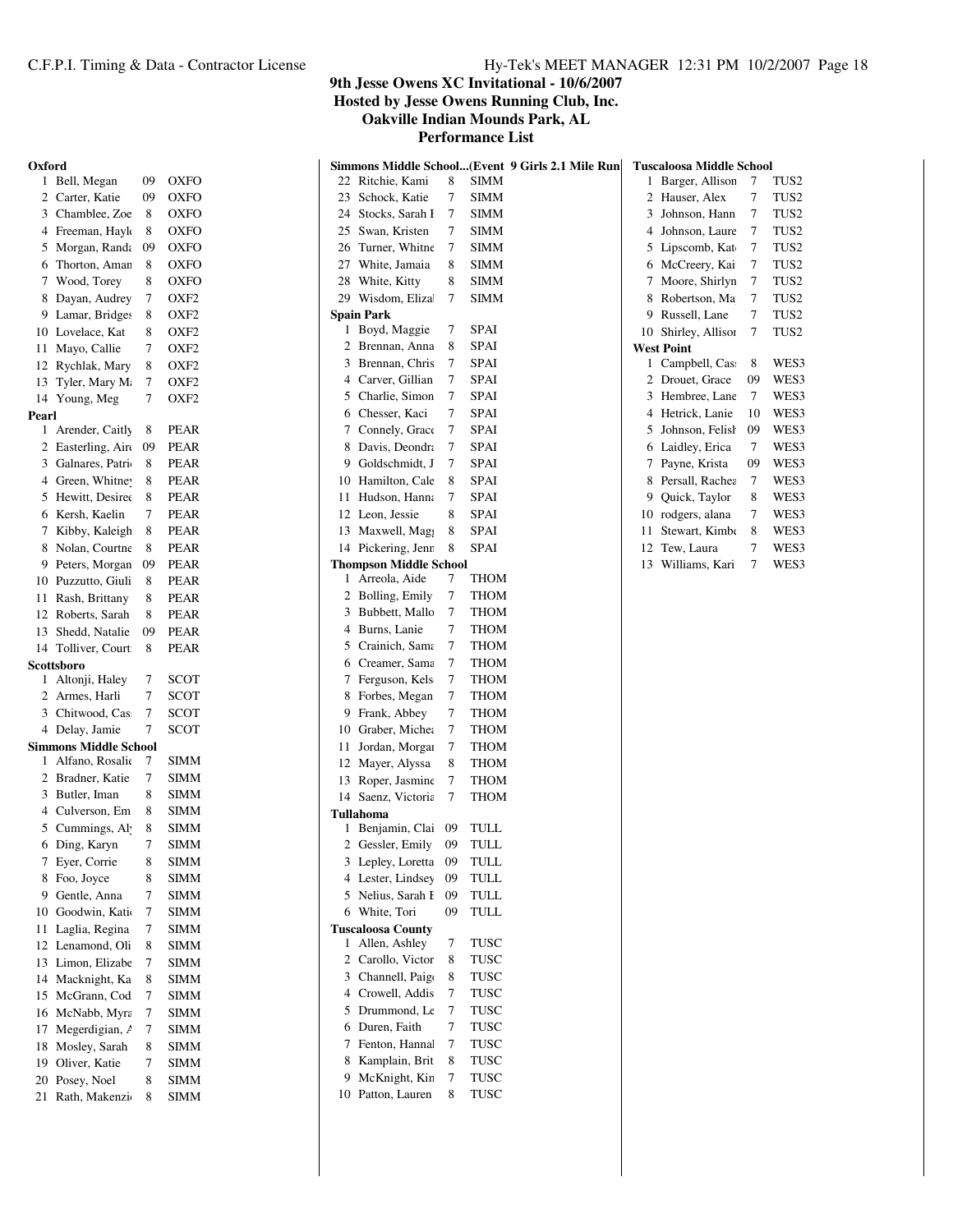#### **9th Jesse Owens XC Invitational - 10/6/2007 Hosted by Jesse Owens Running Club, Inc. Oakville Indian Mounds Park, AL**

| Oxford   | 1 Bell, Megan                        | 09     | <b>OXFO</b>                          | 22 Ritchie, Kami         |                                 | 8                   | Simmons Middle School(Event 9 Girls 2.1 Mile Run<br>SIMM |    | <b>Tuscaloosa Middle School</b> | 7              | TUS2             |
|----------|--------------------------------------|--------|--------------------------------------|--------------------------|---------------------------------|---------------------|----------------------------------------------------------|----|---------------------------------|----------------|------------------|
|          |                                      |        |                                      |                          |                                 |                     |                                                          |    | 1 Barger, Allison               |                |                  |
|          | 2 Carter, Katie                      | 09     | <b>OXFO</b>                          | 23                       | Schock, Katie                   | $\tau$<br>$\tau$    | <b>SIMM</b>                                              |    | 2 Hauser, Alex                  | 7              | TUS <sub>2</sub> |
| 3        | Chamblee, Zoe                        | 8      | <b>OXFO</b>                          | 24                       | Stocks, Sarah I                 |                     | <b>SIMM</b><br><b>SIMM</b>                               | 3  | Johnson, Hann<br>Johnson, Laure | 7              | TUS <sub>2</sub> |
|          | 4 Freeman, Hayl<br>5 Morgan, Randa   | 8      | OXFO                                 | 25                       | Swan, Kristen<br>Turner, Whitne | 7<br>$\overline{7}$ | <b>SIMM</b>                                              | 4  |                                 | 7              | TUS <sub>2</sub> |
|          |                                      | 09     | <b>OXFO</b>                          | 26                       |                                 |                     |                                                          |    | 5 Lipscomb, Kat                 | 7              | TUS2             |
| 6        | Thorton, Aman                        | 8      | <b>OXFO</b>                          | 27                       | White, Jamaia                   | 8                   | <b>SIMM</b>                                              |    | 6 McCreery, Kai                 | $\tau$         | TUS <sub>2</sub> |
|          | 7 Wood, Torey                        | 8      | <b>OXFO</b>                          | 28                       | White, Kitty                    | 8<br>7              | <b>SIMM</b>                                              |    | 7 Moore, Shirlyn                | $\overline{7}$ | TUS <sub>2</sub> |
|          | 8 Dayan, Audrey                      | 7<br>8 | OXF <sub>2</sub>                     | 29 Wisdom, Eliza         |                                 |                     | <b>SIMM</b>                                              | 8  | Robertson, Ma<br>Russell, Lane  | 7              | TUS <sub>2</sub> |
|          | 9 Lamar, Bridges<br>10 Lovelace, Kat | 8      | OXF <sub>2</sub>                     | <b>Spain Park</b>        | 1 Boyd, Maggie                  | 7                   | <b>SPAI</b>                                              | 9  | Shirley, Allisor                | 7              | TUS <sub>2</sub> |
|          |                                      | 7      | OXF <sub>2</sub>                     |                          | 2 Brennan, Anna                 | 8                   | SPAI                                                     | 10 | <b>West Point</b>               | 7              | TUS2             |
| 11       | Mayo, Callie<br>Rychlak, Mary        | 8      | OXF <sub>2</sub><br>OXF <sub>2</sub> | 3                        | Brennan, Chris                  | 7                   | <b>SPAI</b>                                              |    | 1 Campbell, Cas                 | 8              | WES3             |
| 12<br>13 | Tyler, Mary M                        | 7      | OXF2                                 | 4                        | Carver, Gillian                 | 7                   | <b>SPAI</b>                                              |    | 2 Drouet, Grace                 | 09             | WES3             |
|          | 14 Young, Meg                        | 7      | OXF <sub>2</sub>                     | 5                        | Charlie, Simon                  | 7                   | <b>SPAI</b>                                              | 3  | Hembree, Lane                   | 7              | WES3             |
| Pearl    |                                      |        |                                      | 6                        | Chesser, Kaci                   | $\tau$              | <b>SPAI</b>                                              |    | 4 Hetrick, Lanie                | 10             | WES3             |
|          | 1 Arender, Caitly                    | 8      | <b>PEAR</b>                          |                          | 7 Connely, Grace                | 7                   | SPAI                                                     | 5  | Johnson, Felish                 | 09             | WES3             |
|          | 2 Easterling, Air                    | 09     | PEAR                                 | 8                        | Davis, Deondra                  | 7                   | <b>SPAI</b>                                              | 6  | Laidley, Erica                  | 7              | WES3             |
| 3        | Galnares, Patri                      | 8      | <b>PEAR</b>                          | 9                        | Goldschmidt, J                  | 7                   | <b>SPAI</b>                                              |    | 7 Payne, Krista                 | 09             | WES3             |
| 4        | Green, Whitne                        | 8      | <b>PEAR</b>                          | 10                       | Hamilton, Cale                  | 8                   | <b>SPAI</b>                                              | 8  | Persall, Rachea                 | 7              | WES3             |
|          | 5 Hewitt, Desiree                    | 8      | <b>PEAR</b>                          | 11                       | Hudson, Hanna                   | 7                   | <b>SPAI</b>                                              | 9  | Quick, Taylor                   | 8              | WES3             |
|          | 6 Kersh, Kaelin                      | 7      | <b>PEAR</b>                          | 12 Leon, Jessie          |                                 | 8                   | <b>SPAI</b>                                              | 10 | rodgers, alana                  | 7              | WES3             |
|          | 7 Kibby, Kaleigh                     | 8      | <b>PEAR</b>                          |                          | 13 Maxwell, Mag                 | 8                   | <b>SPAI</b>                                              | 11 | Stewart, Kimbo                  | 8              | WES3             |
|          | 8 Nolan, Courtne                     | 8      | <b>PEAR</b>                          |                          | 14 Pickering, Jenn              | 8                   | <b>SPAI</b>                                              | 12 | Tew, Laura                      | 7              | WES3             |
| 9.       | Peters, Morgan                       | 09     | <b>PEAR</b>                          |                          | <b>Thompson Middle School</b>   |                     |                                                          |    | 13 Williams, Kari               | $\tau$         | WES3             |
| 10       | Puzzutto, Giuli                      | 8      | <b>PEAR</b>                          | 1 Arreola, Aide          |                                 | 7                   | <b>THOM</b>                                              |    |                                 |                |                  |
| 11       | Rash, Brittany                       | 8      | <b>PEAR</b>                          |                          | 2 Bolling, Emily                | 7                   | <b>THOM</b>                                              |    |                                 |                |                  |
| 12       | Roberts, Sarah                       | 8      | <b>PEAR</b>                          |                          | 3 Bubbett, Mallo                | 7                   | <b>THOM</b>                                              |    |                                 |                |                  |
| 13       | Shedd, Natalie                       | 09     | <b>PEAR</b>                          | 4                        | Burns, Lanie                    | $\tau$              | <b>THOM</b>                                              |    |                                 |                |                  |
| 14       | Tolliver, Court                      | 8      | <b>PEAR</b>                          | 5                        | Crainich, Sama                  | 7                   | <b>THOM</b>                                              |    |                                 |                |                  |
|          | Scottsboro                           |        |                                      | 6                        | Creamer, Sama                   | 7                   | <b>THOM</b>                                              |    |                                 |                |                  |
|          | 1 Altonji, Haley                     | 7      | SCOT                                 | 7                        | Ferguson, Kels                  | $\overline{7}$      | <b>THOM</b>                                              |    |                                 |                |                  |
| 2        | Armes, Harli                         | 7      | SCOT                                 |                          | 8 Forbes, Megan                 | $\overline{7}$      | <b>THOM</b>                                              |    |                                 |                |                  |
| 3        | Chitwood, Cas                        | $\tau$ | SCOT                                 | 9                        | Frank, Abbey                    | $\tau$              | <b>THOM</b>                                              |    |                                 |                |                  |
|          | 4 Delay, Jamie                       | 7      | SCOT                                 | 10                       | Graber, Michea                  | 7                   | <b>THOM</b>                                              |    |                                 |                |                  |
|          | <b>Simmons Middle School</b>         |        |                                      | 11                       | Jordan, Morgan                  | 7                   | <b>THOM</b>                                              |    |                                 |                |                  |
|          | Alfano, Rosalio                      | 7      | SIMM                                 | 12                       | Mayer, Alyssa                   | 8                   | <b>THOM</b>                                              |    |                                 |                |                  |
|          | 2 Bradner, Katie                     | 7      | SIMM                                 |                          | 13 Roper, Jasmine               | 7                   | <b>THOM</b>                                              |    |                                 |                |                  |
|          | 3 Butler, Iman                       | 8      | <b>SIMM</b>                          |                          | 14 Saenz, Victoria              | 7                   | <b>THOM</b>                                              |    |                                 |                |                  |
|          | Culverson, Em                        | 8      | <b>SIMM</b>                          | Tullahoma                |                                 |                     |                                                          |    |                                 |                |                  |
|          | 5 Cummings, Al                       | 8      | <b>SIMM</b>                          |                          | 1 Benjamin, Clai 09             |                     | TULL                                                     |    |                                 |                |                  |
|          | 6 Ding, Karyn                        | 7      | <b>SIMM</b>                          |                          | 2 Gessler, Emily 09             |                     | TULL                                                     |    |                                 |                |                  |
|          | 7 Eyer, Corrie                       | 8      | SIMM                                 |                          | 3 Lepley, Loretta               | -09                 | TULL                                                     |    |                                 |                |                  |
|          | 8 Foo, Joyce                         | 8      | <b>SIMM</b>                          |                          | 4 Lester, Lindsey               | 09                  | TULL                                                     |    |                                 |                |                  |
|          | 9 Gentle, Anna                       | 7      | SIMM                                 |                          | 5 Nelius, Sarah I 09            |                     | <b>TULL</b>                                              |    |                                 |                |                  |
|          | 10 Goodwin, Kati                     | 7      | <b>SIMM</b>                          | 6 White, Tori            |                                 | 09                  | TULL                                                     |    |                                 |                |                  |
|          | 11 Laglia, Regina                    | 7      | <b>SIMM</b>                          | <b>Tuscaloosa County</b> | 1 Allen, Ashley                 | 7                   | TUSC                                                     |    |                                 |                |                  |
| 12       | Lenamond, Oli<br>13 Limon, Elizabe   | 8<br>7 | SIMM<br><b>SIMM</b>                  | 2                        | Carollo, Victor                 | 8                   | TUSC                                                     |    |                                 |                |                  |
|          | 14 Macknight, Ka                     | 8      | SIMM                                 | 3                        | Channell, Paigo                 | 8                   | TUSC                                                     |    |                                 |                |                  |
|          | 15 McGrann, Cod                      | 7      | <b>SIMM</b>                          | 4                        | Crowell, Addis                  | 7                   | TUSC                                                     |    |                                 |                |                  |
|          | 16 McNabb, Myra                      | 7      | <b>SIMM</b>                          | 5                        | Drummond, Le                    | 7                   | TUSC                                                     |    |                                 |                |                  |
| 17       | Megerdigian, /                       | 7      | <b>SIMM</b>                          | 6                        | Duren, Faith                    | 7                   | TUSC                                                     |    |                                 |                |                  |
|          | 18 Mosley, Sarah                     | 8      | SIMM                                 | 7                        | Fenton, Hannal                  | 7                   | TUSC                                                     |    |                                 |                |                  |
| 19       | Oliver, Katie                        | 7      | SIMM                                 | 8                        | Kamplain, Brit                  | 8                   | TUSC                                                     |    |                                 |                |                  |
| 20       | Posey, Noel                          | 8      | <b>SIMM</b>                          | 9                        | McKnight, Kin                   | $\tau$              | TUSC                                                     |    |                                 |                |                  |
|          | 21 Rath, Makenzi                     | 8      | <b>SIMM</b>                          | 10 Patton, Lauren        |                                 | 8                   | TUSC                                                     |    |                                 |                |                  |
|          |                                      |        |                                      |                          |                                 |                     |                                                          |    |                                 |                |                  |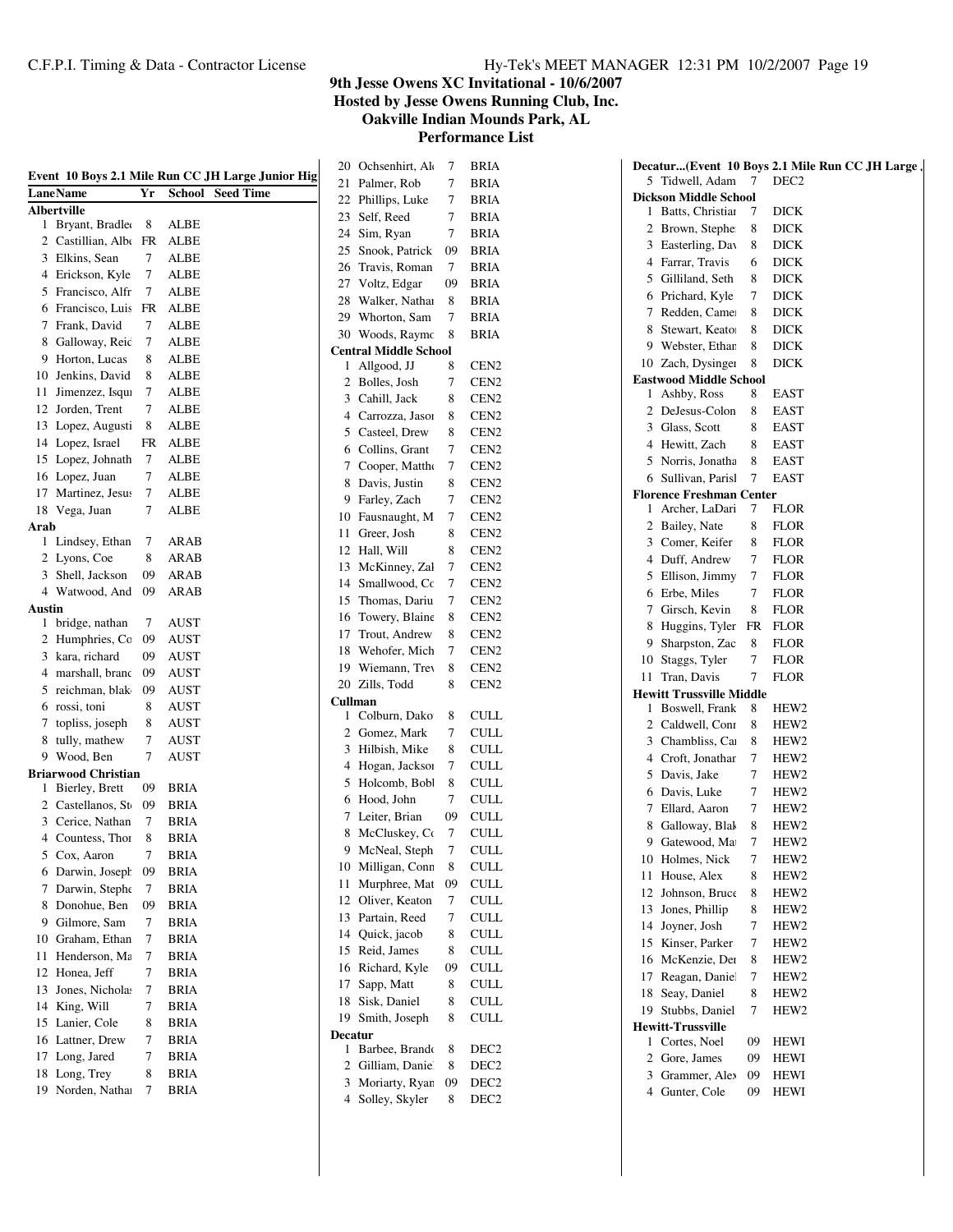**9th Jesse Owens XC Invitational - 10/6/2007 Hosted by Jesse Owens Running Club, Inc.**

**Oakville Indian Mounds Park, AL**

|               |                            |    |               | Event 10 Boys 2.1 Mile Run CC JH Large Junior Hig |
|---------------|----------------------------|----|---------------|---------------------------------------------------|
|               | LaneName                   | Yr | <b>School</b> | <b>Seed Time</b>                                  |
|               | <b>Albertville</b>         |    |               |                                                   |
| 1             | Bryant, Bradle             | 8  | ALBE          |                                                   |
| 2             | Castillian, Albo           | FR | <b>ALBE</b>   |                                                   |
| 3             | Elkins, Sean               | 7  | ALBE          |                                                   |
| 4             | Erickson, Kyle             | 7  | ALBE          |                                                   |
| 5             | Francisco, Alfr            | 7  | ALBE          |                                                   |
| 6             | Francisco, Luis            | FR | ALBE          |                                                   |
| 7             | Frank, David               | 7  | ALBE          |                                                   |
| 8             | Galloway, Reic             | 7  | ALBE          |                                                   |
| 9             | Horton, Lucas              | 8  | ALBE          |                                                   |
| 10            | Jenkins, David             | 8  | ALBE          |                                                   |
| 11            | Jimenzez, Isqua            | 7  | ALBE          |                                                   |
| 12            | Jorden, Trent              | 7  | ALBE          |                                                   |
| 13            | Lopez, Augusti             | 8  | ALBE          |                                                   |
| 14            | Lopez, Israel              | FR | ALBE          |                                                   |
|               | Lopez, Johnath             | 7  | ALBE          |                                                   |
| 15            |                            | 7  |               |                                                   |
| 16            | Lopez, Juan                |    | ALBE          |                                                   |
| 17            | Martinez, Jesus            | 7  | ALBE          |                                                   |
| 18            | Vega, Juan                 | 7  | ALBE          |                                                   |
| Arab<br>1     |                            | 7  |               |                                                   |
|               | Lindsey, Ethan             |    | ARAB          |                                                   |
| 2             | Lyons, Coe                 | 8  | ARAB          |                                                   |
| 3             | Shell, Jackson             | 09 | ARAB          |                                                   |
|               | 4 Watwood, And             | 09 | ARAB          |                                                   |
| <b>Austin</b> |                            |    |               |                                                   |
| 1             | bridge, nathan             | 7  | AUST          |                                                   |
| 2             | Humphries, Cc              | 09 | AUST          |                                                   |
| 3             | kara, richard              | 09 | AUST          |                                                   |
| 4             | marshall, brand            | 09 | AUST          |                                                   |
| 5             | reichman, blak             | 09 | AUST          |                                                   |
|               | 6 rossi, toni              | 8  | AUST          |                                                   |
| 7             | topliss, joseph            | 8  | AUST          |                                                   |
| 8             | tully, mathew              | 7  | AUST          |                                                   |
| 9             | Wood, Ben                  | 7  | AUST          |                                                   |
|               | <b>Briarwood Christian</b> |    |               |                                                   |
| 1             | Bierley, Brett             | 09 | BRIA          |                                                   |
| 2             | Castellanos, St            | 09 | BRIA          |                                                   |
| 3             | Cerice, Nathan             | 7  | BRIA          |                                                   |
|               | 4 Countess, Thor           | 8  | BRIA          |                                                   |
| 5             | Cox, Aaron                 | 7  | BRIA          |                                                   |
| 6             | Darwin, Joseph             | 09 | BRIA          |                                                   |
| 7             | Darwin, Stephe             | 7  | <b>BRIA</b>   |                                                   |
| 8             | Donohue, Ben               | 09 | <b>BRIA</b>   |                                                   |
| 9             | Gilmore, Sam               | 7  | <b>BRIA</b>   |                                                   |
| 10            | Graham, Ethan              | 7  | <b>BRIA</b>   |                                                   |
| 11            | Henderson, Ma              | 7  | BRIA          |                                                   |
| 12            | Honea, Jeff                | 7  | <b>BRIA</b>   |                                                   |
| 13            | Jones, Nichola             | 7  | <b>BRIA</b>   |                                                   |
| 14            | King, Will                 | 7  | BRIA          |                                                   |
| 15            | Lanier, Cole               | 8  | <b>BRIA</b>   |                                                   |
| 16            | Lattner, Drew              | 7  | BRIA          |                                                   |
| 17            | Long, Jared                | 7  | <b>BRIA</b>   |                                                   |
| 18            | Long, Trey                 | 8  | <b>BRIA</b>   |                                                   |
| 19            | Norden, Natha              | 7  | BRIA          |                                                   |
|               |                            |    |               |                                                   |

| 20      | Ochsenhirt, Ale              | 7  | <b>BRIA</b>      |
|---------|------------------------------|----|------------------|
| 21      | Palmer, Rob                  | 7  | BRIA             |
| 22      | Phillips, Luke               | 7  | <b>BRIA</b>      |
| 23      | Self, Reed                   | 7  | <b>BRIA</b>      |
| 24      | Sim, Ryan                    | 7  | <b>BRIA</b>      |
| 25      | Snook, Patrick               | 09 | <b>BRIA</b>      |
| 26      | Travis, Roman                | 7  | BRIA             |
| 27      | Voltz, Edgar                 | 09 | <b>BRIA</b>      |
| 28      | Walker, Nathai               | 8  | BRIA             |
| 29      | Whorton, Sam                 | 7  | BRIA             |
| 30      | Woods, Raymo                 | 8  | <b>BRIA</b>      |
|         |                              |    |                  |
| 1       | <b>Central Middle School</b> |    |                  |
|         | Allgood, JJ                  | 8  | CEN <sub>2</sub> |
| 2       | Bolles, Josh                 | 7  | CEN <sub>2</sub> |
| 3       | Cahill, Jack                 | 8  | CEN <sub>2</sub> |
| 4       | Carrozza, Jasor              | 8  | CEN <sub>2</sub> |
| 5       | Casteel, Drew                | 8  | CEN <sub>2</sub> |
| 6       | Collins, Grant               | 7  | CEN <sub>2</sub> |
| 7       | Cooper, Mattho               | 7  | CEN <sub>2</sub> |
| 8       | Davis, Justin                | 8  | CEN <sub>2</sub> |
| 9       | Farley, Zach                 | 7  | CEN <sub>2</sub> |
| 10      |                              |    |                  |
|         | Fausnaught, M                | 7  | CEN <sub>2</sub> |
| 11      | Greer, Josh                  | 8  | CEN <sub>2</sub> |
| 12      | Hall, Will                   | 8  | CEN <sub>2</sub> |
| 13      | McKinney, Zal                | 7  | CEN <sub>2</sub> |
| 14      | Smallwood, Co                | 7  | CEN <sub>2</sub> |
| 15      | Thomas, Dariu                | 7  | CEN <sub>2</sub> |
| 16      | Towery, Blaine               | 8  | CEN <sub>2</sub> |
| 17      | Trout, Andrew                | 8  | CEN <sub>2</sub> |
| 18      | Wehofer, Mich                | 7  | CEN <sub>2</sub> |
| 19      | Wiemann, Trey                | 8  | CEN <sub>2</sub> |
|         |                              |    |                  |
| 20      | Zills, Todd                  | 8  | CEN <sub>2</sub> |
| Cullman |                              |    |                  |
| 1       | Colburn, Dako                | 8  | <b>CULL</b>      |
| 2       | Gomez, Mark                  | 7  | <b>CULL</b>      |
| 3       | Hilbish, Mike                | 8  | <b>CULL</b>      |
| 4       | Hogan, Jacksoi               | 7  | <b>CULL</b>      |
| 5       | Holcomb, Bobl                | 8  | <b>CULL</b>      |
| 6       | Hood, John                   | 7  | <b>CULL</b>      |
| 7       | Leiter, Brian                | 09 | <b>CULL</b>      |
| 8       | McCluskey, Co                | 7  | <b>CULL</b>      |
| 9       | McNeal, Steph                | 7  | CULL             |
| 10      | Milligan, Conn               | 8  | <b>CULL</b>      |
|         | Murphree, Mat                |    |                  |
| 11      |                              | 09 | <b>CULL</b>      |
| 12      | Oliver, Keaton               | 7  | <b>CULL</b>      |
| 13      | Partain, Reed                | 7  | <b>CULL</b>      |
| 14      | Quick, jacob                 | 8  | CULL             |
| 15      | Reid, James                  | 8  | CULL             |
| 16      | Richard, Kyle                | 09 | <b>CULL</b>      |
| 17      | Sapp, Matt                   | 8  | <b>CULL</b>      |
| 18      | Sisk, Daniel                 | 8  | CULL             |
| 19      | Smith, Joseph                | 8  | CULL             |
| Decatur |                              |    |                  |
| 1       | Barbee, Brando               | 8  | DEC2             |
| 2       | Gilliam, Danie               |    | DEC <sub>2</sub> |
|         |                              | 8  |                  |
| 3       | Moriarty, Ryan               | 09 | DEC <sub>2</sub> |
| 4       | Solley, Skyler               | 8  | DEC <sub>2</sub> |

|    |                                 |    | Decatur(Event 10 Boys 2.1 Mile Run CC JH Large, |  |
|----|---------------------------------|----|-------------------------------------------------|--|
|    | 5 Tidwell, Adam                 | 7  | DEC <sub>2</sub>                                |  |
|    | <b>Dickson Middle School</b>    |    |                                                 |  |
| 1  | Batts, Christian                | 7  | DICK                                            |  |
| 2  | Brown, Stephe                   | 8  | DICK                                            |  |
| 3  | Easterling, Day                 | 8  | DICK                                            |  |
|    | 4 Farrar, Travis                | 6  | DICK                                            |  |
|    | 5 Gilliland, Seth               | 8  | DICK                                            |  |
| 6  | Prichard, Kyle                  | 7  | DICK                                            |  |
| 7  | Redden, Camer                   | 8  | DICK                                            |  |
| 8  | Stewart, Keato                  | 8  | DICK                                            |  |
|    | 9 Webster, Ethar                | 8  | <b>DICK</b>                                     |  |
|    | 10 Zach, Dysinger               | 8  | DICK                                            |  |
|    | <b>Eastwood Middle School</b>   |    |                                                 |  |
| 1  | Ashby, Ross                     | 8  | <b>EAST</b>                                     |  |
| 2  | DeJesus-Colon                   | 8  | EAST                                            |  |
|    | 3 Glass, Scott                  | 8  | EAST                                            |  |
| 4  | Hewitt, Zach                    | 8  | EAST                                            |  |
| 5  | Norris, Jonatha                 | 8  | EAST                                            |  |
| 6  | Sullivan, Parisl                | 7  | <b>EAST</b>                                     |  |
|    | <b>Florence Freshman Center</b> |    |                                                 |  |
| 1  | Archer, LaDari                  | 7  | <b>FLOR</b>                                     |  |
| 2  | Bailey, Nate                    | 8  | FLOR                                            |  |
|    | 3 Comer, Keifer                 | 8  | FLOR                                            |  |
|    | 4 Duff, Andrew                  | 7  | <b>FLOR</b>                                     |  |
| 5  | Ellison, Jimmy                  | 7  | <b>FLOR</b>                                     |  |
| 6  | Erbe, Miles                     | 7  | FLOR                                            |  |
| 7  | Girsch, Kevin                   | 8  | FLOR                                            |  |
|    |                                 |    |                                                 |  |
| 8  | Huggins, Tyler                  | FR | FLOR                                            |  |
| 9  | Sharpston, Zac                  | 8  | FLOR                                            |  |
| 10 | Staggs, Tyler                   | 7  | FLOR                                            |  |
| 11 | Tran, Davis                     | 7  | FLOR                                            |  |
| 1  | <b>Hewitt Trussville Middle</b> |    |                                                 |  |
|    | Boswell, Frank                  | 8  | HEW2                                            |  |
| 2  | Caldwell, Conr                  | 8  | HEW2                                            |  |
| 3  | Chambliss, Car                  | 8  | HEW2                                            |  |
|    | 4 Croft, Jonathar               | 7  | HEW2                                            |  |
|    | 5 Davis, Jake                   | 7  | HEW2                                            |  |
| 6  | Davis, Luke                     | 7  | HEW2                                            |  |
| 7  | Ellard, Aaron                   | 7  | HEW2                                            |  |
| 8  | Galloway, Blak                  | 8  | HEW <sub>2</sub>                                |  |
| 9  | Gatewood, Ma                    | 7  | HEW2                                            |  |
| 10 | Holmes, Nick                    | 7  | HEW2                                            |  |
| 11 | House, Alex                     | 8  | HEW2                                            |  |
| 12 | Johnson, Bruce                  | 8  | HEW2                                            |  |
| 13 | Jones, Phillip                  | 8  | HEW2                                            |  |
| 14 | Joyner, Josh                    | 7  | HEW2                                            |  |
| 15 | Kinser, Parker                  | 7  | HEW2                                            |  |
| 16 | McKenzie, Der                   | 8  | HEW2                                            |  |
| 17 | Reagan, Danie                   | 7  | HEW2                                            |  |
| 18 | Seay, Daniel                    | 8  | HEW2                                            |  |
| 19 | Stubbs, Daniel                  | 7  | HEW2                                            |  |
|    | <b>Hewitt-Trussville</b>        |    |                                                 |  |
| 1  | Cortes, Noel                    | 09 | HEWI                                            |  |
| 2  | Gore, James                     | 09 | HEWI                                            |  |
| 3  | Grammer, Alex                   | 09 | HEWI                                            |  |
| 4  | Gunter, Cole                    | 09 | HEWI                                            |  |
|    |                                 |    |                                                 |  |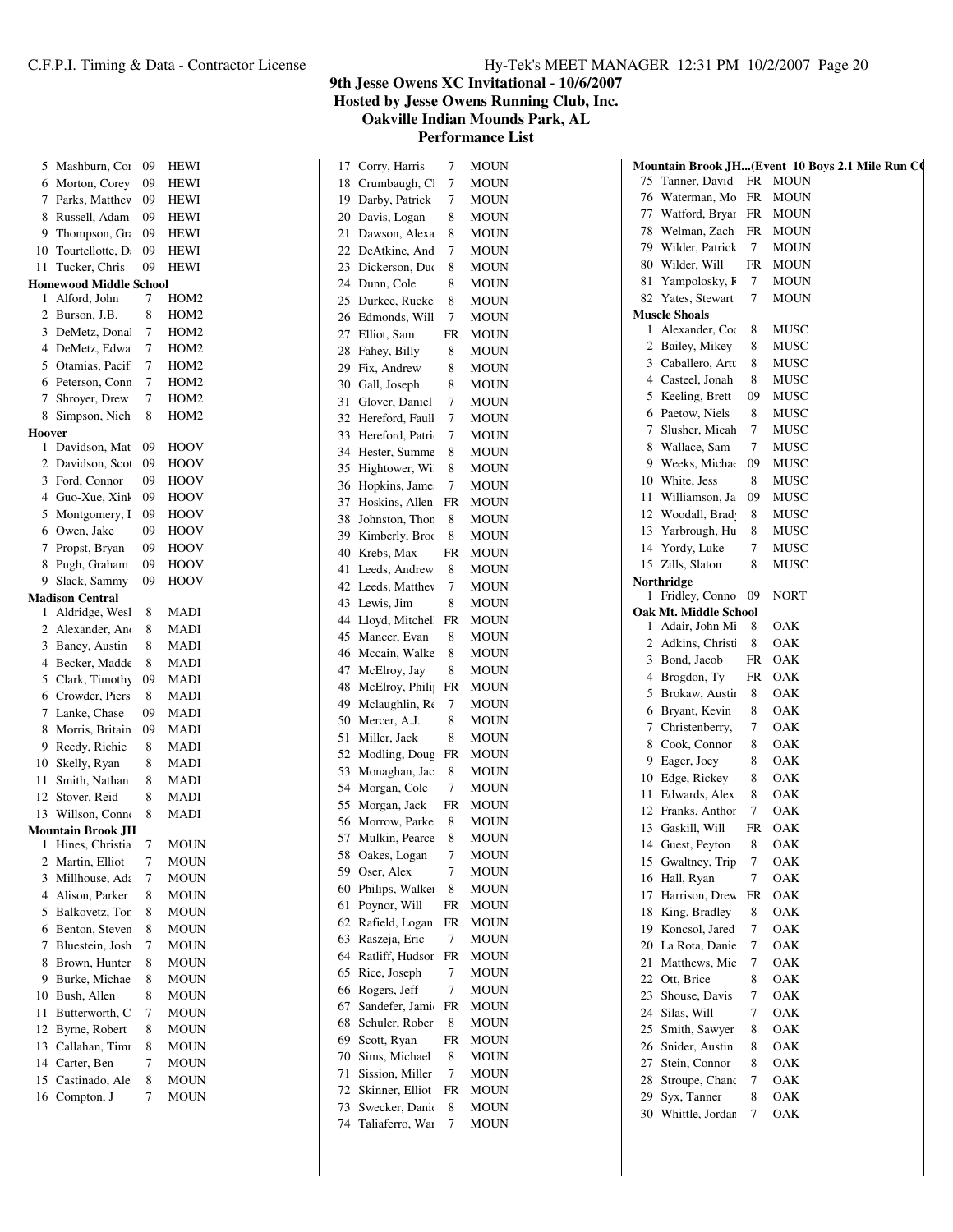| 5              | Mashburn, Cor                    | 09 | HEWI             |
|----------------|----------------------------------|----|------------------|
| 6              | Morton, Corey                    | 09 | HEWI             |
| 7              | Parks, Matthev                   | 09 | <b>HEWI</b>      |
| 8              | Russell, Adam                    | 09 | <b>HEWI</b>      |
| 9              | Thompson, Gra                    | 09 | <b>HEWI</b>      |
| 10             | Tourtellotte, D.                 | 09 | HEWI             |
| 11             | Tucker, Chris                    | 09 | <b>HEWI</b>      |
|                | <b>Homewood Middle School</b>    |    |                  |
| 1              | Alford, John                     | 7  | HOM2             |
| 2              | Burson, J.B.                     | 8  | HOM <sub>2</sub> |
| 3              | DeMetz, Donal                    | 7  | HOM2             |
| 4              | DeMetz, Edwa                     | 7  | HOM <sub>2</sub> |
| 5              | Otamias, Pacif                   | 7  | HOM <sub>2</sub> |
| 6              | Peterson, Conn                   | 7  | HOM2             |
| 7              | Shroyer, Drew                    | 7  | HOM <sub>2</sub> |
| 8              | Simpson, Nich                    | 8  | HOM <sub>2</sub> |
| Hoover         |                                  |    |                  |
| 1              | Davidson, Mat                    | 09 | <b>HOOV</b>      |
| 2              | Davidson, Scot                   | 09 | <b>HOOV</b>      |
| 3              | Ford, Connor                     | 09 | <b>HOOV</b>      |
| 4              | Guo-Xue, Xink                    | 09 | <b>HOOV</b>      |
| 5              | Montgomery, I                    | 09 | HOOV             |
| 6              | Owen, Jake                       | 09 | HOOV             |
| 7              | Propst, Bryan                    | 09 | <b>HOOV</b>      |
| 8              | Pugh, Graham                     | 09 | HOOV             |
| 9              | Slack, Sammy                     | 09 | HOOV             |
| 1              | <b>Madison Central</b>           | 8  | MADI             |
| 2              | Aldridge, Wesl<br>Alexander, Ano | 8  | MADI             |
| 3              | Baney, Austin                    | 8  | MADI             |
| $\overline{4}$ | Becker, Madde                    | 8  | MADI             |
| 5              | Clark, Timothy                   | 09 | MADI             |
| 6              | Crowder, Piers                   | 8  | MADI             |
| 7              | Lanke, Chase                     | 09 | MADI             |
| 8              | Morris, Britain                  | 09 | MADI             |
| 9              | Reedy, Richie                    | 8  | MADI             |
| 10             | Skelly, Ryan                     | 8  | MADI             |
| 11             | Smith, Nathan                    | 8  | <b>MADI</b>      |
| 12             | Stover, Reid                     | 8  | <b>MADI</b>      |
| 13             | Willson, Conne                   | 8  | MADI             |
|                | <b>Mountain Brook JH</b>         |    |                  |
| 1              | Hines, Christia                  | 7  | <b>MOUN</b>      |
| 2              | Martin, Elliot                   | 7  | MOUN             |
| 3              | Millhouse, Ada                   | 7  | MOUN             |
| 4              | Alison, Parker                   | 8  | <b>MOUN</b>      |
| 5              | Balkovetz, Tor                   | 8  | MOUN             |
| 6              | Benton, Steven                   | 8  | <b>MOUN</b>      |
| 7              | Bluestein, Josh                  | 7  | MOUN             |
| 8              | Brown, Hunter                    | 8  | MOUN             |
| 9              | Burke, Michae                    | 8  | MOUN             |
| 10             | Bush, Allen                      | 8  | MOUN             |
| 11             | Butterworth, C                   | 7  | MOUN             |
| 12             | Byrne, Robert                    | 8  | MOUN             |
| 13             | Callahan, Timr                   | 8  | MOUN             |
| 14             | Carter, Ben                      | 7  | MOUN             |
| 15             | Castinado, Ale                   | 8  | MOUN             |
| 16             | Compton, J                       | 7  | <b>MOUN</b>      |

**9th Jesse Owens XC Invitational - 10/6/2007 Hosted by Jesse Owens Running Club, Inc.**

**Oakville Indian Mounds Park, AL**

| 17 | Corry, Harris   | 7         | MOUN        |
|----|-----------------|-----------|-------------|
| 18 | Crumbaugh, C    | 7         | <b>MOUN</b> |
| 19 | Darby, Patrick  | 7         | <b>MOUN</b> |
| 20 | Davis, Logan    | 8         | MOUN        |
| 21 | Dawson, Alexa   | 8         | MOUN        |
| 22 | DeAtkine, And   | 7         | MOUN        |
| 23 | Dickerson, Duc  | 8         | MOUN        |
| 24 | Dunn, Cole      | 8         | MOUN        |
| 25 | Durkee, Rucke   | 8         | MOUN        |
| 26 | Edmonds, Will   | 7         | <b>MOUN</b> |
| 27 | Elliot, Sam     | FR        | <b>MOUN</b> |
| 28 | Fahey, Billy    | 8         | <b>MOUN</b> |
| 29 | Fix, Andrew     | 8         | <b>MOUN</b> |
| 30 | Gall, Joseph    | 8         | MOUN        |
| 31 | Glover, Daniel  | 7         | MOUN        |
| 32 | Hereford, Faull | 7         | <b>MOUN</b> |
|    | Hereford, Patri | 7         |             |
| 33 |                 |           | MOUN        |
| 34 | Hester, Summe   | 8         | MOUN        |
| 35 | Hightower, Wi   | 8         | MOUN        |
| 36 | Hopkins, Jame   | 7         | MOUN        |
| 37 | Hoskins, Allen  | <b>FR</b> | <b>MOUN</b> |
| 38 | Johnston, Thor  | 8         | <b>MOUN</b> |
| 39 | Kimberly, Broo  | 8         | <b>MOUN</b> |
| 40 | Krebs, Max      | FR        | <b>MOUN</b> |
| 41 | Leeds, Andrew   | 8         | MOUN        |
| 42 | Leeds, Matthey  | 7         | <b>MOUN</b> |
| 43 | Lewis, Jim      | 8         | <b>MOUN</b> |
| 44 | Lloyd, Mitchel  | FR        | MOUN        |
| 45 | Mancer, Evan    | 8         | MOUN        |
| 46 | Mccain, Walke   | 8         | MOUN        |
| 47 | McElroy, Jay    | 8         | MOUN        |
| 48 | McElroy, Phili  | FR        | MOUN        |
| 49 | Mclaughlin, Re  | 7         | MOUN        |
| 50 | Mercer, A.J.    | 8         | MOUN        |
| 51 | Miller, Jack    | 8         | MOUN        |
| 52 | Modling, Doug   | FR        | MOUN        |
| 53 | Monaghan, Jac   | 8         | MOUN        |
| 54 | Morgan, Cole    | 7         | MOUN        |
| 55 | Morgan, Jack    | FR        | MOUN        |
| 56 | Morrow, Parke   | 8         | <b>MOUN</b> |
| 57 | Mulkin, Pearce  | 8         | <b>MOUN</b> |
| 58 | Oakes, Logan    | 7         | MOUN        |
| 59 | Oser, Alex      | 7         | MOUN        |
| 60 | Philips, Walker | 8         | MOUN        |
| 61 | Poynor, Will    |           |             |
|    | Rafield, Logan  | FR        | MOUN        |
| 62 |                 | FR        | MOUN        |
| 63 | Raszeja, Eric   | 7         | MOUN        |
| 64 | Ratliff, Hudsor | FR        | MOUN        |
| 65 | Rice, Joseph    | 7         | MOUN        |
| 66 | Rogers, Jeff    | 7         | MOUN        |
| 67 | Sandefer, Jami  | FR        | MOUN        |
| 68 | Schuler, Rober  | 8         | MOUN        |
| 69 | Scott, Ryan     | FR        | MOUN        |
| 70 | Sims, Michael   | 8         | MOUN        |
| 71 | Sission, Miller | 7         | MOUN        |
| 72 | Skinner, Elliot | FR        | MOUN        |
| 73 | Swecker, Danie  | 8         | MOUN        |
| 74 | Taliaferro, War | 7         | MOUN        |

|    |                       |    | Mountain Brook JH(Event 10 Boys 2.1 Mile Run CO |  |
|----|-----------------------|----|-------------------------------------------------|--|
| 75 | Tanner, David         | FR | MOUN                                            |  |
| 76 | Waterman, Mo          | FR | MOUN                                            |  |
| 77 | Watford, Bryar        | FR | MOUN                                            |  |
| 78 | Welman, Zach          | FR | MOUN                                            |  |
| 79 | Wilder, Patrick       | 7  | <b>MOUN</b>                                     |  |
| 80 | Wilder, Will          | FR | MOUN                                            |  |
| 81 | Yampolosky, F         | 7  | MOUN                                            |  |
| 82 | Yates, Stewart        | 7  | MOUN                                            |  |
|    | <b>Muscle Shoals</b>  |    |                                                 |  |
| 1  | Alexander, Coo        | 8  | MUSC                                            |  |
| 2  | Bailey, Mikey         | 8  | MUSC                                            |  |
|    | 3 Caballero, Artu     | 8  | <b>MUSC</b>                                     |  |
|    | 4 Casteel, Jonah      | 8  | MUSC                                            |  |
| 5  | Keeling, Brett        | 09 | MUSC                                            |  |
|    |                       |    |                                                 |  |
|    | 6 Paetow, Niels       | 8  | MUSC                                            |  |
| 7  | Slusher, Micah        | 7  | MUSC                                            |  |
| 8  | Wallace, Sam          | 7  | MUSC                                            |  |
| 9  | Weeks, Michae         | 09 | MUSC                                            |  |
| 10 | White, Jess           | 8  | MUSC                                            |  |
| 11 | Williamson, Ja        | 09 | MUSC                                            |  |
| 12 | Woodall, Brad         | 8  | MUSC                                            |  |
| 13 | Yarbrough, Hu         | 8  | MUSC                                            |  |
| 14 | Yordy, Luke           | 7  | MUSC                                            |  |
|    | 15 Zills, Slaton      | 8  | MUSC                                            |  |
|    | Northridge            |    |                                                 |  |
| 1  | Fridley, Conno        | 09 | NORT                                            |  |
|    | Oak Mt. Middle School |    |                                                 |  |
| 1  | Adair, John Mi        | 8  | OAK                                             |  |
| 2  | Adkins, Christi       | 8  | OAK                                             |  |
| 3  | Bond, Jacob           | FR | OAK                                             |  |
| 4  | Brogdon, Ty           | FR | OAK                                             |  |
| 5  | Brokaw, Austin        | 8  | OAK                                             |  |
| 6  | Bryant, Kevin         | 8  | OAK                                             |  |
| 7  | Christenberry,        | 7  | OAK                                             |  |
| 8  | Cook, Connor          | 8  | OAK                                             |  |
| 9  | Eager, Joey           | 8  | OAK                                             |  |
| 10 | Edge, Rickey          | 8  | OAK                                             |  |
| 11 | Edwards, Alex         | 8  | OAK                                             |  |
| 12 | Franks, Anthor        | 7  | OAK                                             |  |
| 13 | Gaskill, Will         | FR | OAK                                             |  |
|    |                       |    |                                                 |  |
|    | 14 Guest, Peyton      | 8  | OAK                                             |  |
| 15 | Gwaltney, Trip        | 7  | OAK                                             |  |
|    | 16 Hall, Ryan         | 7  | OAK                                             |  |
| 17 | Harrison, Drew        | FR | OAK                                             |  |
| 18 | King, Bradley         | 8  | OAK                                             |  |
|    | 19 Koncsol, Jared     | 7  | OAK                                             |  |
|    | 20 La Rota, Danie     | 7  | OAK                                             |  |
| 21 | Matthews, Mic         | 7  | OAK                                             |  |
|    | 22 Ott, Brice         | 8  | OAK                                             |  |
| 23 | Shouse, Davis         | 7  | OAK                                             |  |
| 24 | Silas, Will           | 7  | OAK                                             |  |
| 25 | Smith, Sawyer         | 8  | OAK                                             |  |
|    | 26 Snider, Austin     | 8  | OAK                                             |  |
| 27 | Stein, Connor         | 8  | OAK                                             |  |
|    |                       |    |                                                 |  |
| 28 | Stroupe, Chand        | 7  | OAK                                             |  |
| 29 | Syx, Tanner           | 8  | OAK                                             |  |
|    | 30 Whittle, Jordan    | 7  | OAK                                             |  |
|    |                       |    |                                                 |  |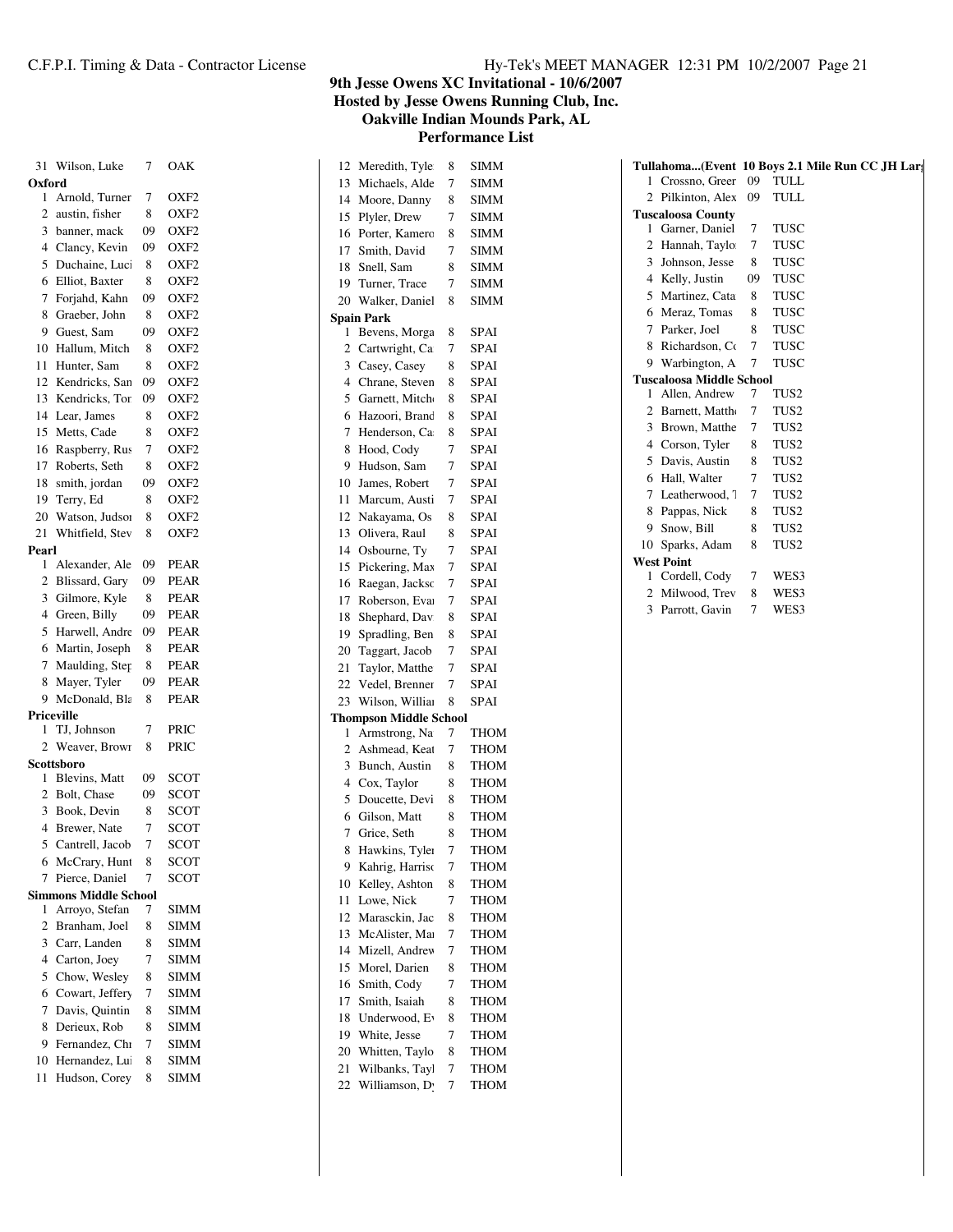| 31             | Wilson, Luke                 | 7  | OAK              |
|----------------|------------------------------|----|------------------|
| Oxford         |                              |    |                  |
| 1              | Arnold, Turner               | 7  | OXF <sub>2</sub> |
| 2              | austin, fisher               | 8  | OXF2             |
| 3              | banner, mack                 | 09 | OXF2             |
| 4              | Clancy, Kevin                | 09 | OXF2             |
| 5              | Duchaine, Luc                | 8  | OXF2             |
| 6              | Elliot, Baxter               | 8  | OXF2             |
| 7              | Forjahd, Kahn                | 09 | OXF2             |
| 8              | Graeber, John                | 8  | OXF2             |
| 9              | Guest, Sam                   | 09 | OXF2             |
| 10             | Hallum, Mitch                | 8  | OXF2             |
| 11             | Hunter, Sam                  | 8  | OXF <sub>2</sub> |
| 12             | Kendricks, San               | 09 | OXF2             |
| 13             | Kendricks, Tor               | 09 | OXF <sub>2</sub> |
| 14             | Lear, James                  | 8  | OXF2             |
| 15             | Metts, Cade                  | 8  | OXF2             |
| 16             | Raspberry, Rus               | 7  | OXF2             |
| 17             | Roberts, Seth                | 8  | OXF2             |
| 18             | smith, jordan                | 09 | OXF2             |
| 19             | Terry, Ed                    | 8  | OXF2             |
| 20             | Watson, Judsor               | 8  | OXF2             |
| 21             | Whitfield, Stev              | 8  | OXF2             |
| Pearl          |                              |    |                  |
| 1              | Alexander, Ale               | 09 | <b>PEAR</b>      |
| 2              | Blissard, Gary               | 09 | <b>PEAR</b>      |
| 3              | Gilmore, Kyle                | 8  | <b>PEAR</b>      |
| 4              | Green, Billy                 | 09 | PEAR             |
| 5              | Harwell, Andre               | 09 | PEAR             |
| 6              | Martin, Joseph               | 8  | <b>PEAR</b>      |
| 7              | Maulding, Step               | 8  | PEAR             |
| 8              | Mayer, Tyler                 | 09 | <b>PEAR</b>      |
| 9              | McDonald, Bla                | 8  | <b>PEAR</b>      |
|                | Priceville                   |    |                  |
| 1              | TJ, Johnson                  | 7  | PRIC             |
| 2              | Weaver, Brown                | 8  | PRIC             |
|                | Scottsboro                   |    |                  |
| 1              | Blevins, Matt                | 09 | <b>SCOT</b>      |
| 2              | Bolt, Chase                  | 09 | SCOT             |
| 3              | Book, Devin                  | 8  | <b>SCOT</b>      |
| $\overline{4}$ | Brewer, Nate                 | 7  | SCOT             |
|                | 5 Cantrell, Jacob            | 7  | <b>SCOT</b>      |
| 6              | McCrary, Hunt                | 8  | SCOT             |
| 7              | Pierce, Daniel               | 7  | <b>SCOT</b>      |
|                | <b>Simmons Middle School</b> |    |                  |
| 1              | Arroyo, Stefan               | 7  | SIMM             |
| $\overline{c}$ | Branham, Joel                | 8  | SIMM             |
| 3              | Carr, Landen                 | 8  | SIMM             |
| 4              | Carton, Joey                 | 7  | <b>SIMM</b>      |
| 5              | Chow, Wesley                 | 8  | SIMM             |
| 6              | Cowart, Jeffery              | 7  | SIMM             |
| 7              | Davis, Quintin               | 8  | SIMM             |
| 8              | Derieux, Rob                 | 8  | <b>SIMM</b>      |
| 9              | Fernandez, Chi               | 7  | <b>SIMM</b>      |
| 10             | Hernandez, Lu                | 8  | SIMM             |
| 11             | Hudson, Corey                | 8  | <b>SIMM</b>      |

**Hosted by Jesse Owens Running Club, Inc.**

**Oakville Indian Mounds Park, AL Performance List**

|                                  | 8                                                                                                                                                                                                                                                                                          | SIMM                          |
|----------------------------------|--------------------------------------------------------------------------------------------------------------------------------------------------------------------------------------------------------------------------------------------------------------------------------------------|-------------------------------|
| 13                               | 7                                                                                                                                                                                                                                                                                          | SIMM                          |
|                                  | 8                                                                                                                                                                                                                                                                                          | SIMM                          |
| Plyler, Drew                     | 7                                                                                                                                                                                                                                                                                          | SIMM                          |
| Porter, Kamero                   | 8                                                                                                                                                                                                                                                                                          | SIMM                          |
| Smith, David                     | 7                                                                                                                                                                                                                                                                                          | SIMM                          |
| Snell, Sam                       | 8                                                                                                                                                                                                                                                                                          | SIMM                          |
|                                  | 7                                                                                                                                                                                                                                                                                          | SIMM                          |
| Walker, Daniel                   | 8                                                                                                                                                                                                                                                                                          | SIMM                          |
|                                  |                                                                                                                                                                                                                                                                                            |                               |
| Bevens, Morga                    | 8                                                                                                                                                                                                                                                                                          | SPAI                          |
| Cartwright, Ca                   | 7                                                                                                                                                                                                                                                                                          | SPAI                          |
| Casey, Casey                     | 8                                                                                                                                                                                                                                                                                          | SPAI                          |
| Chrane, Steven                   | 8                                                                                                                                                                                                                                                                                          | SPAI                          |
| Garnett, Mitch                   | 8                                                                                                                                                                                                                                                                                          | SPAI                          |
| Hazoori, Brand                   | 8                                                                                                                                                                                                                                                                                          | SPAI                          |
| Henderson, Ca                    | 8                                                                                                                                                                                                                                                                                          | SPAI                          |
| Hood, Cody                       | 7                                                                                                                                                                                                                                                                                          | SPAI                          |
| Hudson, Sam                      | 7                                                                                                                                                                                                                                                                                          | SPAI                          |
| James, Robert                    | 7                                                                                                                                                                                                                                                                                          | SPAI                          |
|                                  | 7                                                                                                                                                                                                                                                                                          | SPAI                          |
| Nakayama, Os                     | 8                                                                                                                                                                                                                                                                                          | SPAI                          |
| Olivera, Raul                    | 8                                                                                                                                                                                                                                                                                          | SPAI                          |
| Osbourne, Ty                     | 7                                                                                                                                                                                                                                                                                          | SPAI                          |
|                                  | 7                                                                                                                                                                                                                                                                                          | SPAI                          |
|                                  | 7                                                                                                                                                                                                                                                                                          | SPAI                          |
|                                  | 7                                                                                                                                                                                                                                                                                          | SPAI                          |
|                                  | 8                                                                                                                                                                                                                                                                                          | SPAI                          |
|                                  | 8                                                                                                                                                                                                                                                                                          | SPAI                          |
|                                  | 7                                                                                                                                                                                                                                                                                          | SPAI                          |
|                                  | 7                                                                                                                                                                                                                                                                                          | SPAI                          |
|                                  | 7                                                                                                                                                                                                                                                                                          | SPAI                          |
|                                  | 8                                                                                                                                                                                                                                                                                          | SPAI                          |
|                                  |                                                                                                                                                                                                                                                                                            |                               |
| Armstrong, Na                    | 7                                                                                                                                                                                                                                                                                          | THOM                          |
| Ashmead, Keat                    | 7                                                                                                                                                                                                                                                                                          | <b>THOM</b>                   |
| Bunch, Austin                    | 8                                                                                                                                                                                                                                                                                          | THOM                          |
| Cox, Taylor                      | 8                                                                                                                                                                                                                                                                                          | THOM                          |
| 5<br>Doucette, Devi              | 8                                                                                                                                                                                                                                                                                          | <b>THOM</b>                   |
| Gilson, Matt                     | 8                                                                                                                                                                                                                                                                                          | <b>THOM</b>                   |
| Grice, Seth                      | 8                                                                                                                                                                                                                                                                                          | THOM                          |
|                                  | 7                                                                                                                                                                                                                                                                                          | <b>THOM</b>                   |
| Kahrig, Harriso                  | 7                                                                                                                                                                                                                                                                                          | THOM                          |
| Kelley, Ashton                   | 8                                                                                                                                                                                                                                                                                          | THOM                          |
| Lowe, Nick                       | 7                                                                                                                                                                                                                                                                                          |                               |
|                                  |                                                                                                                                                                                                                                                                                            | THOM                          |
| Marasckin, Jac                   | 8                                                                                                                                                                                                                                                                                          | THOM                          |
| McAlister, Mar                   | 7                                                                                                                                                                                                                                                                                          | THOM                          |
| Mizell, Andrev                   | 7                                                                                                                                                                                                                                                                                          | THOM                          |
|                                  | 8                                                                                                                                                                                                                                                                                          | THOM                          |
| Morel, Darien                    | 7                                                                                                                                                                                                                                                                                          | THOM                          |
| Smith, Cody<br>Smith, Isaiah     | 8                                                                                                                                                                                                                                                                                          | THOM                          |
| Underwood, Ev                    | 8                                                                                                                                                                                                                                                                                          | THOM                          |
|                                  | 7                                                                                                                                                                                                                                                                                          | THOM                          |
| White, Jesse                     | 8                                                                                                                                                                                                                                                                                          |                               |
| Whitten, Taylo<br>Wilbanks, Tayl | 7                                                                                                                                                                                                                                                                                          | THOM<br>THOM                  |
|                                  | Meredith, Tyle<br>Michaels, Alde<br>Moore, Danny<br>Turner, Trace<br><b>Spain Park</b><br>Marcum, Austi<br>Pickering, Max<br>Raegan, Jacksc<br>Roberson, Eva<br>Shephard, Dav.<br>Spradling, Ben<br>Taggart, Jacob<br>Taylor, Matthe<br>Vedel, Brenner<br>Wilson, Willia<br>Hawkins, Tyler | <b>Thompson Middle School</b> |

|              |                                 |    | Tullahoma(Event 10 Boys 2.1 Mile Run CC JH Lar: |
|--------------|---------------------------------|----|-------------------------------------------------|
| $\mathbf{1}$ | Crossno, Greer                  | 09 | TULL                                            |
| 2            | Pilkinton, Alex                 | 09 | TULL                                            |
|              | <b>Tuscaloosa County</b>        |    |                                                 |
| 1            | Garner, Daniel                  | 7  | TUSC                                            |
| 2            | Hannah, Taylo                   | 7  | TUSC                                            |
| 3            | Johnson, Jesse                  | 8  | TUSC                                            |
| 4            | Kelly, Justin                   | 09 | TUSC                                            |
| 5            | Martinez, Cata                  | 8  | <b>TUSC</b>                                     |
| 6            | Meraz, Tomas                    | 8  | TUSC                                            |
| 7            | Parker, Joel                    | 8  | <b>TUSC</b>                                     |
| 8            | Richardson, Co                  | 7  | <b>TUSC</b>                                     |
| 9            | Warbington, A                   | 7  | TUSC                                            |
|              | <b>Tuscaloosa Middle School</b> |    |                                                 |
| 1            | Allen, Andrew                   | 7  | TUS2                                            |
| 2            | Barnett, Mattho                 | 7  | TUS2                                            |
| 3            | Brown, Matthe                   | 7  | TUS2                                            |
| 4            | Corson, Tyler                   | 8  | TUS <sub>2</sub>                                |
| 5            | Davis, Austin                   | 8  | TUS2                                            |
| 6            | Hall, Walter                    | 7  | TUS <sub>2</sub>                                |
| 7            | Leatherwood, 7                  | 7  | TUS2                                            |
| 8            | Pappas, Nick                    | 8  | TUS <sub>2</sub>                                |
| 9            | Snow, Bill                      | 8  | TUS <sub>2</sub>                                |
| 10           | Sparks, Adam                    | 8  | TUS <sub>2</sub>                                |
|              | <b>West Point</b>               |    |                                                 |
| 1            | Cordell, Cody                   | 7  | WES3                                            |
|              | Milwood, Trev                   | 8  | WES3                                            |
| 3            | Parrott, Gavin                  | 7  | WES3                                            |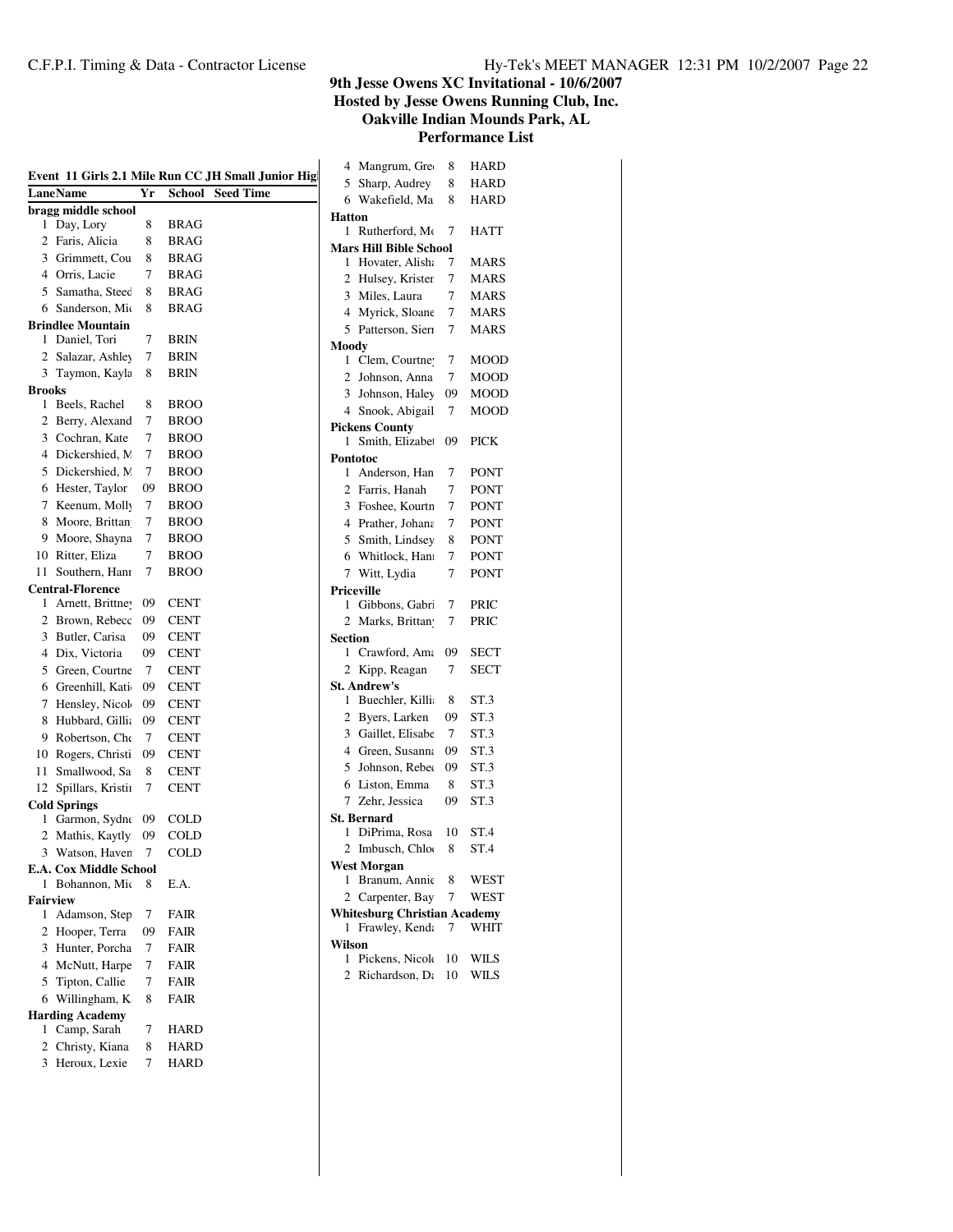|               |                               |    |               | Event 11 Girls 2.1 Mile Run CC JH Small Junior Hig | 4<br>5         |
|---------------|-------------------------------|----|---------------|----------------------------------------------------|----------------|
|               | <b>LaneName</b>               | Yr | <b>School</b> | <b>Seed Time</b>                                   | 6              |
|               | bragg middle school           |    |               |                                                    | Hatt           |
| 1             | Day, Lory                     | 8  | <b>BRAG</b>   |                                                    | 1              |
| 2             | Faris, Alicia                 | 8  | <b>BRAG</b>   |                                                    | Mars           |
|               | 3 Grimmett, Cou               | 8  | BRAG          |                                                    | 1              |
|               | 4 Orris, Lacie                | 7  | BRAG          |                                                    | $\overline{c}$ |
| 5             | Samatha, Steec                | 8  | BRAG          |                                                    | 3              |
|               | 6 Sanderson, Mio              | 8  | <b>BRAG</b>   |                                                    | 4              |
|               | <b>Brindlee Mountain</b>      |    |               |                                                    | 5              |
| 1             | Daniel, Tori                  | 7  | BRIN          |                                                    | Moo            |
| 2             | Salazar, Ashley               | 7  | BRIN          |                                                    | 1              |
| 3             | Taymon, Kayla                 | 8  | <b>BRIN</b>   |                                                    | 2              |
| <b>Brooks</b> |                               |    |               |                                                    | 3              |
| 1             | Beels, Rachel                 | 8  | <b>BROO</b>   |                                                    | 4              |
| 2             | Berry, Alexand                | 7  | <b>BROO</b>   |                                                    | Picke          |
|               | 3 Cochran, Kate               | 7  | <b>BROO</b>   |                                                    | 1              |
|               | 4 Dickershied, M              | 7  | <b>BROO</b>   |                                                    | Pont           |
|               | 5 Dickershied, N.             | 7  | <b>BROO</b>   |                                                    | 1              |
|               | 6 Hester, Taylor              | 09 | <b>BROO</b>   |                                                    | 2              |
| 7             | Keenum, Molly                 | 7  | <b>BROO</b>   |                                                    | 3              |
| 8             | Moore, Brittan                | 7  | <b>BROO</b>   |                                                    | 4              |
|               | 9 Moore, Shayna               | 7  | <b>BROO</b>   |                                                    | 5              |
|               | 10 Ritter, Eliza              | 7  | <b>BROO</b>   |                                                    | 6              |
| 11            | Southern, Hani                | 7  | <b>BROO</b>   |                                                    | 7              |
|               | <b>Central-Florence</b>       |    |               |                                                    | Price          |
| 1             | Arnett, Brittne               | 09 | CENT          |                                                    | 1              |
| 2             | Brown, Rebecc                 | 09 | CENT          |                                                    | $\overline{c}$ |
| 3             | Butler, Carisa                | 09 | CENT          |                                                    | Secti          |
|               | 4 Dix, Victoria               | 09 | <b>CENT</b>   |                                                    | 1              |
|               | 5 Green, Courtne              | 7  | CENT          |                                                    | $\overline{c}$ |
|               | 6 Greenhill, Kati             | 09 | CENT          |                                                    | St. A          |
| 7             | Hensley, Nicol                | 09 | CENT          |                                                    | 1              |
| 8             | Hubbard, Gillia               | 09 | CENT          |                                                    | $\overline{c}$ |
| 9             | Robertson, Che                | 7  | CENT          |                                                    | 3              |
|               | 10 Rogers, Christi            | 09 | CENT          |                                                    | $\overline{4}$ |
| 11            | Smallwood, Sa                 | 8  | <b>CENT</b>   |                                                    | 5              |
| 12            | Spillars, Kristii             | 7  | CENT          |                                                    | 6              |
|               | <b>Cold Springs</b>           |    |               |                                                    | 7              |
| 1             | Garmon, Sydne                 | 09 | COLD          |                                                    | St. B          |
| 2             | Mathis, Kaytly                | 09 | <b>COLD</b>   |                                                    | 1              |
|               | 3 Watson, Haven               | 7  | COLD          |                                                    | $\overline{c}$ |
|               | <b>E.A. Cox Middle School</b> |    |               |                                                    | West           |
| 1             | Bohannon, Mio                 | 8  | E.A.          |                                                    | 1              |
|               | <b>Fairview</b>               |    |               |                                                    | $\overline{c}$ |
| 1             | Adamson, Step                 | 7  | FAIR          |                                                    | Whit           |
| 2             | Hooper, Terra                 | 09 | FAIR          |                                                    | 1              |
|               | 3 Hunter, Porcha              | 7  | FAIR          |                                                    | Wils           |
| 4             | McNutt, Harpe                 | 7  | FAIR          |                                                    | 1              |
| 5             | Tipton, Callie                | 7  | FAIR          |                                                    | 2              |
| 6             | Willingham, K                 | 8  | <b>FAIR</b>   |                                                    |                |
|               | <b>Harding Academy</b>        |    |               |                                                    |                |
| 1             | Camp, Sarah                   | 7  | <b>HARD</b>   |                                                    |                |
| 2             | Christy, Kiana                | 8  | HARD          |                                                    |                |
| 3             | Heroux, Lexie                 | 7  | <b>HARD</b>   |                                                    |                |

| 4<br>Mangrum, Gre                           | 8      | HARD                |
|---------------------------------------------|--------|---------------------|
| Sharp, Audrey<br>5                          | 8      | HARD                |
| Wakefield, Ma<br>6                          | 8      | HARD                |
| <b>Hatton</b>                               |        |                     |
| Rutherford, Mo<br>1                         | 7      | <b>HATT</b>         |
| <b>Mars Hill Bible School</b>               |        |                     |
| Hovater, Alisha<br>1                        | 7      | MARS                |
| 2<br>Hulsey, Krister                        | 7      | MARS                |
| 3<br>Miles, Laura                           | 7      | MARS                |
| Myrick, Sloane<br>4<br>5                    | 7<br>7 | MARS<br><b>MARS</b> |
| Patterson, Sierr                            |        |                     |
| Moody<br>Clem, Courtne <sup>y</sup><br>1    | 7      | MOOD                |
| $\overline{2}$<br>Johnson, Anna             | 7      | <b>MOOD</b>         |
| Johnson, Haley<br>3                         | 09     | <b>MOOD</b>         |
| Snook, Abigail<br>4                         | 7      | MOOD                |
| <b>Pickens County</b>                       |        |                     |
| Smith, Elizabet<br>1                        | 09     | PICK                |
| Pontotoc                                    |        |                     |
| Anderson, Han<br>1                          | 7      | PONT                |
| 2 Farris, Hanah                             | 7      | PONT                |
| Foshee, Kourtn<br>3                         | 7      | PONT                |
| 4 Prather, Johana                           | 7      | PONT                |
| Smith, Lindsey<br>5                         | 8      | PONT                |
| Whitlock, Han<br>6                          | 7      | PONT                |
| Witt, Lydia<br>7                            | 7      | <b>PONT</b>         |
| <b>Priceville</b>                           |        |                     |
| Gibbons, Gabri<br>1                         | 7      | PRIC                |
| 2<br>Marks, Brittan                         | 7      | PRIC                |
| Section                                     |        |                     |
| Crawford, Ama<br>1                          | 09     | SECT                |
| 2<br>Kipp, Reagan                           | 7      | <b>SECT</b>         |
| <b>St. Andrew's</b><br>Buechler, Killi<br>1 | 8      | ST.3                |
| Byers, Larken<br>2                          | 09     | ST.3                |
| 3 Gaillet, Elisabe                          | 7      | ST.3                |
| Green, Susanna<br>4                         | 09     | ST.3                |
| Johnson, Rebec<br>5                         | 09     | ST.3                |
| Liston, Emma<br>6                           | 8      | ST.3                |
| Zehr, Jessica<br>7                          | 09     | ST <sub>.3</sub>    |
| <b>St. Bernard</b>                          |        |                     |
| DiPrima, Rosa<br>1                          | 10     | ST.4                |
| 2 Imbusch, Chlo                             | 8      | ST.4                |
| <b>West Morgan</b>                          |        |                     |
| Branum, Annie<br>1                          | 8      | WEST                |
| 2<br>Carpenter, Bay                         | 7      | WEST                |
| <b>Whitesburg Christian Academy</b>         |        |                     |
| Frawley, Kend:<br>1                         | 7      | WHIT                |
| Wilson                                      |        |                     |
| Pickens, Nicole<br>1                        | 10     | WILS                |
| 2<br>Richardson, Da                         | 10     | WILS                |
|                                             |        |                     |